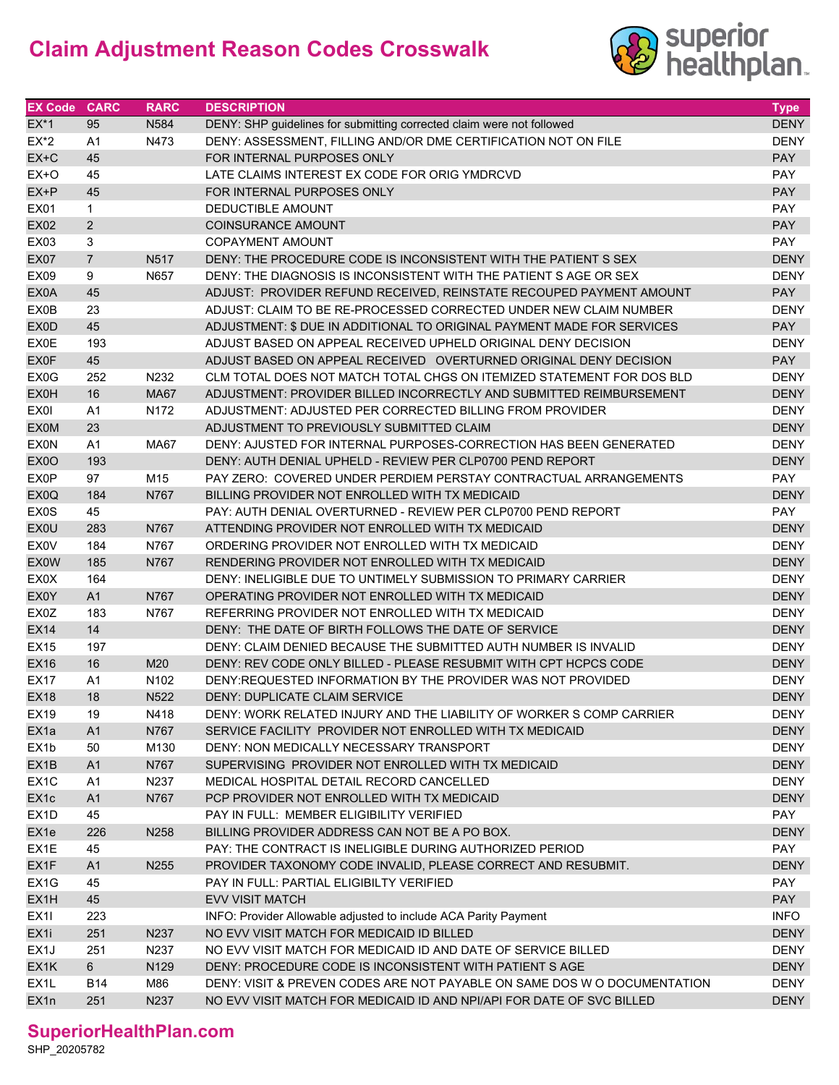## **Claim Adjustment Reason Codes Crosswalk**



| <b>EX Code</b>    | <b>CARC</b>    | <b>RARC</b>      | <b>DESCRIPTION</b>                                                       | <b>Type</b> |
|-------------------|----------------|------------------|--------------------------------------------------------------------------|-------------|
| $EX^*1$           | 95             | N584             | DENY: SHP guidelines for submitting corrected claim were not followed    | <b>DENY</b> |
| $EX^*2$           | A <sub>1</sub> | N473             | DENY: ASSESSMENT, FILLING AND/OR DME CERTIFICATION NOT ON FILE           | <b>DENY</b> |
| $EX+C$            | 45             |                  | FOR INTERNAL PURPOSES ONLY                                               | <b>PAY</b>  |
| $EX+O$            | 45             |                  | LATE CLAIMS INTEREST EX CODE FOR ORIG YMDRCVD                            | PAY         |
| $EX+P$            | 45             |                  | FOR INTERNAL PURPOSES ONLY                                               | <b>PAY</b>  |
| EX01              | 1              |                  | DEDUCTIBLE AMOUNT                                                        | PAY         |
| <b>EX02</b>       | $\overline{2}$ |                  | <b>COINSURANCE AMOUNT</b>                                                | <b>PAY</b>  |
| EX03              | 3              |                  | <b>COPAYMENT AMOUNT</b>                                                  | <b>PAY</b>  |
| <b>EX07</b>       | $\overline{7}$ | N517             | DENY: THE PROCEDURE CODE IS INCONSISTENT WITH THE PATIENT S SEX          | <b>DENY</b> |
| <b>EX09</b>       | 9              | N657             | DENY: THE DIAGNOSIS IS INCONSISTENT WITH THE PATIENT S AGE OR SEX        | <b>DENY</b> |
| EX0A              | 45             |                  | ADJUST: PROVIDER REFUND RECEIVED, REINSTATE RECOUPED PAYMENT AMOUNT      | <b>PAY</b>  |
| EX0B              | 23             |                  | ADJUST: CLAIM TO BE RE-PROCESSED CORRECTED UNDER NEW CLAIM NUMBER        | <b>DENY</b> |
| EX0D              | 45             |                  | ADJUSTMENT: \$ DUE IN ADDITIONAL TO ORIGINAL PAYMENT MADE FOR SERVICES   | <b>PAY</b>  |
| <b>EX0E</b>       | 193            |                  | ADJUST BASED ON APPEAL RECEIVED UPHELD ORIGINAL DENY DECISION            | <b>DENY</b> |
| <b>EX0F</b>       | 45             |                  | ADJUST BASED ON APPEAL RECEIVED OVERTURNED ORIGINAL DENY DECISION        | <b>PAY</b>  |
| EX <sub>0</sub> G | 252            | N232             | CLM TOTAL DOES NOT MATCH TOTAL CHGS ON ITEMIZED STATEMENT FOR DOS BLD    | <b>DENY</b> |
| <b>EX0H</b>       | 16             | <b>MA67</b>      | ADJUSTMENT: PROVIDER BILLED INCORRECTLY AND SUBMITTED REIMBURSEMENT      | <b>DENY</b> |
| EX01              | A <sub>1</sub> | N172             | ADJUSTMENT: ADJUSTED PER CORRECTED BILLING FROM PROVIDER                 | <b>DENY</b> |
| <b>EX0M</b>       | 23             |                  | ADJUSTMENT TO PREVIOUSLY SUBMITTED CLAIM                                 | <b>DENY</b> |
| <b>EX0N</b>       | A <sub>1</sub> | <b>MA67</b>      | DENY: AJUSTED FOR INTERNAL PURPOSES-CORRECTION HAS BEEN GENERATED        | <b>DENY</b> |
| EX <sub>0</sub> O | 193            |                  | DENY: AUTH DENIAL UPHELD - REVIEW PER CLP0700 PEND REPORT                | <b>DENY</b> |
| <b>EX0P</b>       | 97             | M15              | PAY ZERO: COVERED UNDER PERDIEM PERSTAY CONTRACTUAL ARRANGEMENTS         | PAY         |
| EX <sub>0</sub> Q | 184            | N767             | BILLING PROVIDER NOT ENROLLED WITH TX MEDICAID                           | <b>DENY</b> |
| EX0S              | 45             |                  | PAY: AUTH DENIAL OVERTURNED - REVIEW PER CLP0700 PEND REPORT             | PAY         |
| EX0U              | 283            | N767             | ATTENDING PROVIDER NOT ENROLLED WITH TX MEDICAID                         | <b>DENY</b> |
| <b>EX0V</b>       | 184            | N767             | ORDERING PROVIDER NOT ENROLLED WITH TX MEDICAID                          | <b>DENY</b> |
| <b>EX0W</b>       | 185            | N767             | RENDERING PROVIDER NOT ENROLLED WITH TX MEDICAID                         | <b>DENY</b> |
| EX0X              | 164            |                  | DENY: INELIGIBLE DUE TO UNTIMELY SUBMISSION TO PRIMARY CARRIER           | <b>DENY</b> |
| EX0Y              | A1             | N767             | OPERATING PROVIDER NOT ENROLLED WITH TX MEDICAID                         | <b>DENY</b> |
| EX0Z              | 183            | N767             | REFERRING PROVIDER NOT ENROLLED WITH TX MEDICAID                         | <b>DENY</b> |
| <b>EX14</b>       | 14             |                  | DENY: THE DATE OF BIRTH FOLLOWS THE DATE OF SERVICE                      | <b>DENY</b> |
| <b>EX15</b>       | 197            |                  | DENY: CLAIM DENIED BECAUSE THE SUBMITTED AUTH NUMBER IS INVALID          | <b>DENY</b> |
| <b>EX16</b>       | 16             | M20              | DENY: REV CODE ONLY BILLED - PLEASE RESUBMIT WITH CPT HCPCS CODE         | <b>DENY</b> |
| <b>EX17</b>       | A1             | N <sub>102</sub> | DENY: REQUESTED INFORMATION BY THE PROVIDER WAS NOT PROVIDED             | <b>DENY</b> |
| <b>EX18</b>       | 18             | N522             | DENY: DUPLICATE CLAIM SERVICE                                            | <b>DENY</b> |
| EX19              | 19             | N418             | DENY: WORK RELATED INJURY AND THE LIABILITY OF WORKER S COMP CARRIER     | DENY        |
| EX <sub>1a</sub>  | A <sub>1</sub> | N767             | SERVICE FACILITY PROVIDER NOT ENROLLED WITH TX MEDICAID                  | <b>DENY</b> |
| EX1b              | 50             | M130             | DENY: NON MEDICALLY NECESSARY TRANSPORT                                  | DENY        |
| EX <sub>1</sub> B | A1             | N767             | SUPERVISING PROVIDER NOT ENROLLED WITH TX MEDICAID                       | <b>DENY</b> |
| EX <sub>1</sub> C | A1             | N237             | MEDICAL HOSPITAL DETAIL RECORD CANCELLED                                 | <b>DENY</b> |
| EX1c              | A1             | N767             | PCP PROVIDER NOT ENROLLED WITH TX MEDICAID                               | <b>DENY</b> |
| EX <sub>1</sub> D | 45             |                  | PAY IN FULL: MEMBER ELIGIBILITY VERIFIED                                 | PAY         |
| EX1e              | 226            | N258             | BILLING PROVIDER ADDRESS CAN NOT BE A PO BOX.                            | <b>DENY</b> |
| EX1E              | 45             |                  | PAY: THE CONTRACT IS INELIGIBLE DURING AUTHORIZED PERIOD                 | PAY         |
| EX1F              | A1             | N255             | PROVIDER TAXONOMY CODE INVALID, PLEASE CORRECT AND RESUBMIT.             | <b>DENY</b> |
| EX1G              | 45             |                  | PAY IN FULL: PARTIAL ELIGIBILTY VERIFIED                                 | PAY         |
| EX1H              | 45             |                  | <b>EVV VISIT MATCH</b>                                                   | <b>PAY</b>  |
| EX <sub>11</sub>  | 223            |                  | INFO: Provider Allowable adjusted to include ACA Parity Payment          | <b>INFO</b> |
| EX <sub>1</sub>   | 251            | N237             | NO EVV VISIT MATCH FOR MEDICAID ID BILLED                                | <b>DENY</b> |
| EX1J              | 251            | N237             | NO EVV VISIT MATCH FOR MEDICAID ID AND DATE OF SERVICE BILLED            | DENY        |
| EX1K              | 6 <sup>1</sup> | N129             | DENY: PROCEDURE CODE IS INCONSISTENT WITH PATIENT SAGE                   | <b>DENY</b> |
| EX <sub>1</sub> L | <b>B14</b>     | M86              | DENY: VISIT & PREVEN CODES ARE NOT PAYABLE ON SAME DOS W O DOCUMENTATION | <b>DENY</b> |
| EX1n              | 251            | N237             | NO EVV VISIT MATCH FOR MEDICAID ID AND NPI/API FOR DATE OF SVC BILLED    | <b>DENY</b> |

## **SuperiorHealthPlan.com**

SHP\_20205782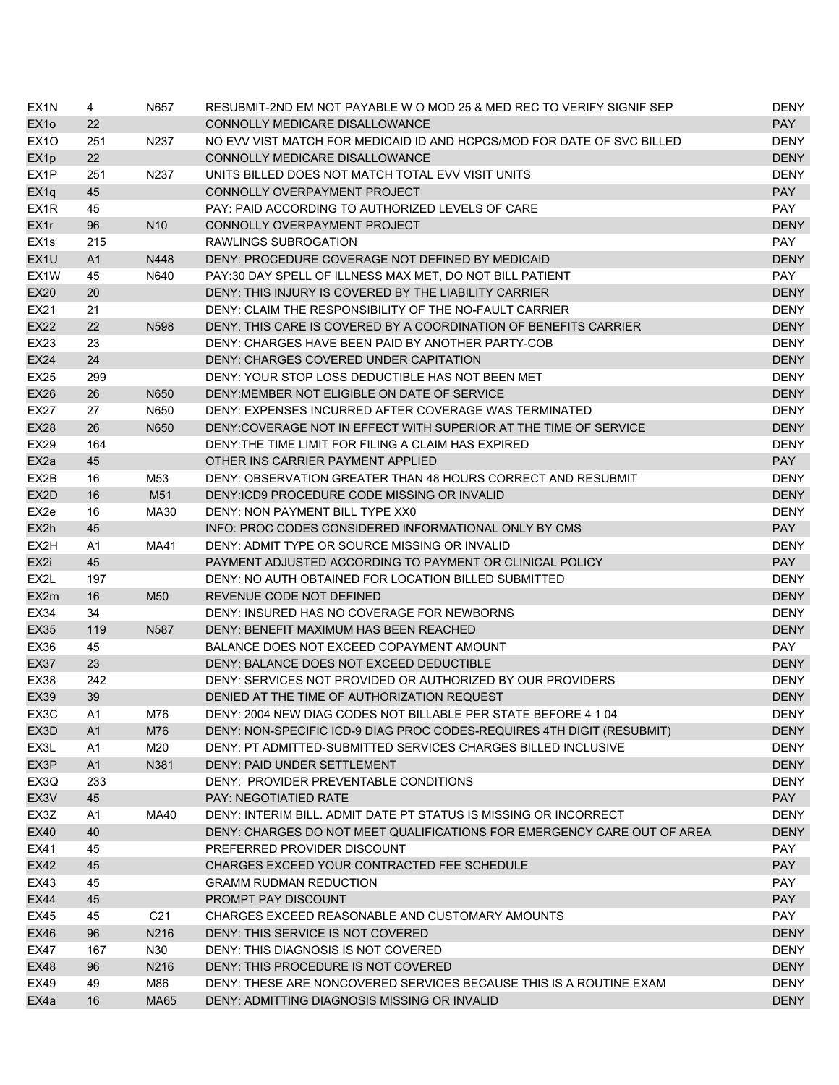| EX <sub>1</sub> N | 4              | N657             | RESUBMIT-2ND EM NOT PAYABLE W O MOD 25 & MED REC TO VERIFY SIGNIF SEP      | DENY              |
|-------------------|----------------|------------------|----------------------------------------------------------------------------|-------------------|
| EX <sub>10</sub>  | 22             |                  | CONNOLLY MEDICARE DISALLOWANCE                                             | <b>PAY</b>        |
| EX <sub>10</sub>  | 251            | N237             | NO EVV VIST MATCH FOR MEDICAID ID AND HCPCS/MOD FOR DATE OF SVC BILLED     | <b>DENY</b>       |
| EX <sub>1</sub> p | 22             |                  | CONNOLLY MEDICARE DISALLOWANCE                                             | <b>DENY</b>       |
| EX <sub>1</sub> P | 251            | N237             | UNITS BILLED DOES NOT MATCH TOTAL EVV VISIT UNITS                          | <b>DENY</b>       |
| EX <sub>1q</sub>  | 45             |                  | CONNOLLY OVERPAYMENT PROJECT                                               | <b>PAY</b>        |
| EX <sub>1</sub> R | 45             |                  | PAY: PAID ACCORDING TO AUTHORIZED LEVELS OF CARE                           | <b>PAY</b>        |
| EX1r              | 96             | N <sub>10</sub>  | CONNOLLY OVERPAYMENT PROJECT                                               | <b>DENY</b>       |
| EX <sub>1s</sub>  | 215            |                  | RAWLINGS SUBROGATION                                                       | PAY               |
| EX <sub>1U</sub>  | A1             | N448             | DENY: PROCEDURE COVERAGE NOT DEFINED BY MEDICAID                           | <b>DENY</b>       |
| EX <sub>1</sub> W | 45             | N640             | PAY:30 DAY SPELL OF ILLNESS MAX MET, DO NOT BILL PATIENT                   | PAY               |
| <b>EX20</b>       | 20             |                  | DENY: THIS INJURY IS COVERED BY THE LIABILITY CARRIER                      | <b>DENY</b>       |
| EX21              | 21             |                  | DENY: CLAIM THE RESPONSIBILITY OF THE NO-FAULT CARRIER                     | <b>DENY</b>       |
| <b>EX22</b>       | 22             | N <sub>598</sub> | DENY: THIS CARE IS COVERED BY A COORDINATION OF BENEFITS CARRIER           | <b>DENY</b>       |
| EX23              | 23             |                  | DENY: CHARGES HAVE BEEN PAID BY ANOTHER PARTY-COB                          | <b>DENY</b>       |
| <b>EX24</b>       | 24             |                  | DENY: CHARGES COVERED UNDER CAPITATION                                     | <b>DENY</b>       |
| <b>EX25</b>       | 299            |                  | DENY: YOUR STOP LOSS DEDUCTIBLE HAS NOT BEEN MET                           | <b>DENY</b>       |
| <b>EX26</b>       | 26             | N650             | DENY: MEMBER NOT ELIGIBLE ON DATE OF SERVICE                               | <b>DENY</b>       |
| EX27              | 27             | N650             | DENY: EXPENSES INCURRED AFTER COVERAGE WAS TERMINATED                      | <b>DENY</b>       |
| <b>EX28</b>       | 26             | N650             | DENY:COVERAGE NOT IN EFFECT WITH SUPERIOR AT THE TIME OF SERVICE           | <b>DENY</b>       |
| EX29              | 164            |                  | DENY: THE TIME LIMIT FOR FILING A CLAIM HAS EXPIRED                        | <b>DENY</b>       |
| EX <sub>2</sub> a | 45             |                  | OTHER INS CARRIER PAYMENT APPLIED                                          | <b>PAY</b>        |
| EX2B              | 16             | M53              | DENY: OBSERVATION GREATER THAN 48 HOURS CORRECT AND RESUBMIT               | <b>DENY</b>       |
| EX2D              | 16             | M51              | DENY:ICD9 PROCEDURE CODE MISSING OR INVALID                                | <b>DENY</b>       |
| EX2e              | 16             | MA30             | DENY: NON PAYMENT BILL TYPE XX0                                            | <b>DENY</b>       |
| EX2h              | 45             |                  | INFO: PROC CODES CONSIDERED INFORMATIONAL ONLY BY CMS                      | <b>PAY</b>        |
| EX2H              | A1             | MA41             | DENY: ADMIT TYPE OR SOURCE MISSING OR INVALID                              | <b>DENY</b>       |
| EX2i              | 45             |                  | PAYMENT ADJUSTED ACCORDING TO PAYMENT OR CLINICAL POLICY                   | <b>PAY</b>        |
| EX2L              | 197            |                  | DENY: NO AUTH OBTAINED FOR LOCATION BILLED SUBMITTED                       | <b>DENY</b>       |
| EX2m              | 16             | M <sub>50</sub>  | REVENUE CODE NOT DEFINED                                                   | <b>DENY</b>       |
| EX34              | 34             |                  | DENY: INSURED HAS NO COVERAGE FOR NEWBORNS                                 | <b>DENY</b>       |
| <b>EX35</b>       | 119            | N587             | DENY: BENEFIT MAXIMUM HAS BEEN REACHED                                     | <b>DENY</b>       |
| EX36              | 45             |                  | BALANCE DOES NOT EXCEED COPAYMENT AMOUNT                                   | PAY               |
| <b>EX37</b>       | 23             |                  | DENY: BALANCE DOES NOT EXCEED DEDUCTIBLE                                   | <b>DENY</b>       |
| <b>EX38</b>       | 242            |                  | DENY: SERVICES NOT PROVIDED OR AUTHORIZED BY OUR PROVIDERS                 | <b>DENY</b>       |
| <b>EX39</b>       | 39             |                  | DENIED AT THE TIME OF AUTHORIZATION REQUEST                                | <b>DENY</b>       |
| EX3C              | A1             | M76              | DENY: 2004 NEW DIAG CODES NOT BILLABLE PER STATE BEFORE 4 1 04             | DENY              |
| EX3D              | A <sub>1</sub> | M76              | DENY: NON-SPECIFIC ICD-9 DIAG PROC CODES-REQUIRES 4TH DIGIT (RESUBMIT)     | <b>DENY</b>       |
| EX3L              | A1             | M20              | DENY: PT ADMITTED-SUBMITTED SERVICES CHARGES BILLED INCLUSIVE              | <b>DENY</b>       |
| EX3P              | A1             | N381             | DENY: PAID UNDER SETTLEMENT                                                | <b>DENY</b>       |
| EX3Q              | 233            |                  | DENY: PROVIDER PREVENTABLE CONDITIONS                                      | DENY              |
| EX3V              | 45             |                  | <b>PAY: NEGOTIATIED RATE</b>                                               | <b>PAY</b>        |
| EX3Z              | A1             | MA40             | DENY: INTERIM BILL, ADMIT DATE PT STATUS IS MISSING OR INCORRECT           | <b>DENY</b>       |
| <b>EX40</b>       | 40             |                  | DENY: CHARGES DO NOT MEET QUALIFICATIONS FOR EMERGENCY CARE OUT OF AREA    | <b>DENY</b>       |
| EX41              | 45             |                  | PREFERRED PROVIDER DISCOUNT                                                | PAY               |
|                   |                |                  | CHARGES EXCEED YOUR CONTRACTED FEE SCHEDULE                                |                   |
| <b>EX42</b>       | 45<br>45       |                  |                                                                            | <b>PAY</b>        |
| EX43              |                |                  | <b>GRAMM RUDMAN REDUCTION</b>                                              | PAY<br><b>PAY</b> |
| <b>EX44</b>       | 45             |                  | PROMPT PAY DISCOUNT                                                        |                   |
| EX45              | 45             | C <sub>21</sub>  | CHARGES EXCEED REASONABLE AND CUSTOMARY AMOUNTS                            | PAY               |
| <b>EX46</b>       | 96             | N216             | DENY: THIS SERVICE IS NOT COVERED                                          | <b>DENY</b>       |
| EX47              | 167            | N30              | DENY: THIS DIAGNOSIS IS NOT COVERED<br>DENY: THIS PROCEDURE IS NOT COVERED | <b>DENY</b>       |
| <b>EX48</b>       | 96<br>49       | N216             | DENY: THESE ARE NONCOVERED SERVICES BECAUSE THIS IS A ROUTINE EXAM         | <b>DENY</b>       |
| EX49              |                | M86              |                                                                            | DENY              |
| EX4a              | 16             | <b>MA65</b>      | DENY: ADMITTING DIAGNOSIS MISSING OR INVALID                               | <b>DENY</b>       |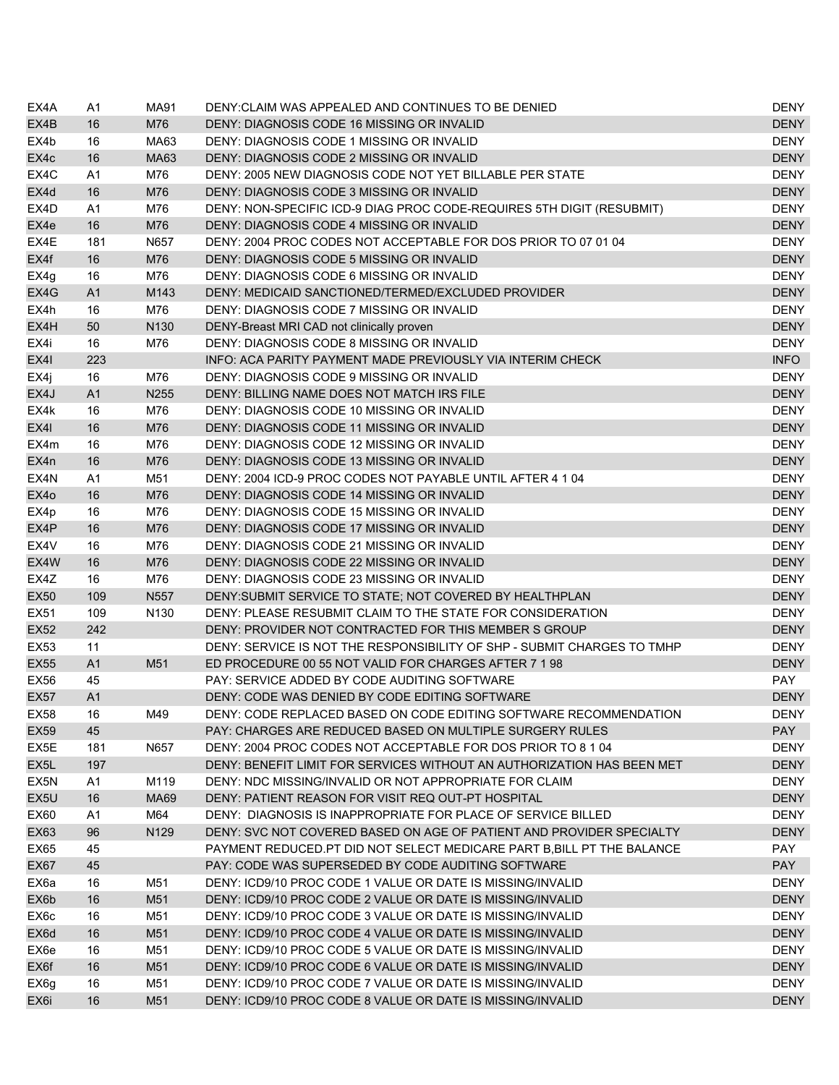| EX4A              | A1             | MA91             | DENY: CLAIM WAS APPEALED AND CONTINUES TO BE DENIED                                                                      | DENY                       |
|-------------------|----------------|------------------|--------------------------------------------------------------------------------------------------------------------------|----------------------------|
| EX4B              | 16             | M76              | DENY: DIAGNOSIS CODE 16 MISSING OR INVALID                                                                               | <b>DENY</b>                |
| EX4b              | 16             | MA63             | DENY: DIAGNOSIS CODE 1 MISSING OR INVALID                                                                                | <b>DENY</b>                |
| EX4c              | 16             | MA63             | DENY: DIAGNOSIS CODE 2 MISSING OR INVALID                                                                                | <b>DENY</b>                |
| EX4C              | A1             | M76              | DENY: 2005 NEW DIAGNOSIS CODE NOT YET BILLABLE PER STATE                                                                 | <b>DENY</b>                |
| EX4d              | 16             | M76              | DENY: DIAGNOSIS CODE 3 MISSING OR INVALID                                                                                | <b>DENY</b>                |
| EX4D              | A1             | M76              | DENY: NON-SPECIFIC ICD-9 DIAG PROC CODE-REQUIRES 5TH DIGIT (RESUBMIT)                                                    | <b>DENY</b>                |
| EX4e              | 16             | M76              | DENY: DIAGNOSIS CODE 4 MISSING OR INVALID                                                                                | <b>DENY</b>                |
| EX4E              | 181            | N657             | DENY: 2004 PROC CODES NOT ACCEPTABLE FOR DOS PRIOR TO 07 01 04                                                           | <b>DENY</b>                |
| EX4f              | 16             | M76              | DENY: DIAGNOSIS CODE 5 MISSING OR INVALID                                                                                | <b>DENY</b>                |
| EX4g              | 16             | M76              | DENY: DIAGNOSIS CODE 6 MISSING OR INVALID                                                                                | <b>DENY</b>                |
| EX4G              | A1             | M143             | DENY: MEDICAID SANCTIONED/TERMED/EXCLUDED PROVIDER                                                                       | <b>DENY</b>                |
| EX4h              | 16             | M76              | DENY: DIAGNOSIS CODE 7 MISSING OR INVALID                                                                                | <b>DENY</b>                |
| EX4H              | 50             | N <sub>130</sub> | DENY-Breast MRI CAD not clinically proven                                                                                | <b>DENY</b>                |
| EX4i              | 16             | M76              | DENY: DIAGNOSIS CODE 8 MISSING OR INVALID                                                                                | <b>DENY</b>                |
| EX4I              | 223            |                  | INFO: ACA PARITY PAYMENT MADE PREVIOUSLY VIA INTERIM CHECK                                                               | <b>INFO</b>                |
| EX4j              | 16             | M76              | DENY: DIAGNOSIS CODE 9 MISSING OR INVALID                                                                                | <b>DENY</b>                |
| EX4J              | A <sub>1</sub> | N255             | DENY: BILLING NAME DOES NOT MATCH IRS FILE                                                                               | <b>DENY</b>                |
| EX4k              | 16             | M76              | DENY: DIAGNOSIS CODE 10 MISSING OR INVALID                                                                               | <b>DENY</b>                |
| EX4I              | 16             | M76              | DENY: DIAGNOSIS CODE 11 MISSING OR INVALID                                                                               | <b>DENY</b>                |
| EX4m              | 16             | M76              | DENY: DIAGNOSIS CODE 12 MISSING OR INVALID                                                                               | <b>DENY</b>                |
| EX4n              | 16             | M76              | DENY: DIAGNOSIS CODE 13 MISSING OR INVALID                                                                               | <b>DENY</b>                |
| EX4N              | A1             | M51              | DENY: 2004 ICD-9 PROC CODES NOT PAYABLE UNTIL AFTER 4 1 04                                                               | <b>DENY</b>                |
| EX4o              | 16             | M76              | DENY: DIAGNOSIS CODE 14 MISSING OR INVALID                                                                               | <b>DENY</b>                |
| EX4p              | 16             | M76              | DENY: DIAGNOSIS CODE 15 MISSING OR INVALID                                                                               | <b>DENY</b>                |
| EX4P              | 16             | M76              | DENY: DIAGNOSIS CODE 17 MISSING OR INVALID                                                                               | <b>DENY</b>                |
| EX4V              | 16             | M76              | DENY: DIAGNOSIS CODE 21 MISSING OR INVALID                                                                               | <b>DENY</b>                |
| EX4W              | 16             | M76              | DENY: DIAGNOSIS CODE 22 MISSING OR INVALID                                                                               | <b>DENY</b>                |
| EX4Z              | 16             | M76              | DENY: DIAGNOSIS CODE 23 MISSING OR INVALID                                                                               | <b>DENY</b>                |
| <b>EX50</b>       | 109            | N <sub>557</sub> | DENY: SUBMIT SERVICE TO STATE; NOT COVERED BY HEALTHPLAN                                                                 | <b>DENY</b>                |
| EX51              | 109            | N <sub>130</sub> | DENY: PLEASE RESUBMIT CLAIM TO THE STATE FOR CONSIDERATION                                                               | <b>DENY</b>                |
| <b>EX52</b>       | 242            |                  | DENY: PROVIDER NOT CONTRACTED FOR THIS MEMBER S GROUP                                                                    | <b>DENY</b>                |
| EX53              | 11             |                  | DENY: SERVICE IS NOT THE RESPONSIBILITY OF SHP - SUBMIT CHARGES TO TMHP                                                  | <b>DENY</b>                |
| <b>EX55</b>       | A1             | M51              | ED PROCEDURE 00 55 NOT VALID FOR CHARGES AFTER 7 1 98                                                                    | <b>DENY</b>                |
| EX56              | 45             |                  | PAY: SERVICE ADDED BY CODE AUDITING SOFTWARE                                                                             | PAY                        |
| <b>EX57</b>       | A <sub>1</sub> |                  | DENY: CODE WAS DENIED BY CODE EDITING SOFTWARE                                                                           | <b>DENY</b>                |
| <b>EX58</b>       | 16             | M49              | DENY: CODE REPLACED BASED ON CODE EDITING SOFTWARE RECOMMENDATION                                                        | DENY                       |
| EX59              | 45             |                  | PAY: CHARGES ARE REDUCED BASED ON MULTIPLE SURGERY RULES                                                                 | <b>PAY</b>                 |
| EX5E              | 181            | N657             | DENY: 2004 PROC CODES NOT ACCEPTABLE FOR DOS PRIOR TO 8 1 04                                                             | <b>DENY</b>                |
| EX <sub>5</sub> L | 197            |                  | DENY: BENEFIT LIMIT FOR SERVICES WITHOUT AN AUTHORIZATION HAS BEEN MET                                                   | <b>DENY</b>                |
| EX5N              | A1             | M119             | DENY: NDC MISSING/INVALID OR NOT APPROPRIATE FOR CLAIM                                                                   | <b>DENY</b>                |
| EX <sub>5U</sub>  | 16             | <b>MA69</b>      | DENY: PATIENT REASON FOR VISIT REQ OUT-PT HOSPITAL                                                                       | <b>DENY</b>                |
| EX60              | A1             | M64              | DENY: DIAGNOSIS IS INAPPROPRIATE FOR PLACE OF SERVICE BILLED                                                             | <b>DENY</b>                |
| EX63              | 96             | N129             | DENY: SVC NOT COVERED BASED ON AGE OF PATIENT AND PROVIDER SPECIALTY                                                     | <b>DENY</b>                |
| <b>EX65</b>       | 45             |                  | PAYMENT REDUCED.PT DID NOT SELECT MEDICARE PART B, BILL PT THE BALANCE                                                   | PAY                        |
|                   |                |                  | PAY: CODE WAS SUPERSEDED BY CODE AUDITING SOFTWARE                                                                       | <b>PAY</b>                 |
| <b>EX67</b>       | 45             |                  |                                                                                                                          |                            |
| EX6a              | 16<br>16       | M51              | DENY: ICD9/10 PROC CODE 1 VALUE OR DATE IS MISSING/INVALID<br>DENY: ICD9/10 PROC CODE 2 VALUE OR DATE IS MISSING/INVALID | <b>DENY</b><br><b>DENY</b> |
| EX6b              |                | M51              |                                                                                                                          |                            |
| EX6c              | 16             | M51              | DENY: ICD9/10 PROC CODE 3 VALUE OR DATE IS MISSING/INVALID                                                               | <b>DENY</b>                |
| EX6d              | 16             | M51              | DENY: ICD9/10 PROC CODE 4 VALUE OR DATE IS MISSING/INVALID                                                               | <b>DENY</b>                |
| EX6e              | 16             | M51              | DENY: ICD9/10 PROC CODE 5 VALUE OR DATE IS MISSING/INVALID                                                               | <b>DENY</b>                |
| EX6f              | 16             | M51              | DENY: ICD9/10 PROC CODE 6 VALUE OR DATE IS MISSING/INVALID<br>DENY: ICD9/10 PROC CODE 7 VALUE OR DATE IS MISSING/INVALID | <b>DENY</b><br><b>DENY</b> |
| EX6g              | 16             | M51              |                                                                                                                          |                            |
| EX <sub>6i</sub>  | 16             | M51              | DENY: ICD9/10 PROC CODE 8 VALUE OR DATE IS MISSING/INVALID                                                               | <b>DENY</b>                |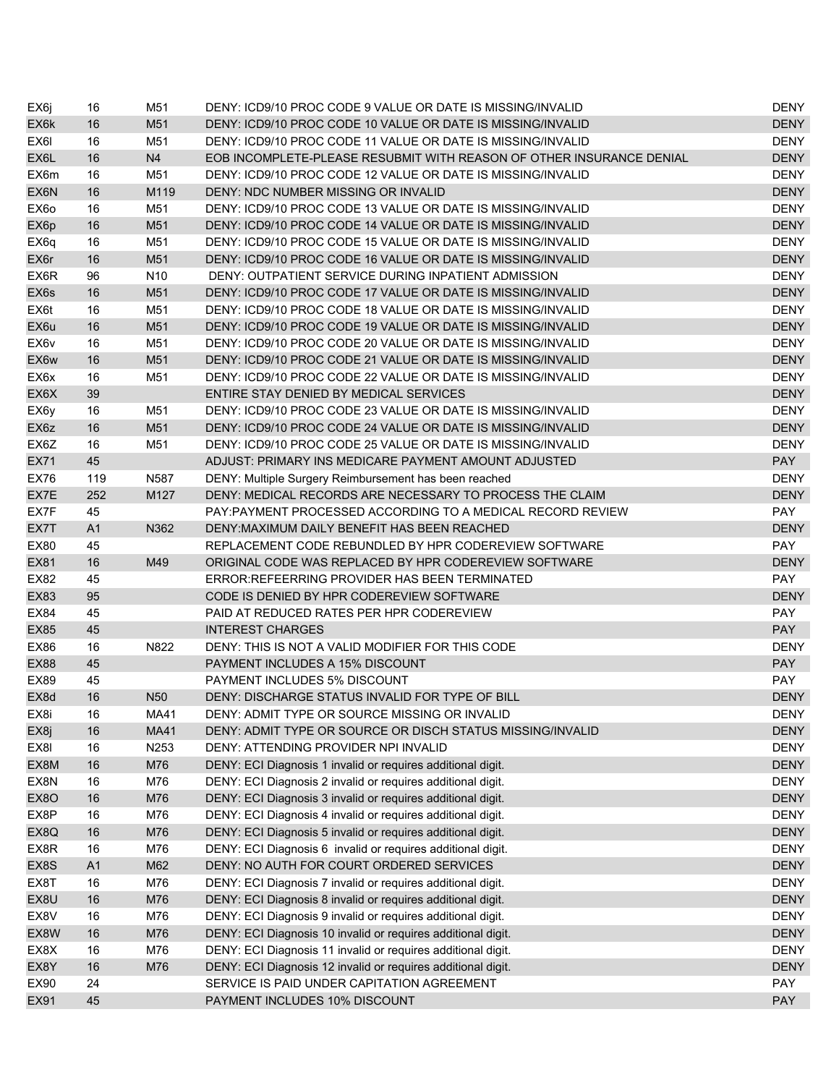| EX6j              | 16             | M51             | DENY: ICD9/10 PROC CODE 9 VALUE OR DATE IS MISSING/INVALID           | <b>DENY</b> |
|-------------------|----------------|-----------------|----------------------------------------------------------------------|-------------|
| EX6k              | 16             | M51             | DENY: ICD9/10 PROC CODE 10 VALUE OR DATE IS MISSING/INVALID          | <b>DENY</b> |
| EX6I              | 16             | M51             | DENY: ICD9/10 PROC CODE 11 VALUE OR DATE IS MISSING/INVALID          | <b>DENY</b> |
| EX6L              | 16             | N <sub>4</sub>  | EOB INCOMPLETE-PLEASE RESUBMIT WITH REASON OF OTHER INSURANCE DENIAL | <b>DENY</b> |
| EX6m              | 16             | M51             | DENY: ICD9/10 PROC CODE 12 VALUE OR DATE IS MISSING/INVALID          | <b>DENY</b> |
| EX6N              | 16             | M119            | DENY: NDC NUMBER MISSING OR INVALID                                  | <b>DENY</b> |
| EX <sub>60</sub>  | 16             | M51             | DENY: ICD9/10 PROC CODE 13 VALUE OR DATE IS MISSING/INVALID          | <b>DENY</b> |
| EX6p              | 16             | M51             | DENY: ICD9/10 PROC CODE 14 VALUE OR DATE IS MISSING/INVALID          | <b>DENY</b> |
| EX6q              | 16             | M51             | DENY: ICD9/10 PROC CODE 15 VALUE OR DATE IS MISSING/INVALID          | <b>DENY</b> |
| EX6r              | 16             | M51             | DENY: ICD9/10 PROC CODE 16 VALUE OR DATE IS MISSING/INVALID          | <b>DENY</b> |
| EX6R              | 96             | N <sub>10</sub> | DENY: OUTPATIENT SERVICE DURING INPATIENT ADMISSION                  | <b>DENY</b> |
| EX6s              | 16             | M51             | DENY: ICD9/10 PROC CODE 17 VALUE OR DATE IS MISSING/INVALID          | <b>DENY</b> |
| EX6t              | 16             | M51             | DENY: ICD9/10 PROC CODE 18 VALUE OR DATE IS MISSING/INVALID          | <b>DENY</b> |
| EX6u              | 16             | M51             | DENY: ICD9/10 PROC CODE 19 VALUE OR DATE IS MISSING/INVALID          | <b>DENY</b> |
| EX6v              | 16             | M51             | DENY: ICD9/10 PROC CODE 20 VALUE OR DATE IS MISSING/INVALID          | <b>DENY</b> |
| EX6w              | 16             | M51             | DENY: ICD9/10 PROC CODE 21 VALUE OR DATE IS MISSING/INVALID          | <b>DENY</b> |
| EX6x              | 16             | M51             | DENY: ICD9/10 PROC CODE 22 VALUE OR DATE IS MISSING/INVALID          | <b>DENY</b> |
| EX6X              | 39             |                 | ENTIRE STAY DENIED BY MEDICAL SERVICES                               | <b>DENY</b> |
| EX6y              | 16             | M51             | DENY: ICD9/10 PROC CODE 23 VALUE OR DATE IS MISSING/INVALID          | <b>DENY</b> |
| EX <sub>6</sub> z | 16             | M51             | DENY: ICD9/10 PROC CODE 24 VALUE OR DATE IS MISSING/INVALID          | <b>DENY</b> |
| EX6Z              | 16             | M51             | DENY: ICD9/10 PROC CODE 25 VALUE OR DATE IS MISSING/INVALID          | <b>DENY</b> |
| EX71              | 45             |                 | ADJUST: PRIMARY INS MEDICARE PAYMENT AMOUNT ADJUSTED                 | <b>PAY</b>  |
| <b>EX76</b>       | 119            | N587            | DENY: Multiple Surgery Reimbursement has been reached                | <b>DENY</b> |
| EX7E              | 252            | M127            | DENY: MEDICAL RECORDS ARE NECESSARY TO PROCESS THE CLAIM             | <b>DENY</b> |
| EX7F              | 45             |                 | PAY:PAYMENT PROCESSED ACCORDING TO A MEDICAL RECORD REVIEW           | <b>PAY</b>  |
| EX7T              | A <sub>1</sub> | N362            | DENY: MAXIMUM DAILY BENEFIT HAS BEEN REACHED                         | <b>DENY</b> |
| <b>EX80</b>       | 45             |                 | REPLACEMENT CODE REBUNDLED BY HPR CODEREVIEW SOFTWARE                | <b>PAY</b>  |
| EX81              | 16             | M49             | ORIGINAL CODE WAS REPLACED BY HPR CODEREVIEW SOFTWARE                | <b>DENY</b> |
| EX82              | 45             |                 | ERROR: REFEERRING PROVIDER HAS BEEN TERMINATED                       | <b>PAY</b>  |
| <b>EX83</b>       | 95             |                 | CODE IS DENIED BY HPR CODEREVIEW SOFTWARE                            | <b>DENY</b> |
| EX84              | 45             |                 | PAID AT REDUCED RATES PER HPR CODEREVIEW                             | <b>PAY</b>  |
| <b>EX85</b>       | 45             |                 | <b>INTEREST CHARGES</b>                                              | <b>PAY</b>  |
| EX86              | 16             | N822            | DENY: THIS IS NOT A VALID MODIFIER FOR THIS CODE                     | <b>DENY</b> |
| <b>EX88</b>       | 45             |                 | PAYMENT INCLUDES A 15% DISCOUNT                                      | <b>PAY</b>  |
| EX89              | 45             |                 | PAYMENT INCLUDES 5% DISCOUNT                                         | <b>PAY</b>  |
| EX8d              | 16             | N <sub>50</sub> | DENY: DISCHARGE STATUS INVALID FOR TYPE OF BILL                      | <b>DENY</b> |
| EX8i              | 16             | MA41            | DENY: ADMIT TYPE OR SOURCE MISSING OR INVALID                        | <b>DENY</b> |
| EX8j              | 16             | <b>MA41</b>     | DENY: ADMIT TYPE OR SOURCE OR DISCH STATUS MISSING/INVALID           | <b>DENY</b> |
| EX8I              | 16             | N253            | DENY: ATTENDING PROVIDER NPI INVALID                                 | <b>DENY</b> |
| EX8M              | $16$           | M76             | DENY: ECI Diagnosis 1 invalid or requires additional digit.          | <b>DENY</b> |
| EX8N              | 16             | M76             | DENY: ECI Diagnosis 2 invalid or requires additional digit.          | <b>DENY</b> |
| EX8O              | 16             | M76             | DENY: ECI Diagnosis 3 invalid or requires additional digit.          | <b>DENY</b> |
| EX8P              | 16             | M76             | DENY: ECI Diagnosis 4 invalid or requires additional digit.          | <b>DENY</b> |
| EX8Q              | 16             | M76             | DENY: ECI Diagnosis 5 invalid or requires additional digit.          | <b>DENY</b> |
| EX8R              | 16             | M76             | DENY: ECI Diagnosis 6 invalid or requires additional digit.          | <b>DENY</b> |
| EX8S              | A1             | M62             | DENY: NO AUTH FOR COURT ORDERED SERVICES                             | <b>DENY</b> |
| EX8T              | 16             | M76             | DENY: ECI Diagnosis 7 invalid or requires additional digit.          | <b>DENY</b> |
| EX8U              | 16             | M76             | DENY: ECI Diagnosis 8 invalid or requires additional digit.          | <b>DENY</b> |
| EX8V              | 16             | M76             | DENY: ECI Diagnosis 9 invalid or requires additional digit.          | <b>DENY</b> |
| EX8W              | 16             | M76             | DENY: ECI Diagnosis 10 invalid or requires additional digit.         | <b>DENY</b> |
| EX8X              | 16             | M76             | DENY: ECI Diagnosis 11 invalid or requires additional digit.         | <b>DENY</b> |
| EX8Y              | 16             | M76             | DENY: ECI Diagnosis 12 invalid or requires additional digit.         | <b>DENY</b> |
| EX90              | 24             |                 | SERVICE IS PAID UNDER CAPITATION AGREEMENT                           | <b>PAY</b>  |
| EX91              | 45             |                 | PAYMENT INCLUDES 10% DISCOUNT                                        | <b>PAY</b>  |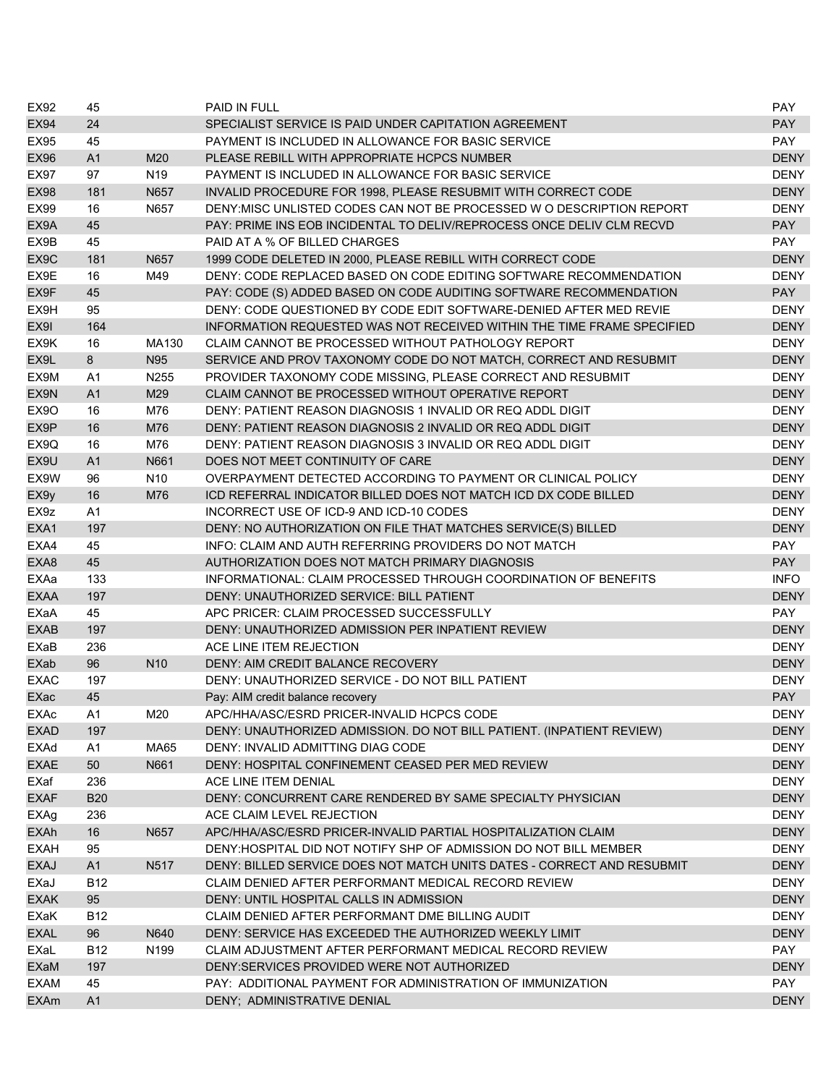| <b>EX92</b>                  | 45             |                  | <b>PAID IN FULL</b>                                                    | <b>PAY</b>  |
|------------------------------|----------------|------------------|------------------------------------------------------------------------|-------------|
| <b>EX94</b>                  | 24             |                  | SPECIALIST SERVICE IS PAID UNDER CAPITATION AGREEMENT                  | <b>PAY</b>  |
| EX95                         | 45             |                  | PAYMENT IS INCLUDED IN ALLOWANCE FOR BASIC SERVICE                     | <b>PAY</b>  |
| <b>EX96</b>                  | A <sub>1</sub> | M20              | PLEASE REBILL WITH APPROPRIATE HCPCS NUMBER                            | <b>DENY</b> |
| <b>EX97</b>                  | 97             | N <sub>19</sub>  | PAYMENT IS INCLUDED IN ALLOWANCE FOR BASIC SERVICE                     | <b>DENY</b> |
| <b>EX98</b>                  | 181            | N657             | INVALID PROCEDURE FOR 1998, PLEASE RESUBMIT WITH CORRECT CODE          | <b>DENY</b> |
| <b>EX99</b>                  | 16             | N657             | DENY: MISC UNLISTED CODES CAN NOT BE PROCESSED W O DESCRIPTION REPORT  | <b>DENY</b> |
| EX9A                         | 45             |                  | PAY: PRIME INS EOB INCIDENTAL TO DELIV/REPROCESS ONCE DELIV CLM RECVD  | <b>PAY</b>  |
| EX9B                         | 45             |                  | PAID AT A % OF BILLED CHARGES                                          | <b>PAY</b>  |
| EX9C                         | 181            | N657             | 1999 CODE DELETED IN 2000, PLEASE REBILL WITH CORRECT CODE             | <b>DENY</b> |
| EX9E                         | 16             | M49              | DENY: CODE REPLACED BASED ON CODE EDITING SOFTWARE RECOMMENDATION      | <b>DENY</b> |
| EX9F                         | 45             |                  | PAY: CODE (S) ADDED BASED ON CODE AUDITING SOFTWARE RECOMMENDATION     | <b>PAY</b>  |
| EX9H                         | 95             |                  | DENY: CODE QUESTIONED BY CODE EDIT SOFTWARE-DENIED AFTER MED REVIE     | <b>DENY</b> |
| EX9I                         | 164            |                  | INFORMATION REQUESTED WAS NOT RECEIVED WITHIN THE TIME FRAME SPECIFIED | <b>DENY</b> |
| EX9K                         | 16             | MA130            | CLAIM CANNOT BE PROCESSED WITHOUT PATHOLOGY REPORT                     | <b>DENY</b> |
| EX9L                         | 8              | N95              | SERVICE AND PROV TAXONOMY CODE DO NOT MATCH, CORRECT AND RESUBMIT      | <b>DENY</b> |
| EX9M                         | A1             | N255             | PROVIDER TAXONOMY CODE MISSING, PLEASE CORRECT AND RESUBMIT            | <b>DENY</b> |
| EX9N                         | A1             | M29              | CLAIM CANNOT BE PROCESSED WITHOUT OPERATIVE REPORT                     | <b>DENY</b> |
| EX <sub>9</sub> O            | 16             | M76              | DENY: PATIENT REASON DIAGNOSIS 1 INVALID OR REQ ADDL DIGIT             | <b>DENY</b> |
| EX9P                         | 16             | M76              | DENY: PATIENT REASON DIAGNOSIS 2 INVALID OR REQ ADDL DIGIT             | <b>DENY</b> |
| EX9Q                         | 16             | M76              | DENY: PATIENT REASON DIAGNOSIS 3 INVALID OR REQ ADDL DIGIT             | <b>DENY</b> |
| EX9U                         | A <sub>1</sub> | N661             | DOES NOT MEET CONTINUITY OF CARE                                       | <b>DENY</b> |
| EX9W                         | 96             | N <sub>10</sub>  | OVERPAYMENT DETECTED ACCORDING TO PAYMENT OR CLINICAL POLICY           | <b>DENY</b> |
| EX9y                         | 16             | M76              | ICD REFERRAL INDICATOR BILLED DOES NOT MATCH ICD DX CODE BILLED        | <b>DENY</b> |
| EX <sub>9z</sub>             | A1             |                  | INCORRECT USE OF ICD-9 AND ICD-10 CODES                                | <b>DENY</b> |
| EXA1                         | 197            |                  | DENY: NO AUTHORIZATION ON FILE THAT MATCHES SERVICE(S) BILLED          | <b>DENY</b> |
| EXA4                         | 45             |                  | INFO: CLAIM AND AUTH REFERRING PROVIDERS DO NOT MATCH                  | <b>PAY</b>  |
| EXA8                         | 45             |                  | AUTHORIZATION DOES NOT MATCH PRIMARY DIAGNOSIS                         | <b>PAY</b>  |
| EXAa                         | 133            |                  | INFORMATIONAL: CLAIM PROCESSED THROUGH COORDINATION OF BENEFITS        | <b>INFO</b> |
| <b>EXAA</b>                  | 197            |                  | DENY: UNAUTHORIZED SERVICE: BILL PATIENT                               | <b>DENY</b> |
| EXaA                         | 45             |                  | APC PRICER: CLAIM PROCESSED SUCCESSFULLY                               | PAY         |
| <b>EXAB</b>                  | 197            |                  | DENY: UNAUTHORIZED ADMISSION PER INPATIENT REVIEW                      | <b>DENY</b> |
| EXaB                         | 236            |                  | ACE LINE ITEM REJECTION                                                | <b>DENY</b> |
| <b>EXab</b>                  | 96             | N <sub>10</sub>  | DENY: AIM CREDIT BALANCE RECOVERY                                      | <b>DENY</b> |
| <b>EXAC</b>                  | 197            |                  | DENY: UNAUTHORIZED SERVICE - DO NOT BILL PATIENT                       | <b>DENY</b> |
| EXac                         | 45             |                  | Pay: AIM credit balance recovery                                       | <b>PAY</b>  |
| $\ensuremath{\mathsf{EXAc}}$ | A1             | M20              | APC/HHA/ASC/ESRD PRICER-INVALID HCPCS CODE                             | <b>DENY</b> |
| <b>EXAD</b>                  | 197            |                  | DENY: UNAUTHORIZED ADMISSION. DO NOT BILL PATIENT. (INPATIENT REVIEW)  | <b>DENY</b> |
| EXAd                         | A1             | MA65             | DENY: INVALID ADMITTING DIAG CODE                                      | DENY        |
| <b>EXAE</b>                  | 50             | N661             | DENY: HOSPITAL CONFINEMENT CEASED PER MED REVIEW                       | <b>DENY</b> |
| EXaf                         | 236            |                  | ACE LINE ITEM DENIAL                                                   | <b>DENY</b> |
| <b>EXAF</b>                  | <b>B20</b>     |                  | DENY: CONCURRENT CARE RENDERED BY SAME SPECIALTY PHYSICIAN             | <b>DENY</b> |
| EXAg                         | 236            |                  | ACE CLAIM LEVEL REJECTION                                              | <b>DENY</b> |
| <b>EXAh</b>                  | 16             | N657             | APC/HHA/ASC/ESRD PRICER-INVALID PARTIAL HOSPITALIZATION CLAIM          | <b>DENY</b> |
| <b>EXAH</b>                  | 95             |                  | DENY: HOSPITAL DID NOT NOTIFY SHP OF ADMISSION DO NOT BILL MEMBER      | <b>DENY</b> |
| <b>EXAJ</b>                  | A1             | N517             | DENY: BILLED SERVICE DOES NOT MATCH UNITS DATES - CORRECT AND RESUBMIT | <b>DENY</b> |
| EXaJ                         | <b>B12</b>     |                  | CLAIM DENIED AFTER PERFORMANT MEDICAL RECORD REVIEW                    | <b>DENY</b> |
| <b>EXAK</b>                  | 95             |                  | DENY: UNTIL HOSPITAL CALLS IN ADMISSION                                | <b>DENY</b> |
| EXaK                         | <b>B12</b>     |                  | CLAIM DENIED AFTER PERFORMANT DME BILLING AUDIT                        | <b>DENY</b> |
| <b>EXAL</b>                  | 96             | N640             | DENY: SERVICE HAS EXCEEDED THE AUTHORIZED WEEKLY LIMIT                 | <b>DENY</b> |
| EXaL                         | <b>B12</b>     | N <sub>199</sub> | CLAIM ADJUSTMENT AFTER PERFORMANT MEDICAL RECORD REVIEW                | PAY         |
| EXaM                         | 197            |                  | DENY: SERVICES PROVIDED WERE NOT AUTHORIZED                            | <b>DENY</b> |
| <b>EXAM</b>                  | 45             |                  | PAY: ADDITIONAL PAYMENT FOR ADMINISTRATION OF IMMUNIZATION             | PAY         |
| <b>EXAm</b>                  | A1             |                  | DENY; ADMINISTRATIVE DENIAL                                            | <b>DENY</b> |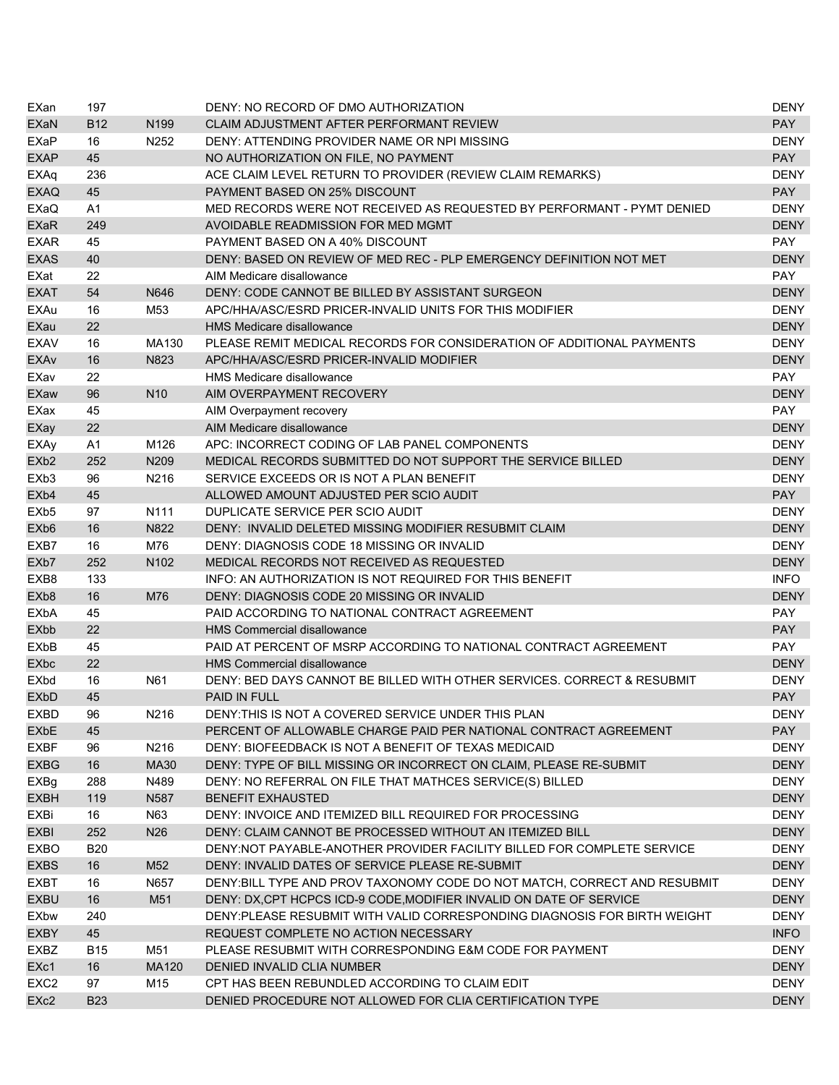| EXan                   | 197            |                  | DENY: NO RECORD OF DMO AUTHORIZATION                                      | DENY        |
|------------------------|----------------|------------------|---------------------------------------------------------------------------|-------------|
| EXaN                   | <b>B12</b>     | N <sub>199</sub> | CLAIM ADJUSTMENT AFTER PERFORMANT REVIEW                                  | <b>PAY</b>  |
| EXaP                   | 16             | N252             | DENY: ATTENDING PROVIDER NAME OR NPI MISSING                              | <b>DENY</b> |
| <b>EXAP</b>            | 45             |                  | NO AUTHORIZATION ON FILE, NO PAYMENT                                      | <b>PAY</b>  |
| EXAq                   | 236            |                  | ACE CLAIM LEVEL RETURN TO PROVIDER (REVIEW CLAIM REMARKS)                 | <b>DENY</b> |
| <b>EXAQ</b>            | 45             |                  | PAYMENT BASED ON 25% DISCOUNT                                             | <b>PAY</b>  |
| EXaQ                   | A <sub>1</sub> |                  | MED RECORDS WERE NOT RECEIVED AS REQUESTED BY PERFORMANT - PYMT DENIED    | <b>DENY</b> |
| <b>EXaR</b>            | 249            |                  | AVOIDABLE READMISSION FOR MED MGMT                                        | <b>DENY</b> |
| <b>EXAR</b>            | 45             |                  | PAYMENT BASED ON A 40% DISCOUNT                                           | <b>PAY</b>  |
| <b>EXAS</b>            | 40             |                  | DENY: BASED ON REVIEW OF MED REC - PLP EMERGENCY DEFINITION NOT MET       | <b>DENY</b> |
| EXat                   | 22             |                  | AIM Medicare disallowance                                                 | PAY         |
| <b>EXAT</b>            | 54             | N646             | DENY: CODE CANNOT BE BILLED BY ASSISTANT SURGEON                          | <b>DENY</b> |
| <b>EXAu</b>            | 16             | M <sub>53</sub>  | APC/HHA/ASC/ESRD PRICER-INVALID UNITS FOR THIS MODIFIER                   | <b>DENY</b> |
| EXau                   | 22             |                  | <b>HMS Medicare disallowance</b>                                          | <b>DENY</b> |
| <b>EXAV</b>            | 16             | MA130            | PLEASE REMIT MEDICAL RECORDS FOR CONSIDERATION OF ADDITIONAL PAYMENTS     | <b>DENY</b> |
| <b>EXAv</b>            | 16             | N823             | APC/HHA/ASC/ESRD PRICER-INVALID MODIFIER                                  | <b>DENY</b> |
| EXav                   | 22             |                  | <b>HMS Medicare disallowance</b>                                          | PAY         |
| <b>EXaw</b>            | 96             | N <sub>10</sub>  | AIM OVERPAYMENT RECOVERY                                                  | <b>DENY</b> |
| EXax                   | 45             |                  | AIM Overpayment recovery                                                  | <b>PAY</b>  |
| EXay                   | 22             |                  | AIM Medicare disallowance                                                 | <b>DENY</b> |
| <b>EXAy</b>            | A <sub>1</sub> | M126             | APC: INCORRECT CODING OF LAB PANEL COMPONENTS                             | <b>DENY</b> |
| EX <sub>b</sub> 2      | 252            | N209             | MEDICAL RECORDS SUBMITTED DO NOT SUPPORT THE SERVICE BILLED               | <b>DENY</b> |
| EXb3                   | 96             | N216             | SERVICE EXCEEDS OR IS NOT A PLAN BENEFIT                                  | <b>DENY</b> |
| EX <sub>b4</sub>       | 45             |                  | ALLOWED AMOUNT ADJUSTED PER SCIO AUDIT                                    | <b>PAY</b>  |
| EXb <sub>5</sub>       | 97             | N111             | DUPLICATE SERVICE PER SCIO AUDIT                                          | <b>DENY</b> |
| EX <sub>b</sub> 6      | 16             | N822             | DENY: INVALID DELETED MISSING MODIFIER RESUBMIT CLAIM                     | <b>DENY</b> |
| EXB7                   | 16             | M76              | DENY: DIAGNOSIS CODE 18 MISSING OR INVALID                                | <b>DENY</b> |
| EX <sub>b</sub> 7      | 252            | N <sub>102</sub> | MEDICAL RECORDS NOT RECEIVED AS REQUESTED                                 | <b>DENY</b> |
| EXB8                   | 133            |                  | INFO: AN AUTHORIZATION IS NOT REQUIRED FOR THIS BENEFIT                   | <b>INFO</b> |
| EX <sub>b</sub> 8      | 16             | M76              | DENY: DIAGNOSIS CODE 20 MISSING OR INVALID                                | <b>DENY</b> |
| <b>EX<sub>b</sub>A</b> | 45             |                  | PAID ACCORDING TO NATIONAL CONTRACT AGREEMENT                             | <b>PAY</b>  |
| EXbb                   | 22             |                  | <b>HMS Commercial disallowance</b>                                        | <b>PAY</b>  |
| <b>EXbB</b>            | 45             |                  | PAID AT PERCENT OF MSRP ACCORDING TO NATIONAL CONTRACT AGREEMENT          | <b>PAY</b>  |
| EXbc                   | 22             |                  | <b>HMS Commercial disallowance</b>                                        | <b>DENY</b> |
| <b>EXbd</b>            | 16             | N61              | DENY: BED DAYS CANNOT BE BILLED WITH OTHER SERVICES. CORRECT & RESUBMIT   | <b>DENY</b> |
| <b>EX<sub>b</sub>D</b> | 45             |                  | <b>PAID IN FULL</b>                                                       | <b>PAY</b>  |
| <b>EXBD</b>            | 96             | N216             | DENY: THIS IS NOT A COVERED SERVICE UNDER THIS PLAN                       | <b>DENY</b> |
| EXbE                   | 45             |                  | PERCENT OF ALLOWABLE CHARGE PAID PER NATIONAL CONTRACT AGREEMENT          | <b>PAY</b>  |
| EXBF                   | 96             | N216             | DENY: BIOFEEDBACK IS NOT A BENEFIT OF TEXAS MEDICAID                      | <b>DENY</b> |
| <b>EXBG</b>            | 16             | <b>MA30</b>      | DENY: TYPE OF BILL MISSING OR INCORRECT ON CLAIM, PLEASE RE-SUBMIT        | <b>DENY</b> |
| EXBg                   | 288            | N489             | DENY: NO REFERRAL ON FILE THAT MATHCES SERVICE(S) BILLED                  | <b>DENY</b> |
| <b>EXBH</b>            | 119            | N <sub>587</sub> | <b>BENEFIT EXHAUSTED</b>                                                  | <b>DENY</b> |
| EXBi                   | 16             | N63              | DENY: INVOICE AND ITEMIZED BILL REQUIRED FOR PROCESSING                   | <b>DENY</b> |
| EXBI                   | 252            | N <sub>26</sub>  | DENY: CLAIM CANNOT BE PROCESSED WITHOUT AN ITEMIZED BILL                  | <b>DENY</b> |
| <b>EXBO</b>            |                |                  |                                                                           |             |
|                        | <b>B20</b>     |                  | DENY:NOT PAYABLE-ANOTHER PROVIDER FACILITY BILLED FOR COMPLETE SERVICE    | <b>DENY</b> |
| <b>EXBS</b>            | 16             | M52              | DENY: INVALID DATES OF SERVICE PLEASE RE-SUBMIT                           | <b>DENY</b> |
| EXBT                   | 16             | N657             | DENY: BILL TYPE AND PROV TAXONOMY CODE DO NOT MATCH, CORRECT AND RESUBMIT | <b>DENY</b> |
| <b>EXBU</b>            | 16             | M51              | DENY: DX, CPT HCPCS ICD-9 CODE, MODIFIER INVALID ON DATE OF SERVICE       | <b>DENY</b> |
| <b>EXbw</b>            | 240            |                  | DENY:PLEASE RESUBMIT WITH VALID CORRESPONDING DIAGNOSIS FOR BIRTH WEIGHT  | <b>DENY</b> |
| <b>EXBY</b>            | 45             |                  | REQUEST COMPLETE NO ACTION NECESSARY                                      | <b>INFO</b> |
| EXBZ                   | <b>B15</b>     | M51              | PLEASE RESUBMIT WITH CORRESPONDING E&M CODE FOR PAYMENT                   | <b>DENY</b> |
| EXc1                   | 16             | <b>MA120</b>     | DENIED INVALID CLIA NUMBER                                                | <b>DENY</b> |
| EXC <sub>2</sub>       | 97             | M15              | CPT HAS BEEN REBUNDLED ACCORDING TO CLAIM EDIT                            | <b>DENY</b> |
| EX <sub>c2</sub>       | <b>B23</b>     |                  | DENIED PROCEDURE NOT ALLOWED FOR CLIA CERTIFICATION TYPE                  | <b>DENY</b> |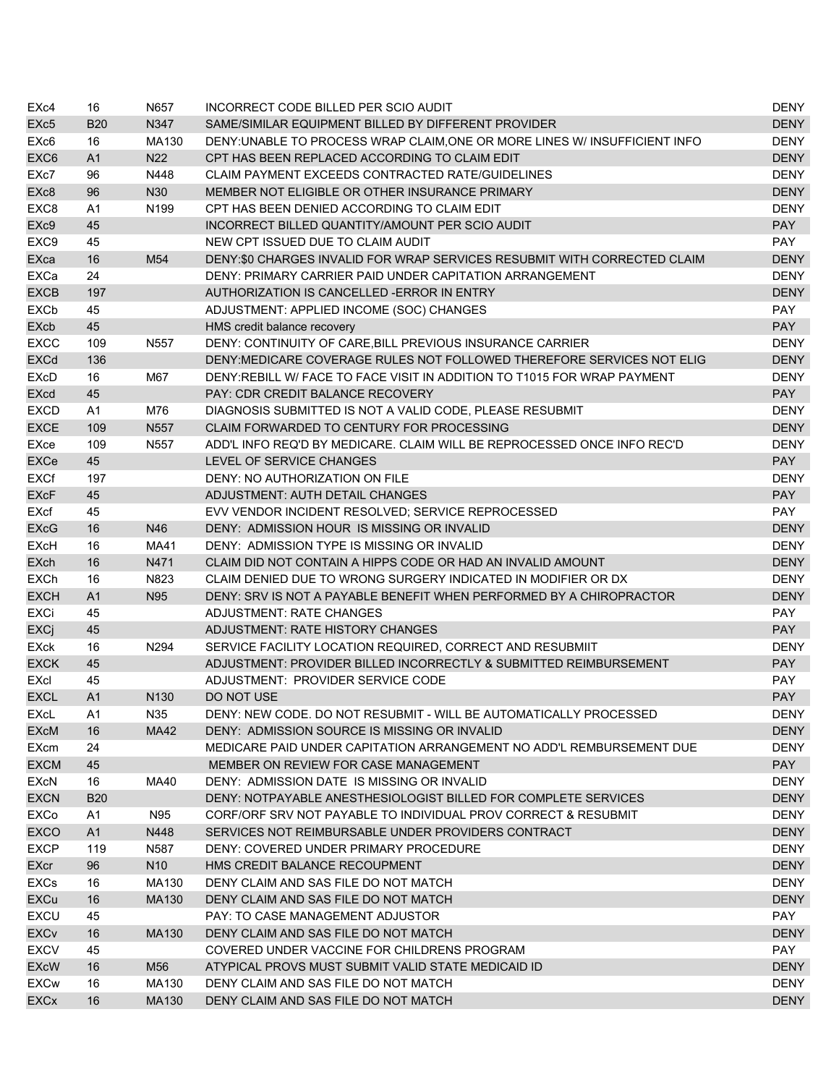| EX <sub>c4</sub>  | 16             | N657             | INCORRECT CODE BILLED PER SCIO AUDIT                                       | <b>DENY</b> |
|-------------------|----------------|------------------|----------------------------------------------------------------------------|-------------|
| EXc <sub>5</sub>  | <b>B20</b>     | N347             | SAME/SIMILAR EQUIPMENT BILLED BY DIFFERENT PROVIDER                        | <b>DENY</b> |
| EX <sub>c</sub> 6 | 16             | MA130            | DENY: UNABLE TO PROCESS WRAP CLAIM, ONE OR MORE LINES W/ INSUFFICIENT INFO | <b>DENY</b> |
| EXC <sub>6</sub>  | A1             | N22              | CPT HAS BEEN REPLACED ACCORDING TO CLAIM EDIT                              | <b>DENY</b> |
| EXc7              | 96             | N448             | CLAIM PAYMENT EXCEEDS CONTRACTED RATE/GUIDELINES                           | <b>DENY</b> |
| EX <sub>c</sub> 8 | 96             | N30              | MEMBER NOT ELIGIBLE OR OTHER INSURANCE PRIMARY                             | <b>DENY</b> |
| EXC8              | A1             | N <sub>199</sub> | CPT HAS BEEN DENIED ACCORDING TO CLAIM EDIT                                | <b>DENY</b> |
| EX <sub>c9</sub>  | 45             |                  | INCORRECT BILLED QUANTITY/AMOUNT PER SCIO AUDIT                            | <b>PAY</b>  |
| EXC <sub>9</sub>  | 45             |                  | NEW CPT ISSUED DUE TO CLAIM AUDIT                                          | <b>PAY</b>  |
| EXca              | 16             | M54              | DENY:\$0 CHARGES INVALID FOR WRAP SERVICES RESUBMIT WITH CORRECTED CLAIM   | <b>DENY</b> |
| <b>EXCa</b>       | 24             |                  | DENY: PRIMARY CARRIER PAID UNDER CAPITATION ARRANGEMENT                    | <b>DENY</b> |
| <b>EXCB</b>       | 197            |                  | AUTHORIZATION IS CANCELLED - ERROR IN ENTRY                                | <b>DENY</b> |
| <b>EXCb</b>       | 45             |                  | ADJUSTMENT: APPLIED INCOME (SOC) CHANGES                                   | <b>PAY</b>  |
| EXcb              | 45             |                  | HMS credit balance recovery                                                | <b>PAY</b>  |
| <b>EXCC</b>       | 109            | N557             | DENY: CONTINUITY OF CARE, BILL PREVIOUS INSURANCE CARRIER                  | <b>DENY</b> |
| <b>EXCd</b>       | 136            |                  | DENY:MEDICARE COVERAGE RULES NOT FOLLOWED THEREFORE SERVICES NOT ELIG      | <b>DENY</b> |
| EXcD              | 16             | M67              | DENY:REBILL W/ FACE TO FACE VISIT IN ADDITION TO T1015 FOR WRAP PAYMENT    | <b>DENY</b> |
| <b>EXcd</b>       | 45             |                  | PAY: CDR CREDIT BALANCE RECOVERY                                           | <b>PAY</b>  |
| <b>EXCD</b>       | A1             | M76              | DIAGNOSIS SUBMITTED IS NOT A VALID CODE, PLEASE RESUBMIT                   | <b>DENY</b> |
| <b>EXCE</b>       | 109            | N557             | CLAIM FORWARDED TO CENTURY FOR PROCESSING                                  | <b>DENY</b> |
| EXce              | 109            | N557             | ADD'L INFO REQ'D BY MEDICARE. CLAIM WILL BE REPROCESSED ONCE INFO REC'D    | <b>DENY</b> |
| EXCe              | 45             |                  | LEVEL OF SERVICE CHANGES                                                   | <b>PAY</b>  |
| <b>EXCf</b>       | 197            |                  | DENY: NO AUTHORIZATION ON FILE                                             | <b>DENY</b> |
| <b>EXcF</b>       | 45             |                  | <b>ADJUSTMENT: AUTH DETAIL CHANGES</b>                                     | <b>PAY</b>  |
| EXcf              | 45             |                  | EVV VENDOR INCIDENT RESOLVED; SERVICE REPROCESSED                          | PAY         |
| <b>EXcG</b>       | 16             | N46              | DENY: ADMISSION HOUR IS MISSING OR INVALID                                 | <b>DENY</b> |
| EXcH              | 16             | MA41             | DENY: ADMISSION TYPE IS MISSING OR INVALID                                 | <b>DENY</b> |
| <b>EXch</b>       | 16             | N471             | CLAIM DID NOT CONTAIN A HIPPS CODE OR HAD AN INVALID AMOUNT                | <b>DENY</b> |
| <b>EXCh</b>       | 16             | N823             | CLAIM DENIED DUE TO WRONG SURGERY INDICATED IN MODIFIER OR DX              | <b>DENY</b> |
| <b>EXCH</b>       | A1             | N95              | DENY: SRV IS NOT A PAYABLE BENEFIT WHEN PERFORMED BY A CHIROPRACTOR        | <b>DENY</b> |
| <b>EXCi</b>       | 45             |                  | <b>ADJUSTMENT: RATE CHANGES</b>                                            | <b>PAY</b>  |
| <b>EXCj</b>       | 45             |                  | ADJUSTMENT: RATE HISTORY CHANGES                                           | <b>PAY</b>  |
| EXck              | 16             | N294             | SERVICE FACILITY LOCATION REQUIRED, CORRECT AND RESUBMIIT                  | <b>DENY</b> |
| <b>EXCK</b>       | 45             |                  | ADJUSTMENT: PROVIDER BILLED INCORRECTLY & SUBMITTED REIMBURSEMENT          | <b>PAY</b>  |
| EXcl              | 45             |                  | ADJUSTMENT: PROVIDER SERVICE CODE                                          | PAY         |
| <b>EXCL</b>       | A <sub>1</sub> | N <sub>130</sub> | DO NOT USE                                                                 | <b>PAY</b>  |
| EXcL              | A1             | N35              | DENY: NEW CODE. DO NOT RESUBMIT - WILL BE AUTOMATICALLY PROCESSED          | <b>DENY</b> |
| <b>EXcM</b>       | 16             | MA42             | DENY: ADMISSION SOURCE IS MISSING OR INVALID                               | <b>DENY</b> |
| <b>EXcm</b>       | 24             |                  | MEDICARE PAID UNDER CAPITATION ARRANGEMENT NO ADD'L REMBURSEMENT DUE       | DENY        |
| <b>EXCM</b>       | 45             |                  | MEMBER ON REVIEW FOR CASE MANAGEMENT                                       | <b>PAY</b>  |
| EXcN              | 16             | MA40             | DENY: ADMISSION DATE IS MISSING OR INVALID                                 | <b>DENY</b> |
| <b>EXCN</b>       | <b>B20</b>     |                  | DENY: NOTPAYABLE ANESTHESIOLOGIST BILLED FOR COMPLETE SERVICES             | <b>DENY</b> |
| EXCo              | A1             | N95              | CORF/ORF SRV NOT PAYABLE TO INDIVIDUAL PROV CORRECT & RESUBMIT             | DENY        |
| <b>EXCO</b>       | A1             | N448             | SERVICES NOT REIMBURSABLE UNDER PROVIDERS CONTRACT                         | <b>DENY</b> |
| <b>EXCP</b>       | 119            | N587             | DENY: COVERED UNDER PRIMARY PROCEDURE                                      | <b>DENY</b> |
| <b>EXcr</b>       | 96             | N <sub>10</sub>  | HMS CREDIT BALANCE RECOUPMENT                                              | <b>DENY</b> |
| EXCs              | 16             | MA130            | DENY CLAIM AND SAS FILE DO NOT MATCH                                       | <b>DENY</b> |
| <b>EXCu</b>       | 16             | MA130            | DENY CLAIM AND SAS FILE DO NOT MATCH                                       | <b>DENY</b> |
| <b>EXCU</b>       | 45             |                  | PAY: TO CASE MANAGEMENT ADJUSTOR                                           | PAY         |
| <b>EXCv</b>       | 16             | MA130            | DENY CLAIM AND SAS FILE DO NOT MATCH                                       | <b>DENY</b> |
| <b>EXCV</b>       | 45             |                  | COVERED UNDER VACCINE FOR CHILDRENS PROGRAM                                | <b>PAY</b>  |
| <b>EXcW</b>       | 16             | M56              | ATYPICAL PROVS MUST SUBMIT VALID STATE MEDICAID ID                         | <b>DENY</b> |
| <b>EXCw</b>       | 16             | MA130            | DENY CLAIM AND SAS FILE DO NOT MATCH                                       | DENY        |
| <b>EXCx</b>       | 16             | MA130            | DENY CLAIM AND SAS FILE DO NOT MATCH                                       | <b>DENY</b> |
|                   |                |                  |                                                                            |             |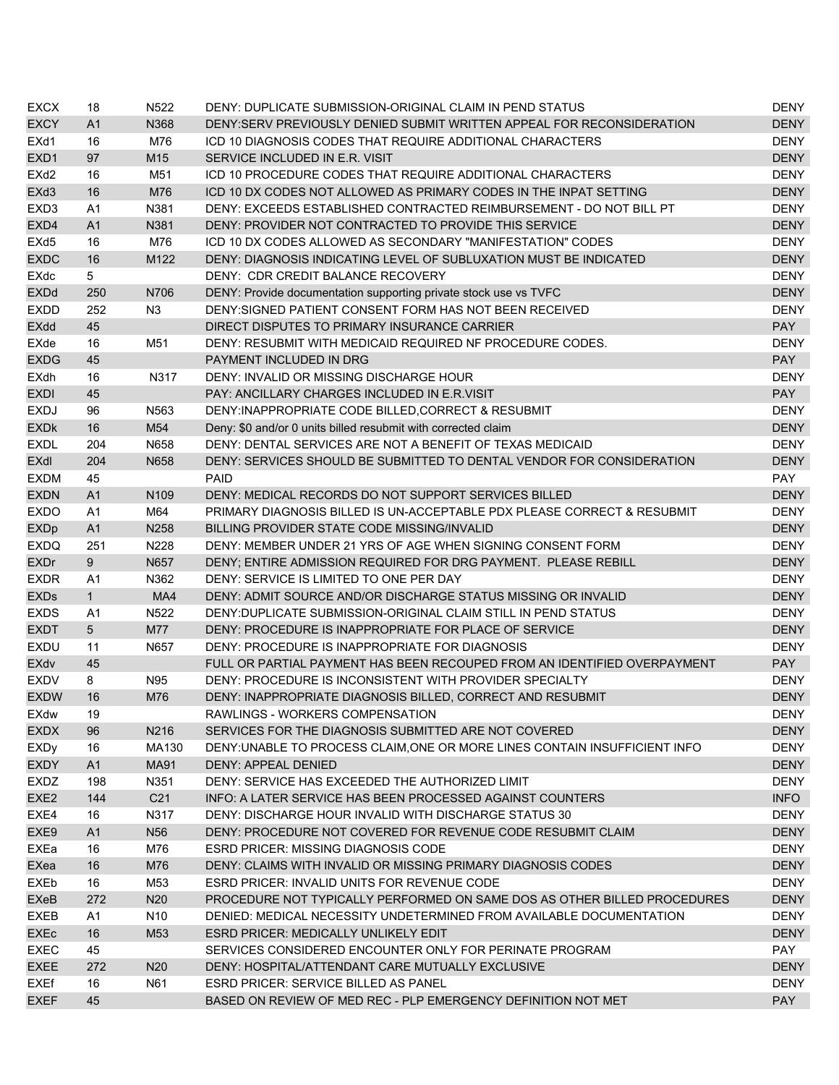| <b>EXCX</b>       | 18             | N522              | DENY: DUPLICATE SUBMISSION-ORIGINAL CLAIM IN PEND STATUS                  | DENY        |
|-------------------|----------------|-------------------|---------------------------------------------------------------------------|-------------|
| <b>EXCY</b>       | A <sub>1</sub> | N368              | DENY:SERV PREVIOUSLY DENIED SUBMIT WRITTEN APPEAL FOR RECONSIDERATION     | <b>DENY</b> |
| EXd1              | 16             | M76               | ICD 10 DIAGNOSIS CODES THAT REQUIRE ADDITIONAL CHARACTERS                 | <b>DENY</b> |
| EXD1              | 97             | M15               | SERVICE INCLUDED IN E.R. VISIT                                            | <b>DENY</b> |
| EX <sub>d</sub> 2 | 16             | M51               | ICD 10 PROCEDURE CODES THAT REQUIRE ADDITIONAL CHARACTERS                 | <b>DENY</b> |
| EXd3              | 16             | M76               | ICD 10 DX CODES NOT ALLOWED AS PRIMARY CODES IN THE INPAT SETTING         | <b>DENY</b> |
| EXD <sub>3</sub>  | A <sub>1</sub> | N381              | DENY: EXCEEDS ESTABLISHED CONTRACTED REIMBURSEMENT - DO NOT BILL PT       | <b>DENY</b> |
| EXD4              | A <sub>1</sub> | N381              | DENY: PROVIDER NOT CONTRACTED TO PROVIDE THIS SERVICE                     | <b>DENY</b> |
| EX <sub>d</sub> 5 | 16             | M76               | ICD 10 DX CODES ALLOWED AS SECONDARY "MANIFESTATION" CODES                | <b>DENY</b> |
| <b>EXDC</b>       | 16             | M122              | DENY: DIAGNOSIS INDICATING LEVEL OF SUBLUXATION MUST BE INDICATED         | <b>DENY</b> |
| <b>EXdc</b>       | 5              |                   | DENY: CDR CREDIT BALANCE RECOVERY                                         | <b>DENY</b> |
| <b>EXDd</b>       | 250            | N706              | DENY: Provide documentation supporting private stock use vs TVFC          | <b>DENY</b> |
| <b>EXDD</b>       | 252            | N <sub>3</sub>    | DENY: SIGNED PATIENT CONSENT FORM HAS NOT BEEN RECEIVED                   | <b>DENY</b> |
| <b>EXdd</b>       | 45             |                   | DIRECT DISPUTES TO PRIMARY INSURANCE CARRIER                              | <b>PAY</b>  |
| EXde              | 16             | M51               | DENY: RESUBMIT WITH MEDICAID REQUIRED NF PROCEDURE CODES.                 | <b>DENY</b> |
| <b>EXDG</b>       | 45             |                   | PAYMENT INCLUDED IN DRG                                                   | <b>PAY</b>  |
| EXdh              | 16             | N317              | DENY: INVALID OR MISSING DISCHARGE HOUR                                   | <b>DENY</b> |
| <b>EXDI</b>       | 45             |                   | PAY: ANCILLARY CHARGES INCLUDED IN E.R.VISIT                              | <b>PAY</b>  |
| <b>EXDJ</b>       | 96             | N563              | DENY: INAPPROPRIATE CODE BILLED, CORRECT & RESUBMIT                       | <b>DENY</b> |
| <b>EXDK</b>       | 16             | M54               | Deny: \$0 and/or 0 units billed resubmit with corrected claim             | <b>DENY</b> |
| <b>EXDL</b>       | 204            | N658              | DENY: DENTAL SERVICES ARE NOT A BENEFIT OF TEXAS MEDICAID                 | <b>DENY</b> |
| EXdl              | 204            | N658              | DENY: SERVICES SHOULD BE SUBMITTED TO DENTAL VENDOR FOR CONSIDERATION     | <b>DENY</b> |
| <b>EXDM</b>       | 45             |                   | <b>PAID</b>                                                               | PAY         |
| <b>EXDN</b>       | A1             | N <sub>109</sub>  | DENY: MEDICAL RECORDS DO NOT SUPPORT SERVICES BILLED                      | <b>DENY</b> |
| <b>EXDO</b>       | A <sub>1</sub> | M64               | PRIMARY DIAGNOSIS BILLED IS UN-ACCEPTABLE PDX PLEASE CORRECT & RESUBMIT   | <b>DENY</b> |
| <b>EXDp</b>       | A1             | N258              | BILLING PROVIDER STATE CODE MISSING/INVALID                               | <b>DENY</b> |
| <b>EXDQ</b>       | 251            | N228              | DENY: MEMBER UNDER 21 YRS OF AGE WHEN SIGNING CONSENT FORM                | <b>DENY</b> |
| <b>EXDr</b>       | 9              | N657              | DENY; ENTIRE ADMISSION REQUIRED FOR DRG PAYMENT. PLEASE REBILL            | <b>DENY</b> |
| <b>EXDR</b>       | A1             | N362              | DENY: SERVICE IS LIMITED TO ONE PER DAY                                   | <b>DENY</b> |
| <b>EXDs</b>       | $\mathbf{1}$   | MA4               | DENY: ADMIT SOURCE AND/OR DISCHARGE STATUS MISSING OR INVALID             | <b>DENY</b> |
| <b>EXDS</b>       | A1             | N <sub>522</sub>  | DENY: DUPLICATE SUBMISSION-ORIGINAL CLAIM STILL IN PEND STATUS            | <b>DENY</b> |
| <b>EXDT</b>       | 5 <sup>5</sup> | M77               | DENY: PROCEDURE IS INAPPROPRIATE FOR PLACE OF SERVICE                     | <b>DENY</b> |
| <b>EXDU</b>       | 11             | N657              | DENY: PROCEDURE IS INAPPROPRIATE FOR DIAGNOSIS                            | <b>DENY</b> |
| <b>EXdv</b>       | 45             |                   | FULL OR PARTIAL PAYMENT HAS BEEN RECOUPED FROM AN IDENTIFIED OVERPAYMENT  | <b>PAY</b>  |
| <b>EXDV</b>       | 8              | N95               | DENY: PROCEDURE IS INCONSISTENT WITH PROVIDER SPECIALTY                   | <b>DENY</b> |
| <b>EXDW</b>       | 16             | M76               | DENY: INAPPROPRIATE DIAGNOSIS BILLED, CORRECT AND RESUBMIT                | <b>DENY</b> |
| EXdw              | 19             |                   | RAWLINGS - WORKERS COMPENSATION                                           | DENY        |
| <b>EXDX</b>       | 96             | N <sub>2</sub> 16 | SERVICES FOR THE DIAGNOSIS SUBMITTED ARE NOT COVERED                      | <b>DENY</b> |
| <b>EXDy</b>       | 16             | MA130             | DENY: UNABLE TO PROCESS CLAIM.ONE OR MORE LINES CONTAIN INSUFFICIENT INFO | <b>DENY</b> |
| <b>EXDY</b>       | A1             | <b>MA91</b>       | <b>DENY: APPEAL DENIED</b>                                                | <b>DENY</b> |
| EXDZ              | 198            | N351              | DENY: SERVICE HAS EXCEEDED THE AUTHORIZED LIMIT                           | <b>DENY</b> |
| EXE <sub>2</sub>  | 144            | C <sub>21</sub>   | INFO: A LATER SERVICE HAS BEEN PROCESSED AGAINST COUNTERS                 | <b>INFO</b> |
| EXE4              | 16             | N317              | DENY: DISCHARGE HOUR INVALID WITH DISCHARGE STATUS 30                     | <b>DENY</b> |
| EXE9              | A1             | N <sub>56</sub>   | DENY: PROCEDURE NOT COVERED FOR REVENUE CODE RESUBMIT CLAIM               | <b>DENY</b> |
| EXEa              | 16             | M76               | <b>ESRD PRICER: MISSING DIAGNOSIS CODE</b>                                | <b>DENY</b> |
| EXea              | 16             | M76               | DENY: CLAIMS WITH INVALID OR MISSING PRIMARY DIAGNOSIS CODES              | <b>DENY</b> |
| EXEb              | 16             | M53               | ESRD PRICER: INVALID UNITS FOR REVENUE CODE                               | <b>DENY</b> |
| EXeB              | 272            | N20               | PROCEDURE NOT TYPICALLY PERFORMED ON SAME DOS AS OTHER BILLED PROCEDURES  | <b>DENY</b> |
| EXEB              | A1             | N <sub>10</sub>   | DENIED: MEDICAL NECESSITY UNDETERMINED FROM AVAILABLE DOCUMENTATION       | <b>DENY</b> |
| <b>EXEc</b>       | 16             | M53               | ESRD PRICER: MEDICALLY UNLIKELY EDIT                                      | <b>DENY</b> |
| <b>EXEC</b>       | 45             |                   | SERVICES CONSIDERED ENCOUNTER ONLY FOR PERINATE PROGRAM                   | <b>PAY</b>  |
| <b>EXEE</b>       | 272            | N20               | DENY: HOSPITAL/ATTENDANT CARE MUTUALLY EXCLUSIVE                          | <b>DENY</b> |
| EXEf              | 16             | N61               | <b>ESRD PRICER: SERVICE BILLED AS PANEL</b>                               | <b>DENY</b> |
| <b>EXEF</b>       | 45             |                   | BASED ON REVIEW OF MED REC - PLP EMERGENCY DEFINITION NOT MET             | <b>PAY</b>  |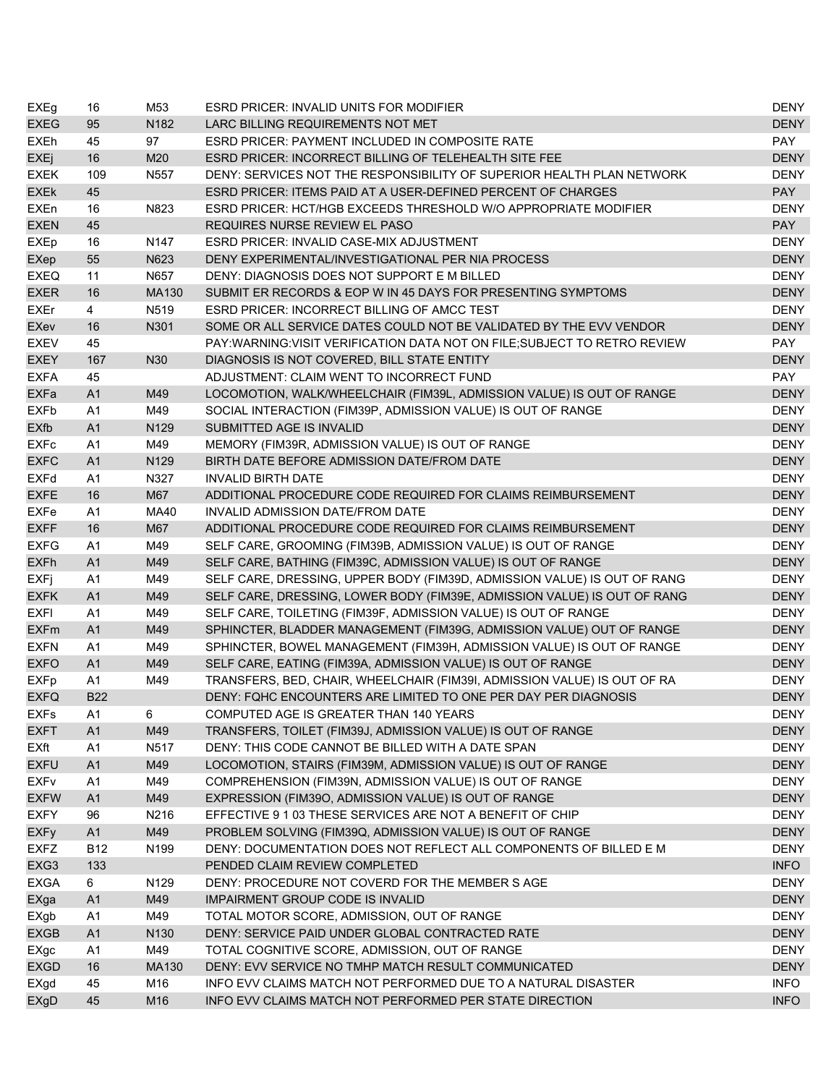| EXEg                   | 16             | M53              | ESRD PRICER: INVALID UNITS FOR MODIFIER                                    | <b>DENY</b> |
|------------------------|----------------|------------------|----------------------------------------------------------------------------|-------------|
| <b>EXEG</b>            | 95             | N <sub>182</sub> | LARC BILLING REQUIREMENTS NOT MET                                          | <b>DENY</b> |
| <b>EXEh</b>            | 45             | 97               | ESRD PRICER: PAYMENT INCLUDED IN COMPOSITE RATE                            | PAY         |
| <b>EXEj</b>            | 16             | M20              | <b>ESRD PRICER: INCORRECT BILLING OF TELEHEALTH SITE FEE</b>               | <b>DENY</b> |
| <b>EXEK</b>            | 109            | N557             | DENY: SERVICES NOT THE RESPONSIBILITY OF SUPERIOR HEALTH PLAN NETWORK      | <b>DENY</b> |
| <b>EXEK</b>            | 45             |                  | ESRD PRICER: ITEMS PAID AT A USER-DEFINED PERCENT OF CHARGES               | <b>PAY</b>  |
| <b>EXEn</b>            | 16             | N823             | ESRD PRICER: HCT/HGB EXCEEDS THRESHOLD W/O APPROPRIATE MODIFIER            | <b>DENY</b> |
| <b>EXEN</b>            | 45             |                  | REQUIRES NURSE REVIEW EL PASO                                              | <b>PAY</b>  |
| <b>EXEp</b>            | 16             | N <sub>147</sub> | ESRD PRICER: INVALID CASE-MIX ADJUSTMENT                                   | <b>DENY</b> |
| EXep                   | 55             | N623             | DENY EXPERIMENTAL/INVESTIGATIONAL PER NIA PROCESS                          | <b>DENY</b> |
| <b>EXEQ</b>            | 11             | N657             | DENY: DIAGNOSIS DOES NOT SUPPORT E M BILLED                                | <b>DENY</b> |
| <b>EXER</b>            | 16             | MA130            | SUBMIT ER RECORDS & EOP W IN 45 DAYS FOR PRESENTING SYMPTOMS               | <b>DENY</b> |
| <b>EXEr</b>            | $\overline{4}$ | N519             | <b>ESRD PRICER: INCORRECT BILLING OF AMCC TEST</b>                         | <b>DENY</b> |
| EXev                   | 16             | N301             | SOME OR ALL SERVICE DATES COULD NOT BE VALIDATED BY THE EVV VENDOR         | <b>DENY</b> |
| <b>EXEV</b>            | 45             |                  | PAY: WARNING: VISIT VERIFICATION DATA NOT ON FILE; SUBJECT TO RETRO REVIEW | PAY         |
| <b>EXEY</b>            | 167            | N30              | DIAGNOSIS IS NOT COVERED, BILL STATE ENTITY                                | <b>DENY</b> |
| <b>EXFA</b>            | 45             |                  | ADJUSTMENT: CLAIM WENT TO INCORRECT FUND                                   | <b>PAY</b>  |
| <b>EXFa</b>            | A <sub>1</sub> | M49              | LOCOMOTION, WALK/WHEELCHAIR (FIM39L, ADMISSION VALUE) IS OUT OF RANGE      | <b>DENY</b> |
| <b>EXFb</b>            | A <sub>1</sub> | M49              | SOCIAL INTERACTION (FIM39P, ADMISSION VALUE) IS OUT OF RANGE               | <b>DENY</b> |
| <b>EXfb</b>            | A1             | N129             | SUBMITTED AGE IS INVALID                                                   | <b>DENY</b> |
| <b>EXFc</b>            | A <sub>1</sub> | M49              | MEMORY (FIM39R, ADMISSION VALUE) IS OUT OF RANGE                           | <b>DENY</b> |
| <b>EXFC</b>            | A1             | N129             | BIRTH DATE BEFORE ADMISSION DATE/FROM DATE                                 | <b>DENY</b> |
| <b>EXFd</b>            | A <sub>1</sub> | N327             | <b>INVALID BIRTH DATE</b>                                                  | <b>DENY</b> |
| <b>EXFE</b>            | 16             | M67              | ADDITIONAL PROCEDURE CODE REQUIRED FOR CLAIMS REIMBURSEMENT                | <b>DENY</b> |
| EXFe                   | A <sub>1</sub> | MA40             | INVALID ADMISSION DATE/FROM DATE                                           | <b>DENY</b> |
| <b>EXFF</b>            | 16             | M67              | ADDITIONAL PROCEDURE CODE REQUIRED FOR CLAIMS REIMBURSEMENT                | <b>DENY</b> |
| <b>EXFG</b>            | A <sub>1</sub> | M49              | SELF CARE, GROOMING (FIM39B, ADMISSION VALUE) IS OUT OF RANGE              | <b>DENY</b> |
| <b>EXFh</b>            | A <sub>1</sub> | M49              | SELF CARE, BATHING (FIM39C, ADMISSION VALUE) IS OUT OF RANGE               | <b>DENY</b> |
| EXFj                   | A <sub>1</sub> | M49              | SELF CARE, DRESSING, UPPER BODY (FIM39D, ADMISSION VALUE) IS OUT OF RANG   | <b>DENY</b> |
| <b>EXFK</b>            | A1             | M49              | SELF CARE, DRESSING, LOWER BODY (FIM39E, ADMISSION VALUE) IS OUT OF RANG   | <b>DENY</b> |
| <b>EXFI</b>            | A <sub>1</sub> | M49              | SELF CARE, TOILETING (FIM39F, ADMISSION VALUE) IS OUT OF RANGE             | <b>DENY</b> |
| <b>EXFm</b>            | A1             | M49              | SPHINCTER, BLADDER MANAGEMENT (FIM39G, ADMISSION VALUE) OUT OF RANGE       | <b>DENY</b> |
| <b>EXFN</b>            | A <sub>1</sub> | M49              | SPHINCTER, BOWEL MANAGEMENT (FIM39H, ADMISSION VALUE) IS OUT OF RANGE      | <b>DENY</b> |
| <b>EXFO</b>            | A1             | M49              | SELF CARE, EATING (FIM39A, ADMISSION VALUE) IS OUT OF RANGE                | <b>DENY</b> |
| <b>EXFp</b>            | A <sub>1</sub> | M49              | TRANSFERS, BED, CHAIR, WHEELCHAIR (FIM39I, ADMISSION VALUE) IS OUT OF RA   | <b>DENY</b> |
| <b>EXFQ</b>            | <b>B22</b>     |                  | DENY: FQHC ENCOUNTERS ARE LIMITED TO ONE PER DAY PER DIAGNOSIS             | <b>DENY</b> |
| EXFs                   | A1             | 6                | COMPUTED AGE IS GREATER THAN 140 YEARS                                     | <b>DENY</b> |
| <b>EXFT</b>            | A <sub>1</sub> | M49              | TRANSFERS, TOILET (FIM39J, ADMISSION VALUE) IS OUT OF RANGE                | <b>DENY</b> |
| EXft                   | A <sub>1</sub> | N517             | DENY: THIS CODE CANNOT BE BILLED WITH A DATE SPAN                          | <b>DENY</b> |
| <b>EXFU</b>            | A1             | M49              | LOCOMOTION, STAIRS (FIM39M, ADMISSION VALUE) IS OUT OF RANGE               | <b>DENY</b> |
| <b>EXF<sub>V</sub></b> | A <sub>1</sub> | M49              | COMPREHENSION (FIM39N, ADMISSION VALUE) IS OUT OF RANGE                    | <b>DENY</b> |
| <b>EXFW</b>            | A1             | M49              | EXPRESSION (FIM39O, ADMISSION VALUE) IS OUT OF RANGE                       | <b>DENY</b> |
| <b>EXFY</b>            | 96             | N216             | EFFECTIVE 9 1 03 THESE SERVICES ARE NOT A BENEFIT OF CHIP                  | <b>DENY</b> |
| <b>EXFy</b>            | A1             | M49              | PROBLEM SOLVING (FIM39Q, ADMISSION VALUE) IS OUT OF RANGE                  | <b>DENY</b> |
| <b>EXFZ</b>            | <b>B12</b>     | N199             | DENY: DOCUMENTATION DOES NOT REFLECT ALL COMPONENTS OF BILLED E M          | <b>DENY</b> |
| EXG3                   | 133            |                  | PENDED CLAIM REVIEW COMPLETED                                              | <b>INFO</b> |
| <b>EXGA</b>            | 6              | N <sub>129</sub> | DENY: PROCEDURE NOT COVERD FOR THE MEMBER S AGE                            | <b>DENY</b> |
| EXga                   | A1             | M49              | <b>IMPAIRMENT GROUP CODE IS INVALID</b>                                    | <b>DENY</b> |
| EXgb                   | A <sub>1</sub> | M49              | TOTAL MOTOR SCORE, ADMISSION, OUT OF RANGE                                 | <b>DENY</b> |
| <b>EXGB</b>            | A1             | N130             | DENY: SERVICE PAID UNDER GLOBAL CONTRACTED RATE                            | <b>DENY</b> |
| EXgc                   | A <sub>1</sub> | M49              | TOTAL COGNITIVE SCORE, ADMISSION, OUT OF RANGE                             | <b>DENY</b> |
| <b>EXGD</b>            | 16             | MA130            | DENY: EVV SERVICE NO TMHP MATCH RESULT COMMUNICATED                        | <b>DENY</b> |
| EXgd                   | 45             | M16              | INFO EVV CLAIMS MATCH NOT PERFORMED DUE TO A NATURAL DISASTER              | <b>INFO</b> |
| EXgD                   | 45             | M16              | INFO EVV CLAIMS MATCH NOT PERFORMED PER STATE DIRECTION                    | <b>INFO</b> |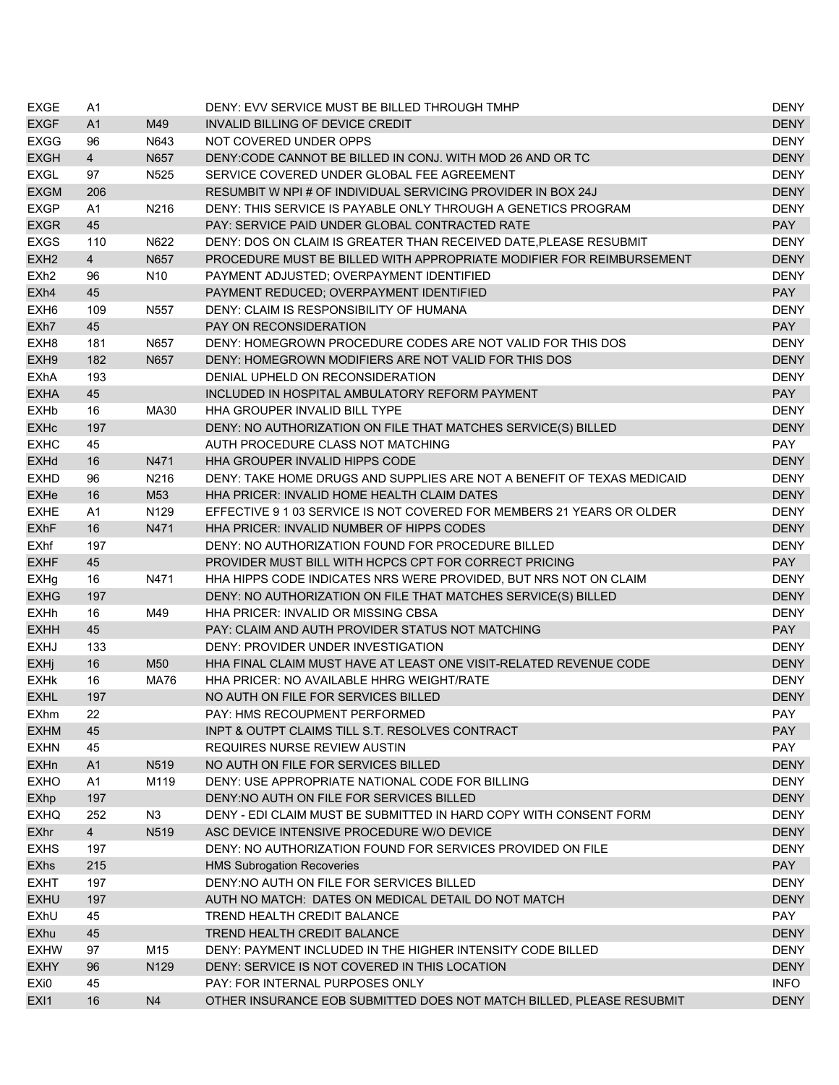| <b>EXGE</b>      | A1             |                  | DENY: EVV SERVICE MUST BE BILLED THROUGH TMHP                          | <b>DENY</b> |
|------------------|----------------|------------------|------------------------------------------------------------------------|-------------|
| <b>EXGF</b>      | A1             | M49              | <b>INVALID BILLING OF DEVICE CREDIT</b>                                | <b>DENY</b> |
| <b>EXGG</b>      | 96             | N643             | NOT COVERED UNDER OPPS                                                 | <b>DENY</b> |
| <b>EXGH</b>      | $\overline{4}$ | N657             | DENY: CODE CANNOT BE BILLED IN CONJ. WITH MOD 26 AND OR TC             | <b>DENY</b> |
| <b>EXGL</b>      | 97             | N <sub>525</sub> | SERVICE COVERED UNDER GLOBAL FEE AGREEMENT                             | <b>DENY</b> |
| <b>EXGM</b>      | 206            |                  | RESUMBIT W NPI # OF INDIVIDUAL SERVICING PROVIDER IN BOX 24J           | <b>DENY</b> |
| <b>EXGP</b>      | A1             | N216             | DENY: THIS SERVICE IS PAYABLE ONLY THROUGH A GENETICS PROGRAM          | <b>DENY</b> |
| <b>EXGR</b>      | 45             |                  | PAY: SERVICE PAID UNDER GLOBAL CONTRACTED RATE                         | <b>PAY</b>  |
| <b>EXGS</b>      | 110            | N622             | DENY: DOS ON CLAIM IS GREATER THAN RECEIVED DATE, PLEASE RESUBMIT      | <b>DENY</b> |
| EXH <sub>2</sub> | $\overline{4}$ | N657             | PROCEDURE MUST BE BILLED WITH APPROPRIATE MODIFIER FOR REIMBURSEMENT   | <b>DENY</b> |
| EXh <sub>2</sub> | 96             | N <sub>10</sub>  | PAYMENT ADJUSTED; OVERPAYMENT IDENTIFIED                               | <b>DENY</b> |
| EXh4             | 45             |                  | PAYMENT REDUCED; OVERPAYMENT IDENTIFIED                                | <b>PAY</b>  |
| EXH <sub>6</sub> | 109            | N557             | DENY: CLAIM IS RESPONSIBILITY OF HUMANA                                | <b>DENY</b> |
| EXh7             | 45             |                  | PAY ON RECONSIDERATION                                                 | <b>PAY</b>  |
| EXH <sub>8</sub> | 181            | N657             | DENY: HOMEGROWN PROCEDURE CODES ARE NOT VALID FOR THIS DOS             | <b>DENY</b> |
| EXH <sub>9</sub> | 182            | N657             | DENY: HOMEGROWN MODIFIERS ARE NOT VALID FOR THIS DOS                   | <b>DENY</b> |
| <b>EXhA</b>      | 193            |                  | DENIAL UPHELD ON RECONSIDERATION                                       | <b>DENY</b> |
| <b>EXHA</b>      | 45             |                  | INCLUDED IN HOSPITAL AMBULATORY REFORM PAYMENT                         | <b>PAY</b>  |
| <b>EXHb</b>      | 16             | MA30             | HHA GROUPER INVALID BILL TYPE                                          | <b>DENY</b> |
| <b>EXHc</b>      | 197            |                  | DENY: NO AUTHORIZATION ON FILE THAT MATCHES SERVICE(S) BILLED          | <b>DENY</b> |
| <b>EXHC</b>      | 45             |                  | AUTH PROCEDURE CLASS NOT MATCHING                                      | PAY         |
| <b>EXHd</b>      | 16             | N471             | HHA GROUPER INVALID HIPPS CODE                                         | <b>DENY</b> |
| <b>EXHD</b>      | 96             | N216             | DENY: TAKE HOME DRUGS AND SUPPLIES ARE NOT A BENEFIT OF TEXAS MEDICAID | <b>DENY</b> |
| EXHe             | 16             | M53              | HHA PRICER: INVALID HOME HEALTH CLAIM DATES                            | <b>DENY</b> |
| <b>EXHE</b>      | A1             | N129             | EFFECTIVE 9 1 03 SERVICE IS NOT COVERED FOR MEMBERS 21 YEARS OR OLDER  | <b>DENY</b> |
| <b>EXhF</b>      | 16             | N471             | HHA PRICER: INVALID NUMBER OF HIPPS CODES                              | <b>DENY</b> |
| EXhf             | 197            |                  | DENY: NO AUTHORIZATION FOUND FOR PROCEDURE BILLED                      | <b>DENY</b> |
| <b>EXHF</b>      | 45             |                  | PROVIDER MUST BILL WITH HCPCS CPT FOR CORRECT PRICING                  | <b>PAY</b>  |
| <b>EXHg</b>      | 16             | N471             | HHA HIPPS CODE INDICATES NRS WERE PROVIDED, BUT NRS NOT ON CLAIM       | <b>DENY</b> |
| <b>EXHG</b>      | 197            |                  | DENY: NO AUTHORIZATION ON FILE THAT MATCHES SERVICE(S) BILLED          | <b>DENY</b> |
| <b>EXHh</b>      | 16             | M49              | <b>HHA PRICER: INVALID OR MISSING CBSA</b>                             | <b>DENY</b> |
| <b>EXHH</b>      | 45             |                  | PAY: CLAIM AND AUTH PROVIDER STATUS NOT MATCHING                       | <b>PAY</b>  |
| <b>EXHJ</b>      | 133            |                  | DENY: PROVIDER UNDER INVESTIGATION                                     | <b>DENY</b> |
| <b>EXHj</b>      | 16             | M50              | HHA FINAL CLAIM MUST HAVE AT LEAST ONE VISIT-RELATED REVENUE CODE      | <b>DENY</b> |
| <b>EXHK</b>      | 16             | <b>MA76</b>      | HHA PRICER: NO AVAILABLE HHRG WEIGHT/RATE                              | <b>DENY</b> |
| <b>EXHL</b>      | 197            |                  | NO AUTH ON FILE FOR SERVICES BILLED                                    | <b>DENY</b> |
| EXhm             | 22             |                  | PAY: HMS RECOUPMENT PERFORMED                                          | PAY         |
| <b>EXHM</b>      | 45             |                  | INPT & OUTPT CLAIMS TILL S.T. RESOLVES CONTRACT                        | <b>PAY</b>  |
| <b>EXHN</b>      | 45             |                  | <b>REQUIRES NURSE REVIEW AUSTIN</b>                                    | <b>PAY</b>  |
| <b>EXHn</b>      | A1             | N519             | NO AUTH ON FILE FOR SERVICES BILLED                                    | <b>DENY</b> |
| <b>EXHO</b>      | A1             | M119             | DENY: USE APPROPRIATE NATIONAL CODE FOR BILLING                        | <b>DENY</b> |
| EXhp             | 197            |                  | DENY: NO AUTH ON FILE FOR SERVICES BILLED                              | <b>DENY</b> |
| <b>EXHQ</b>      | 252            | N <sub>3</sub>   | DENY - EDI CLAIM MUST BE SUBMITTED IN HARD COPY WITH CONSENT FORM      | <b>DENY</b> |
| <b>EXhr</b>      | $\overline{4}$ | N519             | ASC DEVICE INTENSIVE PROCEDURE W/O DEVICE                              | <b>DENY</b> |
| <b>EXHS</b>      | 197            |                  | DENY: NO AUTHORIZATION FOUND FOR SERVICES PROVIDED ON FILE             | <b>DENY</b> |
| <b>EXhs</b>      | 215            |                  | <b>HMS Subrogation Recoveries</b>                                      | <b>PAY</b>  |
| <b>EXHT</b>      | 197            |                  | DENY: NO AUTH ON FILE FOR SERVICES BILLED                              | <b>DENY</b> |
| <b>EXHU</b>      | 197            |                  | AUTH NO MATCH: DATES ON MEDICAL DETAIL DO NOT MATCH                    | <b>DENY</b> |
| EXhU             | 45             |                  | TREND HEALTH CREDIT BALANCE                                            | PAY         |
| <b>EXhu</b>      | 45             |                  | TREND HEALTH CREDIT BALANCE                                            | <b>DENY</b> |
| <b>EXHW</b>      | 97             | M15              | DENY: PAYMENT INCLUDED IN THE HIGHER INTENSITY CODE BILLED             | <b>DENY</b> |
| <b>EXHY</b>      | 96             | N129             | DENY: SERVICE IS NOT COVERED IN THIS LOCATION                          | <b>DENY</b> |
| EXi0             | 45             |                  | PAY: FOR INTERNAL PURPOSES ONLY                                        | <b>INFO</b> |
| EX <sub>I1</sub> | 16             | N <sub>4</sub>   | OTHER INSURANCE EOB SUBMITTED DOES NOT MATCH BILLED, PLEASE RESUBMIT   | <b>DENY</b> |
|                  |                |                  |                                                                        |             |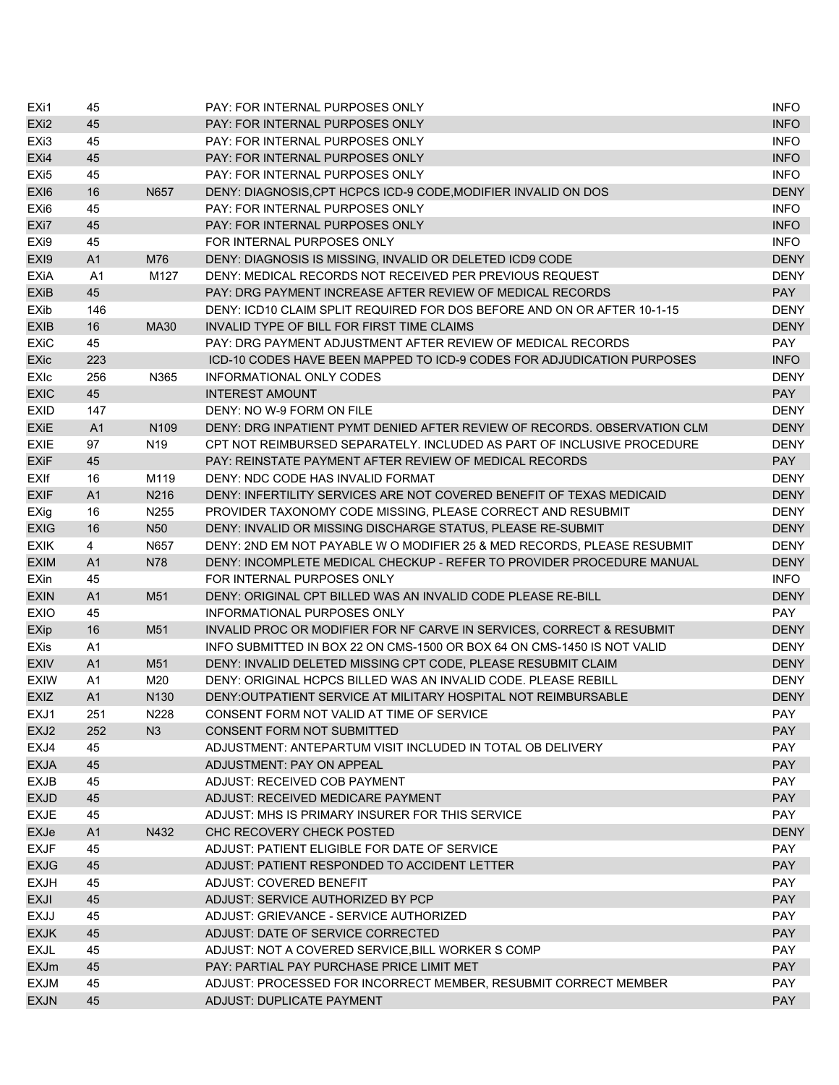| EXi1                       | 45             |                  | PAY: FOR INTERNAL PURPOSES ONLY                                          | <b>INFO</b>       |
|----------------------------|----------------|------------------|--------------------------------------------------------------------------|-------------------|
| EX <sub>i2</sub>           | 45             |                  | PAY: FOR INTERNAL PURPOSES ONLY                                          | <b>INFO</b>       |
| EX <sub>i3</sub>           | 45             |                  | PAY: FOR INTERNAL PURPOSES ONLY                                          | <b>INFO</b>       |
| EX <sub>i4</sub>           | 45             |                  | <b>PAY: FOR INTERNAL PURPOSES ONLY</b>                                   | <b>INFO</b>       |
| EX <sub>i5</sub>           | 45             |                  | PAY: FOR INTERNAL PURPOSES ONLY                                          | <b>INFO</b>       |
| EX <sub>I6</sub>           | 16             | N657             | DENY: DIAGNOSIS, CPT HCPCS ICD-9 CODE, MODIFIER INVALID ON DOS           | <b>DENY</b>       |
| EX <sub>i6</sub>           | 45             |                  | PAY: FOR INTERNAL PURPOSES ONLY                                          | <b>INFO</b>       |
| EX <sub>i</sub> 7          | 45             |                  | PAY: FOR INTERNAL PURPOSES ONLY                                          | <b>INFO</b>       |
| EX <sub>i9</sub>           | 45             |                  | FOR INTERNAL PURPOSES ONLY                                               | <b>INFO</b>       |
| EX <sub>I9</sub>           | A <sub>1</sub> | M76              | DENY: DIAGNOSIS IS MISSING, INVALID OR DELETED ICD9 CODE                 | <b>DENY</b>       |
| <b>EXiA</b>                | A <sub>1</sub> | M127             | DENY: MEDICAL RECORDS NOT RECEIVED PER PREVIOUS REQUEST                  | <b>DENY</b>       |
| <b>EXiB</b>                | 45             |                  | PAY: DRG PAYMENT INCREASE AFTER REVIEW OF MEDICAL RECORDS                | <b>PAY</b>        |
| EXib                       | 146            |                  | DENY: ICD10 CLAIM SPLIT REQUIRED FOR DOS BEFORE AND ON OR AFTER 10-1-15  | <b>DENY</b>       |
| <b>EXIB</b>                | 16             | MA30             | INVALID TYPE OF BILL FOR FIRST TIME CLAIMS                               | <b>DENY</b>       |
| <b>EXiC</b>                | 45             |                  | PAY: DRG PAYMENT ADJUSTMENT AFTER REVIEW OF MEDICAL RECORDS              | PAY               |
| EXic                       | 223            |                  | ICD-10 CODES HAVE BEEN MAPPED TO ICD-9 CODES FOR ADJUDICATION PURPOSES   | <b>INFO</b>       |
| EXIc                       | 256            | N365             | INFORMATIONAL ONLY CODES                                                 | <b>DENY</b>       |
| <b>EXIC</b>                | 45             |                  | <b>INTEREST AMOUNT</b>                                                   | <b>PAY</b>        |
| <b>EXID</b>                | 147            |                  | DENY: NO W-9 FORM ON FILE                                                | <b>DENY</b>       |
| <b>EXIE</b>                | A1             | N <sub>109</sub> | DENY: DRG INPATIENT PYMT DENIED AFTER REVIEW OF RECORDS, OBSERVATION CLM | <b>DENY</b>       |
| <b>EXIE</b>                | 97             | N <sub>19</sub>  | CPT NOT REIMBURSED SEPARATELY. INCLUDED AS PART OF INCLUSIVE PROCEDURE   | <b>DENY</b>       |
| <b>EXiF</b>                | 45             |                  | PAY: REINSTATE PAYMENT AFTER REVIEW OF MEDICAL RECORDS                   | <b>PAY</b>        |
| EXIf                       | 16             | M119             | DENY: NDC CODE HAS INVALID FORMAT                                        | <b>DENY</b>       |
| <b>EXIF</b>                | A <sub>1</sub> | N216             | DENY: INFERTILITY SERVICES ARE NOT COVERED BENEFIT OF TEXAS MEDICAID     | <b>DENY</b>       |
| EXig                       | 16             | N255             | PROVIDER TAXONOMY CODE MISSING, PLEASE CORRECT AND RESUBMIT              | <b>DENY</b>       |
| <b>EXIG</b>                | 16             | N <sub>50</sub>  | DENY: INVALID OR MISSING DISCHARGE STATUS, PLEASE RE-SUBMIT              | <b>DENY</b>       |
| <b>EXIK</b>                | 4              | N657             | DENY: 2ND EM NOT PAYABLE W O MODIFIER 25 & MED RECORDS, PLEASE RESUBMIT  | <b>DENY</b>       |
| <b>EXIM</b>                | A1             | <b>N78</b>       | DENY: INCOMPLETE MEDICAL CHECKUP - REFER TO PROVIDER PROCEDURE MANUAL    | <b>DENY</b>       |
| EXin                       | 45             |                  | FOR INTERNAL PURPOSES ONLY                                               | <b>INFO</b>       |
| <b>EXIN</b>                | A1             | M51              | DENY: ORIGINAL CPT BILLED WAS AN INVALID CODE PLEASE RE-BILL             | <b>DENY</b>       |
| <b>EXIO</b>                | 45             |                  | INFORMATIONAL PURPOSES ONLY                                              | <b>PAY</b>        |
| <b>EXip</b>                | 16             | M51              | INVALID PROC OR MODIFIER FOR NF CARVE IN SERVICES, CORRECT & RESUBMIT    | <b>DENY</b>       |
| EXis                       | A <sub>1</sub> |                  | INFO SUBMITTED IN BOX 22 ON CMS-1500 OR BOX 64 ON CMS-1450 IS NOT VALID  | <b>DENY</b>       |
| <b>EXIV</b>                | A <sub>1</sub> | M51              | DENY: INVALID DELETED MISSING CPT CODE, PLEASE RESUBMIT CLAIM            | <b>DENY</b>       |
| <b>EXIW</b>                | A1             | M20              | DENY: ORIGINAL HCPCS BILLED WAS AN INVALID CODE. PLEASE REBILL           | <b>DENY</b>       |
| <b>EXIZ</b>                | A <sub>1</sub> | N <sub>130</sub> | DENY: OUTPATIENT SERVICE AT MILITARY HOSPITAL NOT REIMBURSABLE           | <b>DENY</b>       |
| EXJ1                       | 251            | N228             | CONSENT FORM NOT VALID AT TIME OF SERVICE                                | PAY               |
| EXJ2                       | 252            | N3               | CONSENT FORM NOT SUBMITTED                                               | <b>PAY</b>        |
| EXJ4                       | 45             |                  | ADJUSTMENT: ANTEPARTUM VISIT INCLUDED IN TOTAL OB DELIVERY               | <b>PAY</b>        |
| <b>EXJA</b>                | 45             |                  | ADJUSTMENT: PAY ON APPEAL                                                | <b>PAY</b>        |
| <b>EXJB</b>                | 45             |                  | <b>ADJUST: RECEIVED COB PAYMENT</b>                                      | <b>PAY</b>        |
| <b>EXJD</b>                | 45             |                  | ADJUST: RECEIVED MEDICARE PAYMENT                                        | <b>PAY</b>        |
| <b>EXJE</b>                | 45             |                  | ADJUST: MHS IS PRIMARY INSURER FOR THIS SERVICE                          | <b>PAY</b>        |
| <b>EXJe</b>                | A <sub>1</sub> | N432             | CHC RECOVERY CHECK POSTED                                                | <b>DENY</b>       |
| <b>EXJF</b>                | 45             |                  | ADJUST: PATIENT ELIGIBLE FOR DATE OF SERVICE                             | PAY               |
|                            | 45             |                  | ADJUST: PATIENT RESPONDED TO ACCIDENT LETTER                             | <b>PAY</b>        |
| <b>EXJG</b>                |                |                  | <b>ADJUST: COVERED BENEFIT</b>                                           | <b>PAY</b>        |
| <b>EXJH</b><br><b>EXJI</b> | 45<br>45       |                  | ADJUST: SERVICE AUTHORIZED BY PCP                                        | <b>PAY</b>        |
| EXJJ                       | 45             |                  | ADJUST: GRIEVANCE - SERVICE AUTHORIZED                                   | PAY               |
|                            |                |                  | ADJUST: DATE OF SERVICE CORRECTED                                        |                   |
| <b>EXJK</b>                | 45<br>45       |                  |                                                                          | <b>PAY</b><br>PAY |
| <b>EXJL</b>                |                |                  | ADJUST: NOT A COVERED SERVICE, BILL WORKER S COMP                        |                   |
| <b>EXJm</b>                | 45             |                  | PAY: PARTIAL PAY PURCHASE PRICE LIMIT MET                                | <b>PAY</b><br>PAY |
| <b>EXJM</b>                | 45             |                  | ADJUST: PROCESSED FOR INCORRECT MEMBER, RESUBMIT CORRECT MEMBER          |                   |
| <b>EXJN</b>                | 45             |                  | ADJUST: DUPLICATE PAYMENT                                                | <b>PAY</b>        |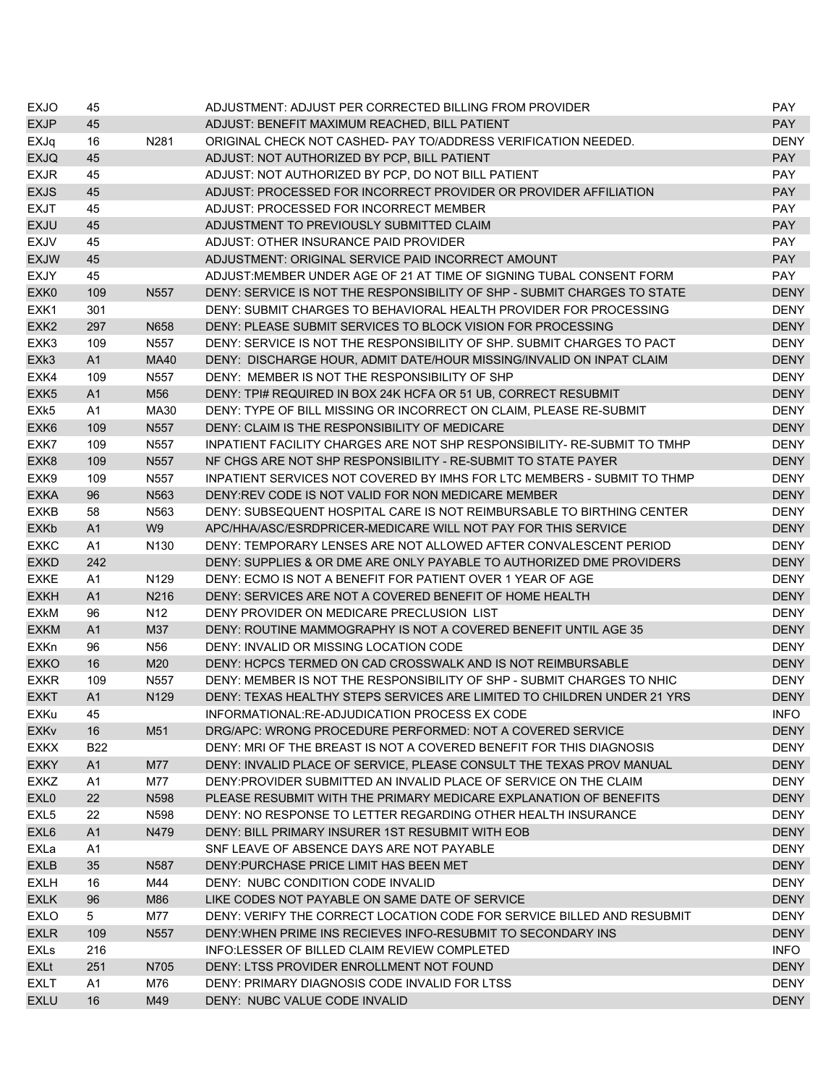| <b>EXJO</b>            | 45             |                   | ADJUSTMENT: ADJUST PER CORRECTED BILLING FROM PROVIDER                   | PAY.        |
|------------------------|----------------|-------------------|--------------------------------------------------------------------------|-------------|
| <b>EXJP</b>            | 45             |                   | ADJUST: BENEFIT MAXIMUM REACHED, BILL PATIENT                            | <b>PAY</b>  |
| EXJq                   | 16             | N281              | ORIGINAL CHECK NOT CASHED- PAY TO/ADDRESS VERIFICATION NEEDED.           | <b>DENY</b> |
| <b>EXJQ</b>            | 45             |                   | ADJUST: NOT AUTHORIZED BY PCP, BILL PATIENT                              | <b>PAY</b>  |
| <b>EXJR</b>            | 45             |                   | ADJUST: NOT AUTHORIZED BY PCP, DO NOT BILL PATIENT                       | PAY         |
| <b>EXJS</b>            | 45             |                   | ADJUST: PROCESSED FOR INCORRECT PROVIDER OR PROVIDER AFFILIATION         | <b>PAY</b>  |
| <b>EXJT</b>            | 45             |                   | ADJUST: PROCESSED FOR INCORRECT MEMBER                                   | <b>PAY</b>  |
| <b>EXJU</b>            | 45             |                   | ADJUSTMENT TO PREVIOUSLY SUBMITTED CLAIM                                 | <b>PAY</b>  |
| <b>EXJV</b>            | 45             |                   | ADJUST: OTHER INSURANCE PAID PROVIDER                                    | <b>PAY</b>  |
| <b>EXJW</b>            | 45             |                   | ADJUSTMENT: ORIGINAL SERVICE PAID INCORRECT AMOUNT                       | <b>PAY</b>  |
| <b>EXJY</b>            | 45             |                   | ADJUST: MEMBER UNDER AGE OF 21 AT TIME OF SIGNING TUBAL CONSENT FORM     | <b>PAY</b>  |
| EXK <sub>0</sub>       | 109            | N <sub>55</sub> 7 | DENY: SERVICE IS NOT THE RESPONSIBILITY OF SHP - SUBMIT CHARGES TO STATE | <b>DENY</b> |
| EXK1                   | 301            |                   | DENY: SUBMIT CHARGES TO BEHAVIORAL HEALTH PROVIDER FOR PROCESSING        | <b>DENY</b> |
| EXK <sub>2</sub>       | 297            | N658              | DENY: PLEASE SUBMIT SERVICES TO BLOCK VISION FOR PROCESSING              | <b>DENY</b> |
| EXK3                   | 109            | N557              | DENY: SERVICE IS NOT THE RESPONSIBILITY OF SHP. SUBMIT CHARGES TO PACT   | <b>DENY</b> |
| EXk3                   | A1             | <b>MA40</b>       | DENY: DISCHARGE HOUR, ADMIT DATE/HOUR MISSING/INVALID ON INPAT CLAIM     | <b>DENY</b> |
| EXK4                   | 109            | N557              | DENY: MEMBER IS NOT THE RESPONSIBILITY OF SHP                            | <b>DENY</b> |
| EXK <sub>5</sub>       | A1             | M56               | DENY: TPI# REQUIRED IN BOX 24K HCFA OR 51 UB, CORRECT RESUBMIT           | <b>DENY</b> |
| EXk5                   | A1             | MA30              | DENY: TYPE OF BILL MISSING OR INCORRECT ON CLAIM, PLEASE RE-SUBMIT       | <b>DENY</b> |
| EXK <sub>6</sub>       | 109            | N557              | DENY: CLAIM IS THE RESPONSIBILITY OF MEDICARE                            | <b>DENY</b> |
| EXK7                   | 109            | N557              | INPATIENT FACILITY CHARGES ARE NOT SHP RESPONSIBILITY- RE-SUBMIT TO TMHP | <b>DENY</b> |
| EXK8                   | 109            | N <sub>557</sub>  | NF CHGS ARE NOT SHP RESPONSIBILITY - RE-SUBMIT TO STATE PAYER            | <b>DENY</b> |
| EXK9                   | 109            | N557              | INPATIENT SERVICES NOT COVERED BY IMHS FOR LTC MEMBERS - SUBMIT TO THMP  | <b>DENY</b> |
| <b>EXKA</b>            | 96             | N563              | DENY: REV CODE IS NOT VALID FOR NON MEDICARE MEMBER                      | <b>DENY</b> |
|                        |                | N563              | DENY: SUBSEQUENT HOSPITAL CARE IS NOT REIMBURSABLE TO BIRTHING CENTER    |             |
| <b>EXKB</b>            | 58             |                   |                                                                          | <b>DENY</b> |
| <b>EXKb</b>            | A <sub>1</sub> | W <sub>9</sub>    | APC/HHA/ASC/ESRDPRICER-MEDICARE WILL NOT PAY FOR THIS SERVICE            | <b>DENY</b> |
| <b>EXKC</b>            | A1             | N <sub>130</sub>  | DENY: TEMPORARY LENSES ARE NOT ALLOWED AFTER CONVALESCENT PERIOD         | <b>DENY</b> |
| <b>EXKD</b>            | 242            |                   | DENY: SUPPLIES & OR DME ARE ONLY PAYABLE TO AUTHORIZED DME PROVIDERS     | <b>DENY</b> |
| <b>EXKE</b>            | A1             | N <sub>129</sub>  | DENY: ECMO IS NOT A BENEFIT FOR PATIENT OVER 1 YEAR OF AGE               | <b>DENY</b> |
| <b>EXKH</b>            | A1             | N216              | DENY: SERVICES ARE NOT A COVERED BENEFIT OF HOME HEALTH                  | <b>DENY</b> |
| <b>EXKM</b>            | 96             | N <sub>12</sub>   | DENY PROVIDER ON MEDICARE PRECLUSION LIST                                | <b>DENY</b> |
| <b>EXKM</b>            | A1             | M37               | DENY: ROUTINE MAMMOGRAPHY IS NOT A COVERED BENEFIT UNTIL AGE 35          | <b>DENY</b> |
| <b>EXKn</b>            | 96             | N <sub>56</sub>   | DENY: INVALID OR MISSING LOCATION CODE                                   | <b>DENY</b> |
| <b>EXKO</b>            | 16             | M20               | DENY: HCPCS TERMED ON CAD CROSSWALK AND IS NOT REIMBURSABLE              | <b>DENY</b> |
| <b>EXKR</b>            | 109            | N557              | DENY: MEMBER IS NOT THE RESPONSIBILITY OF SHP - SUBMIT CHARGES TO NHIC   | <b>DENY</b> |
| <b>EXKT</b>            | A <sub>1</sub> | N129              | DENY: TEXAS HEALTHY STEPS SERVICES ARE LIMITED TO CHILDREN UNDER 21 YRS  | <b>DENY</b> |
| EXKu                   | 45             |                   | INFORMATIONAL:RE-ADJUDICATION PROCESS EX CODE                            | <b>INFO</b> |
| <b>EXK<sub>v</sub></b> | 16             | M51               | DRG/APC: WRONG PROCEDURE PERFORMED: NOT A COVERED SERVICE                | <b>DENY</b> |
| <b>EXKX</b>            | <b>B22</b>     |                   | DENY: MRI OF THE BREAST IS NOT A COVERED BENEFIT FOR THIS DIAGNOSIS      | <b>DENY</b> |
| <b>EXKY</b>            | A1             | M77               | DENY: INVALID PLACE OF SERVICE, PLEASE CONSULT THE TEXAS PROV MANUAL     | <b>DENY</b> |
| <b>EXKZ</b>            | A <sub>1</sub> | M77               | DENY: PROVIDER SUBMITTED AN INVALID PLACE OF SERVICE ON THE CLAIM        | DENY        |
| EXL <sub>0</sub>       | 22             | N598              | PLEASE RESUBMIT WITH THE PRIMARY MEDICARE EXPLANATION OF BENEFITS        | <b>DENY</b> |
| EXL <sub>5</sub>       | 22             | N598              | DENY: NO RESPONSE TO LETTER REGARDING OTHER HEALTH INSURANCE             | <b>DENY</b> |
| EXL6                   | A1             | N479              | DENY: BILL PRIMARY INSURER 1ST RESUBMIT WITH EOB                         | <b>DENY</b> |
| EXLa                   | A1             |                   | SNF LEAVE OF ABSENCE DAYS ARE NOT PAYABLE                                | <b>DENY</b> |
| <b>EXLB</b>            | 35             | N587              | DENY: PURCHASE PRICE LIMIT HAS BEEN MET                                  | <b>DENY</b> |
| <b>EXLH</b>            | 16             | M44               | DENY: NUBC CONDITION CODE INVALID                                        | <b>DENY</b> |
| <b>EXLK</b>            | 96             | M86               | LIKE CODES NOT PAYABLE ON SAME DATE OF SERVICE                           | <b>DENY</b> |
| <b>EXLO</b>            | 5              | M77               | DENY: VERIFY THE CORRECT LOCATION CODE FOR SERVICE BILLED AND RESUBMIT   | <b>DENY</b> |
| <b>EXLR</b>            | 109            | N <sub>557</sub>  | DENY: WHEN PRIME INS RECIEVES INFO-RESUBMIT TO SECONDARY INS             | <b>DENY</b> |
| EXLs                   | 216            |                   | INFO:LESSER OF BILLED CLAIM REVIEW COMPLETED                             | <b>INFO</b> |
| EXLt                   | 251            | N705              | DENY: LTSS PROVIDER ENROLLMENT NOT FOUND                                 | <b>DENY</b> |
| EXLT                   | A1             | M76               | DENY: PRIMARY DIAGNOSIS CODE INVALID FOR LTSS                            | <b>DENY</b> |
| <b>EXLU</b>            | 16             | M49               | DENY: NUBC VALUE CODE INVALID                                            | <b>DENY</b> |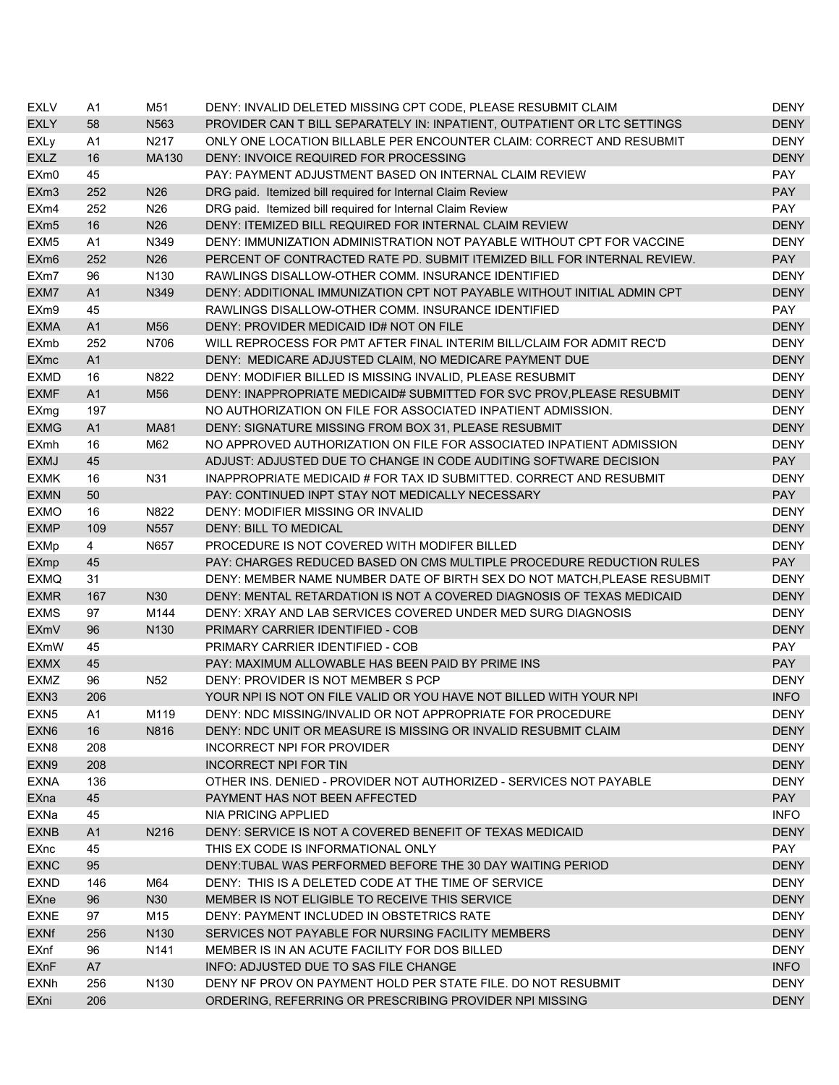| <b>EXLV</b>      | A <sub>1</sub> | M51              | DENY: INVALID DELETED MISSING CPT CODE, PLEASE RESUBMIT CLAIM            | <b>DENY</b> |
|------------------|----------------|------------------|--------------------------------------------------------------------------|-------------|
| <b>EXLY</b>      | 58             | N563             | PROVIDER CAN T BILL SEPARATELY IN: INPATIENT, OUTPATIENT OR LTC SETTINGS | <b>DENY</b> |
| <b>EXLy</b>      | A <sub>1</sub> | N217             | ONLY ONE LOCATION BILLABLE PER ENCOUNTER CLAIM: CORRECT AND RESUBMIT     | <b>DENY</b> |
| <b>EXLZ</b>      | 16             | MA130            | DENY: INVOICE REQUIRED FOR PROCESSING                                    | <b>DENY</b> |
| EXm0             | 45             |                  | PAY: PAYMENT ADJUSTMENT BASED ON INTERNAL CLAIM REVIEW                   | <b>PAY</b>  |
| EXm <sub>3</sub> | 252            | N <sub>26</sub>  | DRG paid. Itemized bill required for Internal Claim Review               | <b>PAY</b>  |
| EXm4             | 252            | N26              | DRG paid. Itemized bill required for Internal Claim Review               | PAY         |
| EXm <sub>5</sub> | 16             | N <sub>26</sub>  | DENY: ITEMIZED BILL REQUIRED FOR INTERNAL CLAIM REVIEW                   | <b>DENY</b> |
| EXM <sub>5</sub> | A <sub>1</sub> | N349             | DENY: IMMUNIZATION ADMINISTRATION NOT PAYABLE WITHOUT CPT FOR VACCINE    | <b>DENY</b> |
| EXm <sub>6</sub> | 252            | N <sub>26</sub>  | PERCENT OF CONTRACTED RATE PD. SUBMIT ITEMIZED BILL FOR INTERNAL REVIEW. | <b>PAY</b>  |
| EXm7             | 96             | N <sub>130</sub> | RAWLINGS DISALLOW-OTHER COMM. INSURANCE IDENTIFIED                       | <b>DENY</b> |
| EXM7             | A <sub>1</sub> | N349             | DENY: ADDITIONAL IMMUNIZATION CPT NOT PAYABLE WITHOUT INITIAL ADMIN CPT  | <b>DENY</b> |
| EXm9             | 45             |                  | RAWLINGS DISALLOW-OTHER COMM. INSURANCE IDENTIFIED                       | <b>PAY</b>  |
| <b>EXMA</b>      | A <sub>1</sub> | M56              | DENY: PROVIDER MEDICAID ID# NOT ON FILE                                  | <b>DENY</b> |
| <b>EXmb</b>      | 252            | N706             | WILL REPROCESS FOR PMT AFTER FINAL INTERIM BILL/CLAIM FOR ADMIT REC'D    | <b>DENY</b> |
| <b>EXmc</b>      | A1             |                  | DENY: MEDICARE ADJUSTED CLAIM, NO MEDICARE PAYMENT DUE                   | <b>DENY</b> |
| <b>EXMD</b>      | 16             | N822             | DENY: MODIFIER BILLED IS MISSING INVALID, PLEASE RESUBMIT                | <b>DENY</b> |
| <b>EXMF</b>      | A1             | M56              | DENY: INAPPROPRIATE MEDICAID# SUBMITTED FOR SVC PROV, PLEASE RESUBMIT    | <b>DENY</b> |
| EXmg             | 197            |                  | NO AUTHORIZATION ON FILE FOR ASSOCIATED INPATIENT ADMISSION.             | <b>DENY</b> |
| <b>EXMG</b>      | A <sub>1</sub> | <b>MA81</b>      | DENY: SIGNATURE MISSING FROM BOX 31, PLEASE RESUBMIT                     | <b>DENY</b> |
| <b>EXmh</b>      | 16             | M62              | NO APPROVED AUTHORIZATION ON FILE FOR ASSOCIATED INPATIENT ADMISSION     | <b>DENY</b> |
| <b>EXMJ</b>      | 45             |                  | ADJUST: ADJUSTED DUE TO CHANGE IN CODE AUDITING SOFTWARE DECISION        | <b>PAY</b>  |
| <b>EXMK</b>      | 16             | N31              | INAPPROPRIATE MEDICAID # FOR TAX ID SUBMITTED. CORRECT AND RESUBMIT      | <b>DENY</b> |
| <b>EXMN</b>      | 50             |                  | PAY: CONTINUED INPT STAY NOT MEDICALLY NECESSARY                         | <b>PAY</b>  |
| <b>EXMO</b>      | 16             | N822             | DENY: MODIFIER MISSING OR INVALID                                        | <b>DENY</b> |
| <b>EXMP</b>      | 109            | N557             | <b>DENY: BILL TO MEDICAL</b>                                             | <b>DENY</b> |
| <b>EXMp</b>      | 4              | N657             | PROCEDURE IS NOT COVERED WITH MODIFER BILLED                             | <b>DENY</b> |
| EXmp             | 45             |                  | PAY: CHARGES REDUCED BASED ON CMS MULTIPLE PROCEDURE REDUCTION RULES     | <b>PAY</b>  |
| <b>EXMQ</b>      | 31             |                  | DENY: MEMBER NAME NUMBER DATE OF BIRTH SEX DO NOT MATCH, PLEASE RESUBMIT | <b>DENY</b> |
| <b>EXMR</b>      | 167            | N30              | DENY: MENTAL RETARDATION IS NOT A COVERED DIAGNOSIS OF TEXAS MEDICAID    | <b>DENY</b> |
| <b>EXMS</b>      | 97             | M144             | DENY: XRAY AND LAB SERVICES COVERED UNDER MED SURG DIAGNOSIS             | <b>DENY</b> |
| <b>EXmV</b>      | 96             | N <sub>130</sub> | PRIMARY CARRIER IDENTIFIED - COB                                         | <b>DENY</b> |
| <b>EXmW</b>      | 45             |                  | PRIMARY CARRIER IDENTIFIED - COB                                         | <b>PAY</b>  |
| <b>EXMX</b>      | 45             |                  | PAY: MAXIMUM ALLOWABLE HAS BEEN PAID BY PRIME INS                        | <b>PAY</b>  |
| <b>EXMZ</b>      | 96             | N <sub>52</sub>  | DENY: PROVIDER IS NOT MEMBER S PCP                                       | <b>DENY</b> |
| EXN <sub>3</sub> | 206            |                  | YOUR NPI IS NOT ON FILE VALID OR YOU HAVE NOT BILLED WITH YOUR NPI       | <b>INFO</b> |
|                  | A1             |                  | DENY: NDC MISSING/INVALID OR NOT APPROPRIATE FOR PROCEDURE               | <b>DENY</b> |
| EXN <sub>5</sub> |                | M119             | DENY: NDC UNIT OR MEASURE IS MISSING OR INVALID RESUBMIT CLAIM           | <b>DENY</b> |
| EXN <sub>6</sub> | 16             | N816             |                                                                          |             |
| EXN8             | 208            |                  | INCORRECT NPI FOR PROVIDER                                               | DENY        |
| EXN9             | 208            |                  | <b>INCORRECT NPI FOR TIN</b>                                             | <b>DENY</b> |
| <b>EXNA</b>      | 136            |                  | OTHER INS. DENIED - PROVIDER NOT AUTHORIZED - SERVICES NOT PAYABLE       | DENY        |
| EXna             | 45             |                  | PAYMENT HAS NOT BEEN AFFECTED                                            | <b>PAY</b>  |
| EXNa             | 45             |                  | NIA PRICING APPLIED                                                      | <b>INFO</b> |
| <b>EXNB</b>      | A1             | N216             | DENY: SERVICE IS NOT A COVERED BENEFIT OF TEXAS MEDICAID                 | <b>DENY</b> |
| EXnc             | 45             |                  | THIS EX CODE IS INFORMATIONAL ONLY                                       | PAY         |
| <b>EXNC</b>      | 95             |                  | DENY: TUBAL WAS PERFORMED BEFORE THE 30 DAY WAITING PERIOD               | <b>DENY</b> |
| <b>EXND</b>      | 146            | M64              | DENY: THIS IS A DELETED CODE AT THE TIME OF SERVICE                      | <b>DENY</b> |
| EXne             | 96             | N30              | MEMBER IS NOT ELIGIBLE TO RECEIVE THIS SERVICE                           | <b>DENY</b> |
| <b>EXNE</b>      | 97             | M <sub>15</sub>  | DENY: PAYMENT INCLUDED IN OBSTETRICS RATE                                | <b>DENY</b> |
| <b>EXNf</b>      | 256            | N <sub>130</sub> | SERVICES NOT PAYABLE FOR NURSING FACILITY MEMBERS                        | <b>DENY</b> |
| EXnf             | 96             | N141             | MEMBER IS IN AN ACUTE FACILITY FOR DOS BILLED                            | <b>DENY</b> |
| <b>EXnF</b>      | A7             |                  | INFO: ADJUSTED DUE TO SAS FILE CHANGE                                    | <b>INFO</b> |
| <b>EXNh</b>      | 256            | N <sub>130</sub> | DENY NF PROV ON PAYMENT HOLD PER STATE FILE. DO NOT RESUBMIT             | <b>DENY</b> |
| EXni             | 206            |                  | ORDERING, REFERRING OR PRESCRIBING PROVIDER NPI MISSING                  | <b>DENY</b> |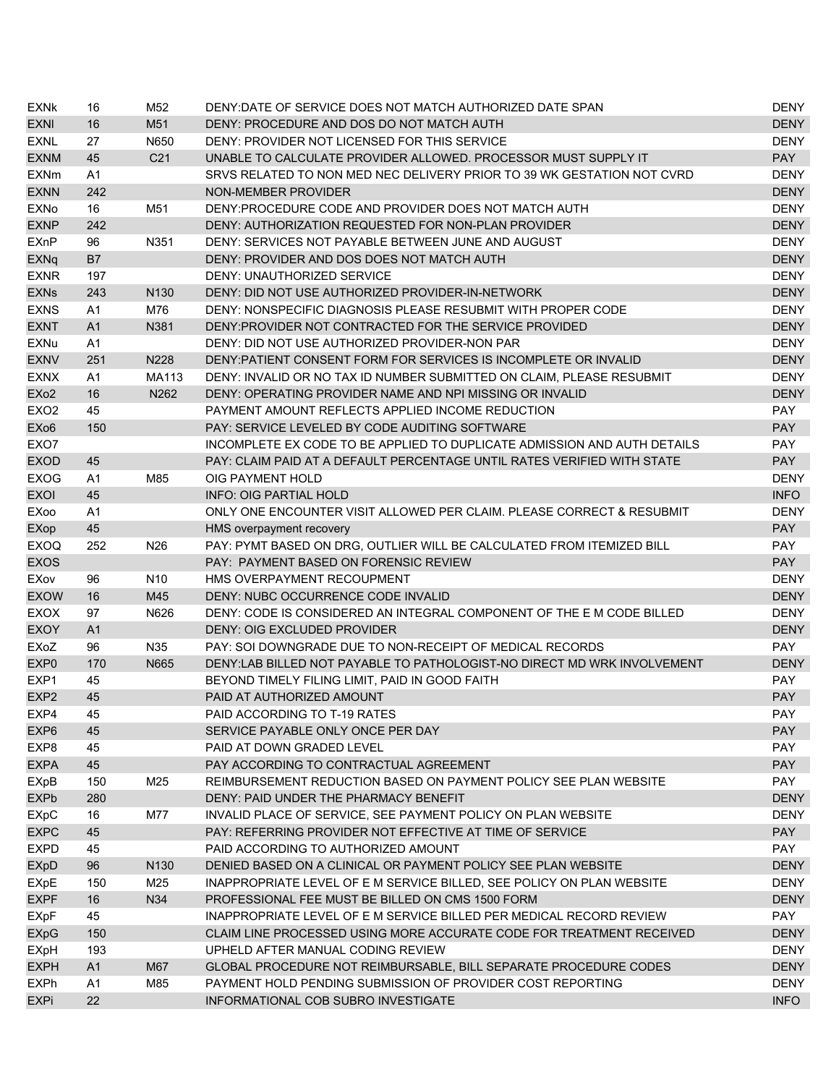| <b>EXNK</b>       | 16             | M52              | DENY:DATE OF SERVICE DOES NOT MATCH AUTHORIZED DATE SPAN                 | <b>DENY</b> |
|-------------------|----------------|------------------|--------------------------------------------------------------------------|-------------|
| <b>EXNI</b>       | 16             | M51              | DENY: PROCEDURE AND DOS DO NOT MATCH AUTH                                | <b>DENY</b> |
| <b>EXNL</b>       | 27             | N650             | DENY: PROVIDER NOT LICENSED FOR THIS SERVICE                             | <b>DENY</b> |
| <b>EXNM</b>       | 45             | C <sub>21</sub>  | UNABLE TO CALCULATE PROVIDER ALLOWED. PROCESSOR MUST SUPPLY IT           | <b>PAY</b>  |
| <b>EXNm</b>       | A1             |                  | SRVS RELATED TO NON MED NEC DELIVERY PRIOR TO 39 WK GESTATION NOT CVRD   | <b>DENY</b> |
| <b>EXNN</b>       | 242            |                  | <b>NON-MEMBER PROVIDER</b>                                               | <b>DENY</b> |
| <b>EXNo</b>       | 16             | M51              | DENY: PROCEDURE CODE AND PROVIDER DOES NOT MATCH AUTH                    | <b>DENY</b> |
| <b>EXNP</b>       | 242            |                  | DENY: AUTHORIZATION REQUESTED FOR NON-PLAN PROVIDER                      | <b>DENY</b> |
| <b>EXnP</b>       | 96             | N351             | DENY: SERVICES NOT PAYABLE BETWEEN JUNE AND AUGUST                       | <b>DENY</b> |
| <b>EXNq</b>       | <b>B7</b>      |                  | DENY: PROVIDER AND DOS DOES NOT MATCH AUTH                               | <b>DENY</b> |
| <b>EXNR</b>       | 197            |                  | <b>DENY: UNAUTHORIZED SERVICE</b>                                        | <b>DENY</b> |
| <b>EXNs</b>       | 243            | N <sub>130</sub> | DENY: DID NOT USE AUTHORIZED PROVIDER-IN-NETWORK                         | <b>DENY</b> |
| <b>EXNS</b>       | A1             | M76              | DENY: NONSPECIFIC DIAGNOSIS PLEASE RESUBMIT WITH PROPER CODE             | <b>DENY</b> |
| <b>EXNT</b>       | A <sub>1</sub> | N381             | DENY: PROVIDER NOT CONTRACTED FOR THE SERVICE PROVIDED                   | <b>DENY</b> |
| EXNu              | A1             |                  | DENY: DID NOT USE AUTHORIZED PROVIDER-NON PAR                            | <b>DENY</b> |
| <b>EXNV</b>       | 251            | N228             | DENY: PATIENT CONSENT FORM FOR SERVICES IS INCOMPLETE OR INVALID         | <b>DENY</b> |
| <b>EXNX</b>       | A1             | MA113            | DENY: INVALID OR NO TAX ID NUMBER SUBMITTED ON CLAIM, PLEASE RESUBMIT    | <b>DENY</b> |
| EX <sub>o</sub> 2 | 16             | N262             | DENY: OPERATING PROVIDER NAME AND NPI MISSING OR INVALID                 | <b>DENY</b> |
| EX <sub>O</sub> 2 | 45             |                  | PAYMENT AMOUNT REFLECTS APPLIED INCOME REDUCTION                         | <b>PAY</b>  |
| EX <sub>06</sub>  | 150            |                  | PAY: SERVICE LEVELED BY CODE AUDITING SOFTWARE                           | <b>PAY</b>  |
| EXO7              |                |                  | INCOMPLETE EX CODE TO BE APPLIED TO DUPLICATE ADMISSION AND AUTH DETAILS | <b>PAY</b>  |
| <b>EXOD</b>       | 45             |                  | PAY: CLAIM PAID AT A DEFAULT PERCENTAGE UNTIL RATES VERIFIED WITH STATE  | <b>PAY</b>  |
| <b>EXOG</b>       | A1             | M85              | OIG PAYMENT HOLD                                                         | <b>DENY</b> |
| <b>EXOI</b>       | 45             |                  | <b>INFO: OIG PARTIAL HOLD</b>                                            | <b>INFO</b> |
| EXoo              | A1             |                  | ONLY ONE ENCOUNTER VISIT ALLOWED PER CLAIM. PLEASE CORRECT & RESUBMIT    | <b>DENY</b> |
| EXop              | 45             |                  | HMS overpayment recovery                                                 | <b>PAY</b>  |
| <b>EXOQ</b>       | 252            | N <sub>26</sub>  | PAY: PYMT BASED ON DRG, OUTLIER WILL BE CALCULATED FROM ITEMIZED BILL    | <b>PAY</b>  |
| <b>EXOS</b>       |                |                  | PAY: PAYMENT BASED ON FORENSIC REVIEW                                    | <b>PAY</b>  |
| EXov              | 96             | N <sub>10</sub>  | HMS OVERPAYMENT RECOUPMENT                                               | <b>DENY</b> |
| <b>EXOW</b>       | 16             | M45              | DENY: NUBC OCCURRENCE CODE INVALID                                       | <b>DENY</b> |
| <b>EXOX</b>       | 97             | N626             | DENY: CODE IS CONSIDERED AN INTEGRAL COMPONENT OF THE E M CODE BILLED    | <b>DENY</b> |
| <b>EXOY</b>       | A <sub>1</sub> |                  | DENY: OIG EXCLUDED PROVIDER                                              | <b>DENY</b> |
| EXoZ              | 96             | N35              | PAY: SOI DOWNGRADE DUE TO NON-RECEIPT OF MEDICAL RECORDS                 | <b>PAY</b>  |
| EXP <sub>0</sub>  | 170            | N665             | DENY:LAB BILLED NOT PAYABLE TO PATHOLOGIST-NO DIRECT MD WRK INVOLVEMENT  | <b>DENY</b> |
| EXP1              | 45             |                  | BEYOND TIMELY FILING LIMIT, PAID IN GOOD FAITH                           | <b>PAY</b>  |
| EXP <sub>2</sub>  | 45             |                  | PAID AT AUTHORIZED AMOUNT                                                | <b>PAY</b>  |
| EXP4              | 45             |                  | PAID ACCORDING TO T-19 RATES                                             | PAY         |
| EXP <sub>6</sub>  | 45             |                  | SERVICE PAYABLE ONLY ONCE PER DAY                                        | <b>PAY</b>  |
| EXP8              | 45             |                  | PAID AT DOWN GRADED LEVEL                                                | PAY         |
| <b>EXPA</b>       | 45             |                  | PAY ACCORDING TO CONTRACTUAL AGREEMENT                                   | <b>PAY</b>  |
| EXpB              | 150            | M25              | REIMBURSEMENT REDUCTION BASED ON PAYMENT POLICY SEE PLAN WEBSITE         | <b>PAY</b>  |
| <b>EXPb</b>       | 280            |                  | DENY: PAID UNDER THE PHARMACY BENEFIT                                    | <b>DENY</b> |
| <b>EXpC</b>       | 16             | M77              | INVALID PLACE OF SERVICE, SEE PAYMENT POLICY ON PLAN WEBSITE             | <b>DENY</b> |
| <b>EXPC</b>       | 45             |                  | PAY: REFERRING PROVIDER NOT EFFECTIVE AT TIME OF SERVICE                 | <b>PAY</b>  |
| <b>EXPD</b>       | 45             |                  | PAID ACCORDING TO AUTHORIZED AMOUNT                                      | PAY         |
| <b>EXpD</b>       | 96             | N <sub>130</sub> | DENIED BASED ON A CLINICAL OR PAYMENT POLICY SEE PLAN WEBSITE            | <b>DENY</b> |
| EXpE              | 150            | M25              | INAPPROPRIATE LEVEL OF E M SERVICE BILLED, SEE POLICY ON PLAN WEBSITE    | <b>DENY</b> |
| <b>EXPF</b>       | 16             | N34              | PROFESSIONAL FEE MUST BE BILLED ON CMS 1500 FORM                         | <b>DENY</b> |
| <b>EXpF</b>       | 45             |                  | INAPPROPRIATE LEVEL OF E M SERVICE BILLED PER MEDICAL RECORD REVIEW      | PAY         |
| <b>EXpG</b>       | 150            |                  | CLAIM LINE PROCESSED USING MORE ACCURATE CODE FOR TREATMENT RECEIVED     | <b>DENY</b> |
| EXpH              | 193            |                  | UPHELD AFTER MANUAL CODING REVIEW                                        | <b>DENY</b> |
| <b>EXPH</b>       | A1             | M67              | GLOBAL PROCEDURE NOT REIMBURSABLE, BILL SEPARATE PROCEDURE CODES         | <b>DENY</b> |
| <b>EXPh</b>       | A <sub>1</sub> | M85              | PAYMENT HOLD PENDING SUBMISSION OF PROVIDER COST REPORTING               | <b>DENY</b> |
| EXPi              | 22             |                  | INFORMATIONAL COB SUBRO INVESTIGATE                                      | <b>INFO</b> |
|                   |                |                  |                                                                          |             |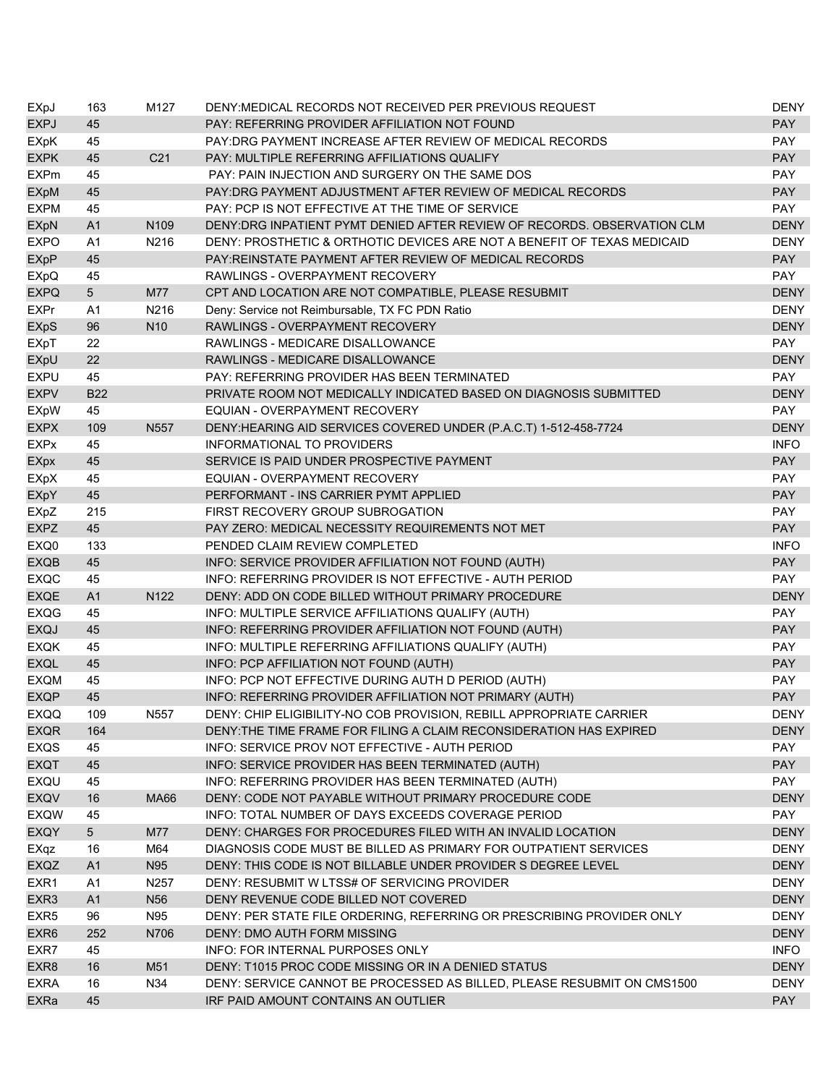| EXpJ             | 163            | M127            | DENY:MEDICAL RECORDS NOT RECEIVED PER PREVIOUS REQUEST                  | <b>DENY</b> |
|------------------|----------------|-----------------|-------------------------------------------------------------------------|-------------|
| <b>EXPJ</b>      | 45             |                 | PAY: REFERRING PROVIDER AFFILIATION NOT FOUND                           | <b>PAY</b>  |
| <b>EXpK</b>      | 45             |                 | PAY:DRG PAYMENT INCREASE AFTER REVIEW OF MEDICAL RECORDS                | PAY         |
| <b>EXPK</b>      | 45             | C <sub>21</sub> | PAY: MULTIPLE REFERRING AFFILIATIONS QUALIFY                            | <b>PAY</b>  |
| <b>EXPm</b>      | 45             |                 | PAY: PAIN INJECTION AND SURGERY ON THE SAME DOS                         | PAY         |
| <b>EXpM</b>      | 45             |                 | PAY: DRG PAYMENT ADJUSTMENT AFTER REVIEW OF MEDICAL RECORDS             | <b>PAY</b>  |
| <b>EXPM</b>      | 45             |                 | PAY: PCP IS NOT EFFECTIVE AT THE TIME OF SERVICE                        | PAY         |
| EXpN             | A1             | N109            | DENY:DRG INPATIENT PYMT DENIED AFTER REVIEW OF RECORDS. OBSERVATION CLM | <b>DENY</b> |
| <b>EXPO</b>      | A <sub>1</sub> | N216            | DENY: PROSTHETIC & ORTHOTIC DEVICES ARE NOT A BENEFIT OF TEXAS MEDICAID | <b>DENY</b> |
| <b>EXpP</b>      | 45             |                 | PAY: REINSTATE PAYMENT AFTER REVIEW OF MEDICAL RECORDS                  | <b>PAY</b>  |
| EXpQ             | 45             |                 | RAWLINGS - OVERPAYMENT RECOVERY                                         | <b>PAY</b>  |
| <b>EXPQ</b>      | 5              | M77             | CPT AND LOCATION ARE NOT COMPATIBLE, PLEASE RESUBMIT                    | <b>DENY</b> |
| <b>EXPr</b>      | A1             | N216            | Deny: Service not Reimbursable, TX FC PDN Ratio                         | <b>DENY</b> |
| <b>EXpS</b>      | 96             | N <sub>10</sub> | RAWLINGS - OVERPAYMENT RECOVERY                                         | <b>DENY</b> |
| <b>EXpT</b>      | 22             |                 | RAWLINGS - MEDICARE DISALLOWANCE                                        | <b>PAY</b>  |
| EXpU             | 22             |                 | RAWLINGS - MEDICARE DISALLOWANCE                                        | <b>DENY</b> |
| <b>EXPU</b>      | 45             |                 | PAY: REFERRING PROVIDER HAS BEEN TERMINATED                             | <b>PAY</b>  |
| <b>EXPV</b>      | <b>B22</b>     |                 | PRIVATE ROOM NOT MEDICALLY INDICATED BASED ON DIAGNOSIS SUBMITTED       | <b>DENY</b> |
| <b>EXpW</b>      | 45             |                 | EQUIAN - OVERPAYMENT RECOVERY                                           | <b>PAY</b>  |
| <b>EXPX</b>      | 109            | N557            | DENY:HEARING AID SERVICES COVERED UNDER (P.A.C.T) 1-512-458-7724        | <b>DENY</b> |
| <b>EXPx</b>      | 45             |                 | <b>INFORMATIONAL TO PROVIDERS</b>                                       | <b>INFO</b> |
| <b>EXpx</b>      | 45             |                 | SERVICE IS PAID UNDER PROSPECTIVE PAYMENT                               | <b>PAY</b>  |
| EXpX             | 45             |                 | EQUIAN - OVERPAYMENT RECOVERY                                           | PAY         |
| EXpY             | 45             |                 | PERFORMANT - INS CARRIER PYMT APPLIED                                   | <b>PAY</b>  |
| EXpZ             | 215            |                 | FIRST RECOVERY GROUP SUBROGATION                                        | PAY         |
| <b>EXPZ</b>      | 45             |                 | PAY ZERO: MEDICAL NECESSITY REQUIREMENTS NOT MET                        | <b>PAY</b>  |
| EXQ0             | 133            |                 | PENDED CLAIM REVIEW COMPLETED                                           | <b>INFO</b> |
| <b>EXQB</b>      | 45             |                 | INFO: SERVICE PROVIDER AFFILIATION NOT FOUND (AUTH)                     | <b>PAY</b>  |
| <b>EXQC</b>      | 45             |                 | INFO: REFERRING PROVIDER IS NOT EFFECTIVE - AUTH PERIOD                 | <b>PAY</b>  |
| <b>EXQE</b>      | A <sub>1</sub> | N122            | DENY: ADD ON CODE BILLED WITHOUT PRIMARY PROCEDURE                      | <b>DENY</b> |
| <b>EXQG</b>      | 45             |                 | INFO: MULTIPLE SERVICE AFFILIATIONS QUALIFY (AUTH)                      | <b>PAY</b>  |
| <b>EXQJ</b>      | 45             |                 | INFO: REFERRING PROVIDER AFFILIATION NOT FOUND (AUTH)                   | <b>PAY</b>  |
| <b>EXQK</b>      | 45             |                 | INFO: MULTIPLE REFERRING AFFILIATIONS QUALIFY (AUTH)                    | <b>PAY</b>  |
| <b>EXQL</b>      | 45             |                 | INFO: PCP AFFILIATION NOT FOUND (AUTH)                                  | <b>PAY</b>  |
| <b>EXQM</b>      | 45             |                 | INFO: PCP NOT EFFECTIVE DURING AUTH D PERIOD (AUTH)                     | <b>PAY</b>  |
| <b>EXQP</b>      | 45             |                 | INFO: REFERRING PROVIDER AFFILIATION NOT PRIMARY (AUTH)                 | <b>PAY</b>  |
| <b>EXQQ</b>      | 109            | N557            | DENY: CHIP ELIGIBILITY-NO COB PROVISION, REBILL APPROPRIATE CARRIER     | <b>DENY</b> |
| <b>EXQR</b>      | 164            |                 | DENY: THE TIME FRAME FOR FILING A CLAIM RECONSIDERATION HAS EXPIRED     | <b>DENY</b> |
| EXQS             | 45             |                 | INFO: SERVICE PROV NOT EFFECTIVE - AUTH PERIOD                          | <b>PAY</b>  |
| <b>EXQT</b>      | 45             |                 | INFO: SERVICE PROVIDER HAS BEEN TERMINATED (AUTH)                       | <b>PAY</b>  |
| EXQU             | 45             |                 | INFO: REFERRING PROVIDER HAS BEEN TERMINATED (AUTH)                     | <b>PAY</b>  |
| EXQV             | 16             | MA66            | DENY: CODE NOT PAYABLE WITHOUT PRIMARY PROCEDURE CODE                   | <b>DENY</b> |
| <b>EXQW</b>      | 45             |                 | INFO: TOTAL NUMBER OF DAYS EXCEEDS COVERAGE PERIOD                      | PAY         |
| <b>EXQY</b>      | 5 <sup>5</sup> | M77             | DENY: CHARGES FOR PROCEDURES FILED WITH AN INVALID LOCATION             | <b>DENY</b> |
| EXqz             | 16             | M64             | DIAGNOSIS CODE MUST BE BILLED AS PRIMARY FOR OUTPATIENT SERVICES        | <b>DENY</b> |
| EXQZ             | A1             | N95             | DENY: THIS CODE IS NOT BILLABLE UNDER PROVIDER S DEGREE LEVEL           | <b>DENY</b> |
| EXR1             | A1             | N257            | DENY: RESUBMIT W LTSS# OF SERVICING PROVIDER                            | <b>DENY</b> |
| EXR3             | A1             | N <sub>56</sub> | DENY REVENUE CODE BILLED NOT COVERED                                    | <b>DENY</b> |
| EXR <sub>5</sub> | 96             | N95             | DENY: PER STATE FILE ORDERING, REFERRING OR PRESCRIBING PROVIDER ONLY   | <b>DENY</b> |
| EXR <sub>6</sub> | 252            | N706            | <b>DENY: DMO AUTH FORM MISSING</b>                                      | <b>DENY</b> |
| EXR7             | 45             |                 | INFO: FOR INTERNAL PURPOSES ONLY                                        | <b>INFO</b> |
| EXR8             | 16             | M51             | DENY: T1015 PROC CODE MISSING OR IN A DENIED STATUS                     | <b>DENY</b> |
| <b>EXRA</b>      | 16             | N34             | DENY: SERVICE CANNOT BE PROCESSED AS BILLED, PLEASE RESUBMIT ON CMS1500 | <b>DENY</b> |
| <b>EXRa</b>      | 45             |                 | IRF PAID AMOUNT CONTAINS AN OUTLIER                                     | <b>PAY</b>  |
|                  |                |                 |                                                                         |             |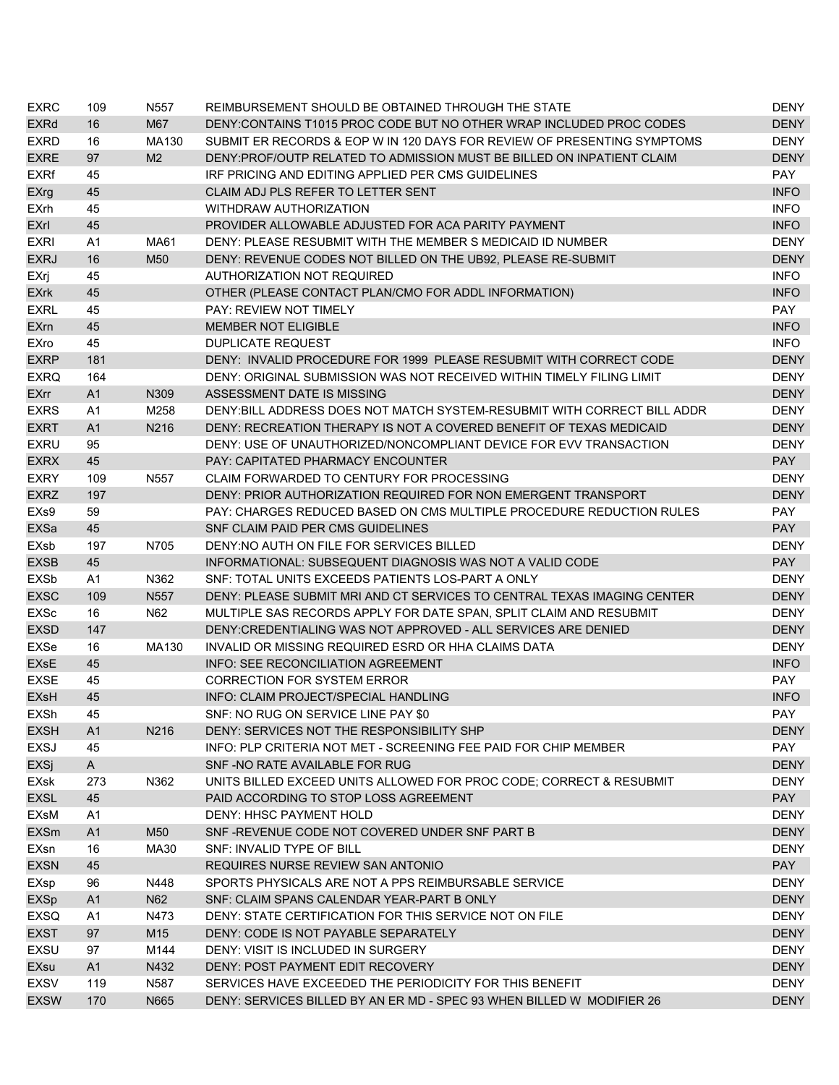| <b>EXRC</b>           | 109            | N557             | REIMBURSEMENT SHOULD BE OBTAINED THROUGH THE STATE                       | DENY        |
|-----------------------|----------------|------------------|--------------------------------------------------------------------------|-------------|
| <b>EXRd</b>           | 16             | M67              | DENY: CONTAINS T1015 PROC CODE BUT NO OTHER WRAP INCLUDED PROC CODES     | <b>DENY</b> |
| <b>EXRD</b>           | 16             | MA130            | SUBMIT ER RECORDS & EOP W IN 120 DAYS FOR REVIEW OF PRESENTING SYMPTOMS  | <b>DENY</b> |
| <b>EXRE</b>           | 97             | M <sub>2</sub>   | DENY: PROF/OUTP RELATED TO ADMISSION MUST BE BILLED ON INPATIENT CLAIM   | <b>DENY</b> |
| <b>EXRf</b>           | 45             |                  | IRF PRICING AND EDITING APPLIED PER CMS GUIDELINES                       | PAY         |
| EXrg                  | 45             |                  | CLAIM ADJ PLS REFER TO LETTER SENT                                       | <b>INFO</b> |
| <b>EXrh</b>           | 45             |                  | WITHDRAW AUTHORIZATION                                                   | <b>INFO</b> |
| <b>EXrl</b>           | 45             |                  | PROVIDER ALLOWABLE ADJUSTED FOR ACA PARITY PAYMENT                       | <b>INFO</b> |
| <b>EXRI</b>           | A1             | MA61             | DENY: PLEASE RESUBMIT WITH THE MEMBER S MEDICAID ID NUMBER               | <b>DENY</b> |
| <b>EXRJ</b>           | 16             | M50              | DENY: REVENUE CODES NOT BILLED ON THE UB92, PLEASE RE-SUBMIT             | <b>DENY</b> |
| EXrj                  | 45             |                  | <b>AUTHORIZATION NOT REQUIRED</b>                                        | <b>INFO</b> |
| <b>EXrk</b>           | 45             |                  | OTHER (PLEASE CONTACT PLAN/CMO FOR ADDL INFORMATION)                     | <b>INFO</b> |
| <b>EXRL</b>           | 45             |                  | <b>PAY: REVIEW NOT TIMELY</b>                                            | <b>PAY</b>  |
| <b>EX<sub>m</sub></b> | 45             |                  | <b>MEMBER NOT ELIGIBLE</b>                                               | <b>INFO</b> |
| EXro                  | 45             |                  | <b>DUPLICATE REQUEST</b>                                                 | <b>INFO</b> |
| <b>EXRP</b>           | 181            |                  | DENY: INVALID PROCEDURE FOR 1999 PLEASE RESUBMIT WITH CORRECT CODE       | <b>DENY</b> |
| <b>EXRQ</b>           | 164            |                  | DENY: ORIGINAL SUBMISSION WAS NOT RECEIVED WITHIN TIMELY FILING LIMIT    | <b>DENY</b> |
| <b>EXrr</b>           | A <sub>1</sub> | N309             | ASSESSMENT DATE IS MISSING                                               | <b>DENY</b> |
| <b>EXRS</b>           | A1             | M258             | DENY: BILL ADDRESS DOES NOT MATCH SYSTEM-RESUBMIT WITH CORRECT BILL ADDR | <b>DENY</b> |
| <b>EXRT</b>           | A <sub>1</sub> | N216             | DENY: RECREATION THERAPY IS NOT A COVERED BENEFIT OF TEXAS MEDICAID      | <b>DENY</b> |
| <b>EXRU</b>           | 95             |                  | DENY: USE OF UNAUTHORIZED/NONCOMPLIANT DEVICE FOR EVV TRANSACTION        | <b>DENY</b> |
| <b>EXRX</b>           | 45             |                  | <b>PAY: CAPITATED PHARMACY ENCOUNTER</b>                                 | <b>PAY</b>  |
| <b>EXRY</b>           | 109            | N <sub>557</sub> | CLAIM FORWARDED TO CENTURY FOR PROCESSING                                | <b>DENY</b> |
| <b>EXRZ</b>           | 197            |                  | DENY: PRIOR AUTHORIZATION REQUIRED FOR NON EMERGENT TRANSPORT            | <b>DENY</b> |
| EXs9                  | 59             |                  | PAY: CHARGES REDUCED BASED ON CMS MULTIPLE PROCEDURE REDUCTION RULES     | <b>PAY</b>  |
| EXSa                  | 45             |                  | SNF CLAIM PAID PER CMS GUIDELINES                                        | <b>PAY</b>  |
| EXsb                  | 197            | N705             | DENY:NO AUTH ON FILE FOR SERVICES BILLED                                 | <b>DENY</b> |
| <b>EXSB</b>           | 45             |                  | INFORMATIONAL: SUBSEQUENT DIAGNOSIS WAS NOT A VALID CODE                 | <b>PAY</b>  |
| <b>EXSb</b>           | A1             | N362             | SNF: TOTAL UNITS EXCEEDS PATIENTS LOS-PART A ONLY                        | <b>DENY</b> |
| <b>EXSC</b>           | 109            | N557             | DENY: PLEASE SUBMIT MRI AND CT SERVICES TO CENTRAL TEXAS IMAGING CENTER  | <b>DENY</b> |
| EXSc                  | 16             | N62              | MULTIPLE SAS RECORDS APPLY FOR DATE SPAN, SPLIT CLAIM AND RESUBMIT       | <b>DENY</b> |
| <b>EXSD</b>           | 147            |                  | DENY: CREDENTIALING WAS NOT APPROVED - ALL SERVICES ARE DENIED           | <b>DENY</b> |
| EXSe                  | 16             | MA130            | INVALID OR MISSING REQUIRED ESRD OR HHA CLAIMS DATA                      | <b>DENY</b> |
| EXsE                  | 45             |                  | <b>INFO: SEE RECONCILIATION AGREEMENT</b>                                | <b>INFO</b> |
| <b>EXSE</b>           | 45             |                  | <b>CORRECTION FOR SYSTEM ERROR</b>                                       | PAY         |
| <b>EXsH</b>           | 45             |                  | INFO: CLAIM PROJECT/SPECIAL HANDLING                                     | <b>INFO</b> |
| EXSh                  | 45             |                  | SNF: NO RUG ON SERVICE LINE PAY \$0                                      | PAY         |
| <b>EXSH</b>           | A1             | N216             | DENY: SERVICES NOT THE RESPONSIBILITY SHP                                | <b>DENY</b> |
| EXSJ                  | 45             |                  | INFO: PLP CRITERIA NOT MET - SCREENING FEE PAID FOR CHIP MEMBER          | PAY         |
| EXSj                  | $\mathsf{A}$   |                  | SNF-NO RATE AVAILABLE FOR RUG                                            | <b>DENY</b> |
|                       | 273            | N362             | UNITS BILLED EXCEED UNITS ALLOWED FOR PROC CODE; CORRECT & RESUBMIT      | <b>DENY</b> |
| EXsk<br><b>EXSL</b>   | 45             |                  | PAID ACCORDING TO STOP LOSS AGREEMENT                                    | <b>PAY</b>  |
|                       | A1             |                  |                                                                          |             |
| EXsM                  |                |                  | DENY: HHSC PAYMENT HOLD<br>SNF-REVENUE CODE NOT COVERED UNDER SNF PART B | <b>DENY</b> |
| <b>EXSm</b>           | A1             | M50              |                                                                          | <b>DENY</b> |
| EXsn                  | 16             | MA30             | SNF: INVALID TYPE OF BILL                                                | <b>DENY</b> |
| <b>EXSN</b>           | 45             |                  | REQUIRES NURSE REVIEW SAN ANTONIO                                        | <b>PAY</b>  |
| EXsp                  | 96             | N448             | SPORTS PHYSICALS ARE NOT A PPS REIMBURSABLE SERVICE                      | <b>DENY</b> |
| <b>EXSp</b>           | A <sub>1</sub> | N62              | SNF: CLAIM SPANS CALENDAR YEAR-PART B ONLY                               | <b>DENY</b> |
| <b>EXSQ</b>           | A1             | N473             | DENY: STATE CERTIFICATION FOR THIS SERVICE NOT ON FILE                   | <b>DENY</b> |
| <b>EXST</b>           | 97             | M15              | DENY: CODE IS NOT PAYABLE SEPARATELY                                     | <b>DENY</b> |
| EXSU                  | 97             | M144             | DENY: VISIT IS INCLUDED IN SURGERY                                       | <b>DENY</b> |
| EXsu                  | A1             | N432             | DENY: POST PAYMENT EDIT RECOVERY                                         | <b>DENY</b> |
| <b>EXSV</b>           | 119            | N587             | SERVICES HAVE EXCEEDED THE PERIODICITY FOR THIS BENEFIT                  | <b>DENY</b> |
| <b>EXSW</b>           | 170            | N665             | DENY: SERVICES BILLED BY AN ER MD - SPEC 93 WHEN BILLED W MODIFIER 26    | <b>DENY</b> |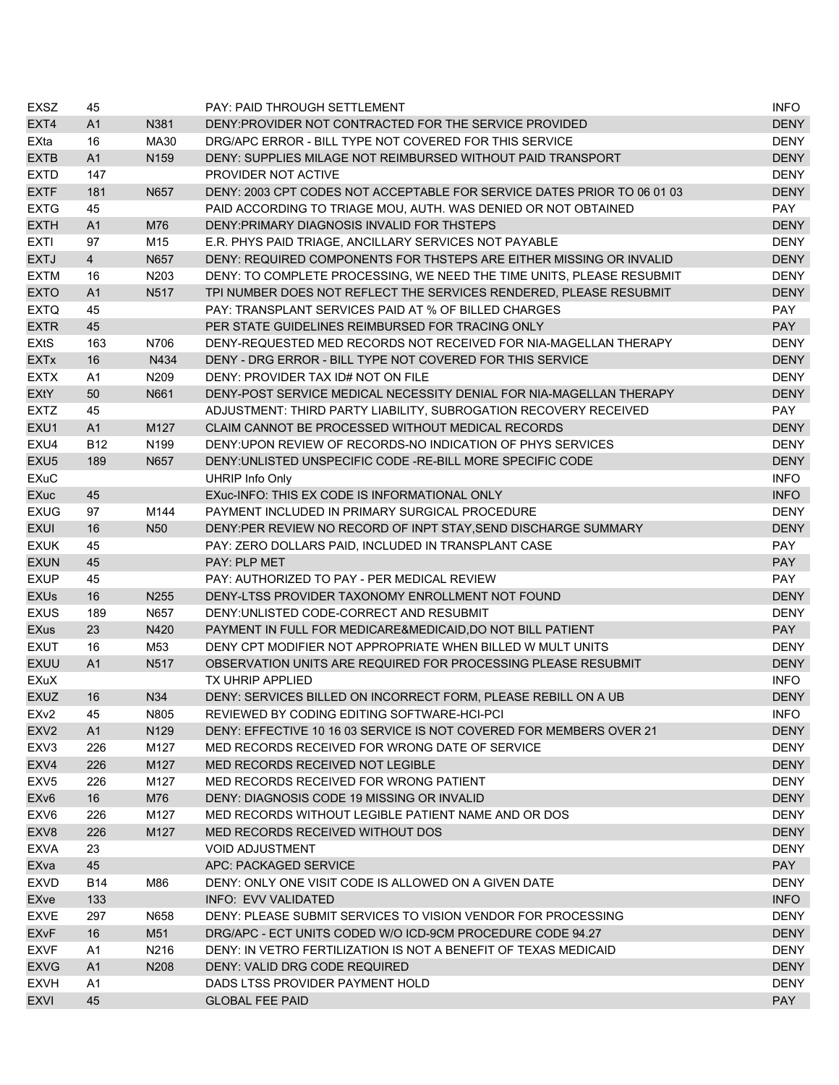| <b>EXSZ</b>            | 45             |                  | PAY: PAID THROUGH SETTLEMENT                                            | <b>INFO</b> |
|------------------------|----------------|------------------|-------------------------------------------------------------------------|-------------|
| EXT4                   | A <sub>1</sub> | N381             | DENY: PROVIDER NOT CONTRACTED FOR THE SERVICE PROVIDED                  | <b>DENY</b> |
| EXta                   | 16             | MA30             | DRG/APC ERROR - BILL TYPE NOT COVERED FOR THIS SERVICE                  | <b>DENY</b> |
| <b>EXTB</b>            | A1             | N <sub>159</sub> | DENY: SUPPLIES MILAGE NOT REIMBURSED WITHOUT PAID TRANSPORT             | <b>DENY</b> |
| <b>EXTD</b>            | 147            |                  | PROVIDER NOT ACTIVE                                                     | <b>DENY</b> |
| <b>EXTF</b>            | 181            | N657             | DENY: 2003 CPT CODES NOT ACCEPTABLE FOR SERVICE DATES PRIOR TO 06 01 03 | <b>DENY</b> |
| <b>EXTG</b>            | 45             |                  | PAID ACCORDING TO TRIAGE MOU, AUTH. WAS DENIED OR NOT OBTAINED          | PAY         |
| <b>EXTH</b>            | A <sub>1</sub> | M76              | DENY: PRIMARY DIAGNOSIS INVALID FOR THSTEPS                             | <b>DENY</b> |
| <b>EXTI</b>            | 97             | M15              | E.R. PHYS PAID TRIAGE, ANCILLARY SERVICES NOT PAYABLE                   | <b>DENY</b> |
| <b>EXTJ</b>            | $\overline{4}$ | N657             | DENY: REQUIRED COMPONENTS FOR THSTEPS ARE EITHER MISSING OR INVALID     | <b>DENY</b> |
| <b>EXTM</b>            | 16             | N203             | DENY: TO COMPLETE PROCESSING, WE NEED THE TIME UNITS, PLEASE RESUBMIT   | <b>DENY</b> |
| <b>EXTO</b>            | A <sub>1</sub> | N517             | TPI NUMBER DOES NOT REFLECT THE SERVICES RENDERED, PLEASE RESUBMIT      | <b>DENY</b> |
| <b>EXTQ</b>            | 45             |                  | PAY: TRANSPLANT SERVICES PAID AT % OF BILLED CHARGES                    | <b>PAY</b>  |
| <b>EXTR</b>            | 45             |                  | PER STATE GUIDELINES REIMBURSED FOR TRACING ONLY                        | <b>PAY</b>  |
| <b>EXtS</b>            | 163            | N706             | DENY-REQUESTED MED RECORDS NOT RECEIVED FOR NIA-MAGELLAN THERAPY        | <b>DENY</b> |
| <b>EXTx</b>            | 16             | N434             | DENY - DRG ERROR - BILL TYPE NOT COVERED FOR THIS SERVICE               | <b>DENY</b> |
| <b>EXTX</b>            | A1             | N209             | DENY: PROVIDER TAX ID# NOT ON FILE                                      | <b>DENY</b> |
| EXtY                   | 50             | N661             | DENY-POST SERVICE MEDICAL NECESSITY DENIAL FOR NIA-MAGELLAN THERAPY     | <b>DENY</b> |
| <b>EXTZ</b>            | 45             |                  | ADJUSTMENT: THIRD PARTY LIABILITY, SUBROGATION RECOVERY RECEIVED        | <b>PAY</b>  |
| EXU1                   | A1             | M <sub>127</sub> | CLAIM CANNOT BE PROCESSED WITHOUT MEDICAL RECORDS                       | <b>DENY</b> |
| EXU4                   | <b>B12</b>     | N <sub>199</sub> | DENY: UPON REVIEW OF RECORDS-NO INDICATION OF PHYS SERVICES             | <b>DENY</b> |
| EXU <sub>5</sub>       | 189            | N657             | DENY: UNLISTED UNSPECIFIC CODE - RE-BILL MORE SPECIFIC CODE             | <b>DENY</b> |
| <b>EXuC</b>            |                |                  | <b>UHRIP Info Only</b>                                                  | <b>INFO</b> |
| <b>EXuc</b>            | 45             |                  | EXuc-INFO: THIS EX CODE IS INFORMATIONAL ONLY                           | <b>INFO</b> |
| <b>EXUG</b>            | 97             | M144             | PAYMENT INCLUDED IN PRIMARY SURGICAL PROCEDURE                          | <b>DENY</b> |
| <b>EXUI</b>            | 16             | N <sub>50</sub>  | DENY:PER REVIEW NO RECORD OF INPT STAY, SEND DISCHARGE SUMMARY          | <b>DENY</b> |
| <b>EXUK</b>            | 45             |                  | PAY: ZERO DOLLARS PAID, INCLUDED IN TRANSPLANT CASE                     | <b>PAY</b>  |
| <b>EXUN</b>            | 45             |                  | <b>PAY: PLP MET</b>                                                     | <b>PAY</b>  |
| <b>EXUP</b>            | 45             |                  | PAY: AUTHORIZED TO PAY - PER MEDICAL REVIEW                             | <b>PAY</b>  |
| <b>EXUs</b>            | 16             | N255             | DENY-LTSS PROVIDER TAXONOMY ENROLLMENT NOT FOUND                        | <b>DENY</b> |
| <b>EXUS</b>            | 189            | N657             | DENY: UNLISTED CODE-CORRECT AND RESUBMIT                                | <b>DENY</b> |
| <b>EXus</b>            | 23             | N420             | PAYMENT IN FULL FOR MEDICARE&MEDICAID, DO NOT BILL PATIENT              | <b>PAY</b>  |
| <b>EXUT</b>            | 16             | M53              | DENY CPT MODIFIER NOT APPROPRIATE WHEN BILLED W MULT UNITS              | <b>DENY</b> |
| <b>EXUU</b>            | A1             | N517             | OBSERVATION UNITS ARE REQUIRED FOR PROCESSING PLEASE RESUBMIT           | <b>DENY</b> |
| <b>EXuX</b>            |                |                  | <b>TX UHRIP APPLIED</b>                                                 | <b>INFO</b> |
| <b>EXUZ</b>            | 16             | N34              | DENY: SERVICES BILLED ON INCORRECT FORM, PLEASE REBILL ON A UB          | <b>DENY</b> |
| EX <sub>v2</sub>       | 45             | N805             | REVIEWED BY CODING EDITING SOFTWARE-HCI-PCI                             | <b>INFO</b> |
| EXV <sub>2</sub>       | A1             | N <sub>129</sub> | DENY: EFFECTIVE 10 16 03 SERVICE IS NOT COVERED FOR MEMBERS OVER 21     | <b>DENY</b> |
| EXV3                   | 226            | M127             | MED RECORDS RECEIVED FOR WRONG DATE OF SERVICE                          | DENY        |
| EXV4                   | 226            | M127             | MED RECORDS RECEIVED NOT LEGIBLE                                        | <b>DENY</b> |
| EXV <sub>5</sub>       | 226            | M127             | MED RECORDS RECEIVED FOR WRONG PATIENT                                  | <b>DENY</b> |
| EX <sub>v6</sub>       | 16             | M76              | DENY: DIAGNOSIS CODE 19 MISSING OR INVALID                              | <b>DENY</b> |
| EXV6                   | 226            | M127             | MED RECORDS WITHOUT LEGIBLE PATIENT NAME AND OR DOS                     | <b>DENY</b> |
| EXV8                   | 226            | M127             | MED RECORDS RECEIVED WITHOUT DOS                                        | <b>DENY</b> |
| <b>EXVA</b>            | 23             |                  | <b>VOID ADJUSTMENT</b>                                                  | <b>DENY</b> |
| <b>EXva</b>            | 45             |                  | APC: PACKAGED SERVICE                                                   | <b>PAY</b>  |
| <b>EXVD</b>            | <b>B14</b>     | M86              | DENY: ONLY ONE VISIT CODE IS ALLOWED ON A GIVEN DATE                    | <b>DENY</b> |
| <b>EXve</b>            | 133            |                  | INFO: EVV VALIDATED                                                     | <b>INFO</b> |
| <b>EXVE</b>            | 297            | N658             | DENY: PLEASE SUBMIT SERVICES TO VISION VENDOR FOR PROCESSING            | <b>DENY</b> |
| <b>EX<sub>V</sub>F</b> | 16             | M51              | DRG/APC - ECT UNITS CODED W/O ICD-9CM PROCEDURE CODE 94.27              | <b>DENY</b> |
| <b>EXVF</b>            | A1             | N216             | DENY: IN VETRO FERTILIZATION IS NOT A BENEFIT OF TEXAS MEDICAID         | <b>DENY</b> |
| <b>EXVG</b>            | A1             | N208             | DENY: VALID DRG CODE REQUIRED                                           | <b>DENY</b> |
| <b>EXVH</b>            | A1             |                  | DADS LTSS PROVIDER PAYMENT HOLD                                         | <b>DENY</b> |
| <b>EXVI</b>            | 45             |                  | <b>GLOBAL FEE PAID</b>                                                  | <b>PAY</b>  |
|                        |                |                  |                                                                         |             |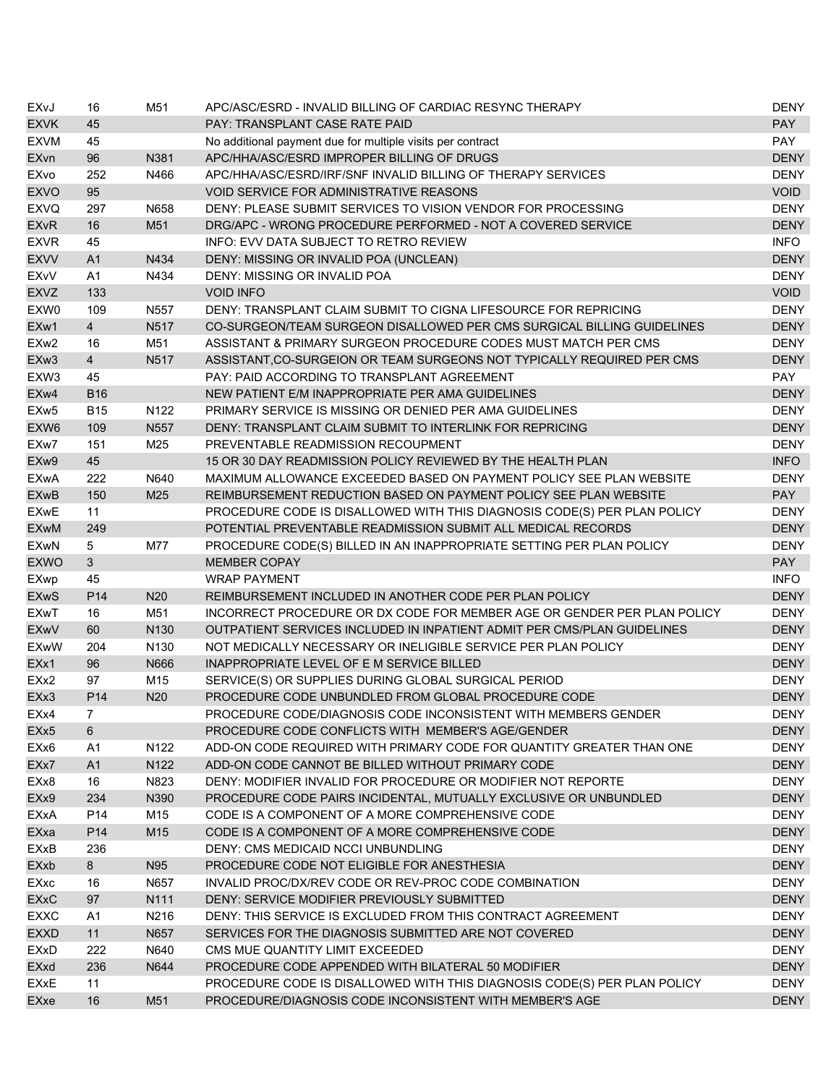| EXvJ             | 16              | M51              | APC/ASC/ESRD - INVALID BILLING OF CARDIAC RESYNC THERAPY                                                          | DENY        |
|------------------|-----------------|------------------|-------------------------------------------------------------------------------------------------------------------|-------------|
| <b>EXVK</b>      | 45              |                  | PAY: TRANSPLANT CASE RATE PAID                                                                                    | <b>PAY</b>  |
| <b>EXVM</b>      | 45              |                  | No additional payment due for multiple visits per contract                                                        | <b>PAY</b>  |
| EXvn             | 96              | N381             | APC/HHA/ASC/ESRD IMPROPER BILLING OF DRUGS                                                                        | <b>DENY</b> |
| EXvo             | 252             | N466             | APC/HHA/ASC/ESRD/IRF/SNF INVALID BILLING OF THERAPY SERVICES                                                      | <b>DENY</b> |
| <b>EXVO</b>      | 95              |                  | <b>VOID SERVICE FOR ADMINISTRATIVE REASONS</b>                                                                    | <b>VOID</b> |
| <b>EXVQ</b>      | 297             | N658             | DENY: PLEASE SUBMIT SERVICES TO VISION VENDOR FOR PROCESSING                                                      | <b>DENY</b> |
| <b>EXvR</b>      | 16              | M51              | DRG/APC - WRONG PROCEDURE PERFORMED - NOT A COVERED SERVICE                                                       | <b>DENY</b> |
| <b>EXVR</b>      | 45              |                  | INFO: EVV DATA SUBJECT TO RETRO REVIEW                                                                            | <b>INFO</b> |
| <b>EXVV</b>      | A <sub>1</sub>  | N434             | DENY: MISSING OR INVALID POA (UNCLEAN)                                                                            | <b>DENY</b> |
| EXvV             | A <sub>1</sub>  | N434             | DENY: MISSING OR INVALID POA                                                                                      | <b>DENY</b> |
| <b>EXVZ</b>      | 133             |                  | <b>VOID INFO</b>                                                                                                  | <b>VOID</b> |
| EXW0             | 109             | N557             | DENY: TRANSPLANT CLAIM SUBMIT TO CIGNA LIFESOURCE FOR REPRICING                                                   | <b>DENY</b> |
| EXw1             | $\overline{4}$  | N517             | CO-SURGEON/TEAM SURGEON DISALLOWED PER CMS SURGICAL BILLING GUIDELINES                                            | <b>DENY</b> |
| EXw <sub>2</sub> | 16              | M51              | ASSISTANT & PRIMARY SURGEON PROCEDURE CODES MUST MATCH PER CMS                                                    | <b>DENY</b> |
| EXw <sub>3</sub> | $\overline{4}$  | N517             | ASSISTANT, CO-SURGEION OR TEAM SURGEONS NOT TYPICALLY REQUIRED PER CMS                                            | <b>DENY</b> |
| EXW3             | 45              |                  | PAY: PAID ACCORDING TO TRANSPLANT AGREEMENT                                                                       | <b>PAY</b>  |
| EXw4             | <b>B16</b>      |                  | NEW PATIENT E/M INAPPROPRIATE PER AMA GUIDELINES                                                                  | <b>DENY</b> |
| EXw <sub>5</sub> | <b>B15</b>      | N <sub>122</sub> | PRIMARY SERVICE IS MISSING OR DENIED PER AMA GUIDELINES                                                           | <b>DENY</b> |
| EXW <sub>6</sub> | 109             | N <sub>557</sub> | DENY: TRANSPLANT CLAIM SUBMIT TO INTERLINK FOR REPRICING                                                          | <b>DENY</b> |
| EXw7             | 151             | M25              | PREVENTABLE READMISSION RECOUPMENT                                                                                | <b>DENY</b> |
| EXw9             | 45              |                  | 15 OR 30 DAY READMISSION POLICY REVIEWED BY THE HEALTH PLAN                                                       | <b>INFO</b> |
| <b>EXwA</b>      | 222             | N640             | MAXIMUM ALLOWANCE EXCEEDED BASED ON PAYMENT POLICY SEE PLAN WEBSITE                                               | <b>DENY</b> |
| <b>EXwB</b>      | 150             | M25              | REIMBURSEMENT REDUCTION BASED ON PAYMENT POLICY SEE PLAN WEBSITE                                                  | <b>PAY</b>  |
| <b>EXwE</b>      | 11              |                  | PROCEDURE CODE IS DISALLOWED WITH THIS DIAGNOSIS CODE(S) PER PLAN POLICY                                          | <b>DENY</b> |
| <b>EXwM</b>      | 249             |                  | POTENTIAL PREVENTABLE READMISSION SUBMIT ALL MEDICAL RECORDS                                                      | <b>DENY</b> |
| <b>EXwN</b>      | 5               | M77              | PROCEDURE CODE(S) BILLED IN AN INAPPROPRIATE SETTING PER PLAN POLICY                                              | <b>DENY</b> |
| <b>EXWO</b>      | 3               |                  | <b>MEMBER COPAY</b>                                                                                               | <b>PAY</b>  |
| <b>EXwp</b>      | 45              |                  | <b>WRAP PAYMENT</b>                                                                                               | <b>INFO</b> |
| <b>EXwS</b>      | P <sub>14</sub> | N20              | REIMBURSEMENT INCLUDED IN ANOTHER CODE PER PLAN POLICY                                                            | <b>DENY</b> |
| <b>EXwT</b>      | 16              | M51              | INCORRECT PROCEDURE OR DX CODE FOR MEMBER AGE OR GENDER PER PLAN POLICY                                           | <b>DENY</b> |
| <b>EXwV</b>      | 60              | N130             | OUTPATIENT SERVICES INCLUDED IN INPATIENT ADMIT PER CMS/PLAN GUIDELINES                                           | <b>DENY</b> |
| <b>EXwW</b>      | 204             | N <sub>130</sub> | NOT MEDICALLY NECESSARY OR INELIGIBLE SERVICE PER PLAN POLICY                                                     | <b>DENY</b> |
| EXx1             | 96              | N666             | INAPPROPRIATE LEVEL OF E M SERVICE BILLED                                                                         | <b>DENY</b> |
| EXx2             | 97              | M15              | SERVICE(S) OR SUPPLIES DURING GLOBAL SURGICAL PERIOD                                                              | <b>DENY</b> |
| EXx3             | P <sub>14</sub> | N <sub>20</sub>  | PROCEDURE CODE UNBUNDLED FROM GLOBAL PROCEDURE CODE                                                               | <b>DENY</b> |
| EXx4             | $\overline{7}$  |                  | PROCEDURE CODE/DIAGNOSIS CODE INCONSISTENT WITH MEMBERS GENDER                                                    | <b>DENY</b> |
| EXx <sub>5</sub> | 6               |                  | PROCEDURE CODE CONFLICTS WITH MEMBER'S AGE/GENDER                                                                 | <b>DENY</b> |
| EXx6             | A <sub>1</sub>  | N122             | ADD-ON CODE REQUIRED WITH PRIMARY CODE FOR QUANTITY GREATER THAN ONE                                              | <b>DENY</b> |
|                  | A1              |                  |                                                                                                                   |             |
| EXx7             |                 | N122<br>N823     | ADD-ON CODE CANNOT BE BILLED WITHOUT PRIMARY CODE<br>DENY: MODIFIER INVALID FOR PROCEDURE OR MODIFIER NOT REPORTE | <b>DENY</b> |
| EXx8<br>EXx9     | 16              |                  |                                                                                                                   | <b>DENY</b> |
|                  | 234             | N390             | PROCEDURE CODE PAIRS INCIDENTAL, MUTUALLY EXCLUSIVE OR UNBUNDLED                                                  | <b>DENY</b> |
| EXxA             | P14             | M15              | CODE IS A COMPONENT OF A MORE COMPREHENSIVE CODE                                                                  | <b>DENY</b> |
| EXxa             | P14             | M15              | CODE IS A COMPONENT OF A MORE COMPREHENSIVE CODE                                                                  | <b>DENY</b> |
| EXxB             | 236             |                  | DENY: CMS MEDICAID NCCI UNBUNDLING                                                                                | <b>DENY</b> |
| EXxb             | 8               | N95              | PROCEDURE CODE NOT ELIGIBLE FOR ANESTHESIA                                                                        | <b>DENY</b> |
| EXxc             | 16              | N657             | INVALID PROC/DX/REV CODE OR REV-PROC CODE COMBINATION                                                             | <b>DENY</b> |
| <b>EXxC</b>      | 97              | N111             | DENY: SERVICE MODIFIER PREVIOUSLY SUBMITTED                                                                       | <b>DENY</b> |
| <b>EXXC</b>      | A <sub>1</sub>  | N216             | DENY: THIS SERVICE IS EXCLUDED FROM THIS CONTRACT AGREEMENT                                                       | <b>DENY</b> |
| <b>EXXD</b>      | 11              | N657             | SERVICES FOR THE DIAGNOSIS SUBMITTED ARE NOT COVERED                                                              | <b>DENY</b> |
| <b>EXxD</b>      | 222             | N640             | CMS MUE QUANTITY LIMIT EXCEEDED                                                                                   | <b>DENY</b> |
| EXxd             | 236             | N644             | PROCEDURE CODE APPENDED WITH BILATERAL 50 MODIFIER                                                                | <b>DENY</b> |
| <b>EXxE</b>      | 11              |                  | PROCEDURE CODE IS DISALLOWED WITH THIS DIAGNOSIS CODE(S) PER PLAN POLICY                                          | <b>DENY</b> |
| EXxe             | 16              | M51              | PROCEDURE/DIAGNOSIS CODE INCONSISTENT WITH MEMBER'S AGE                                                           | <b>DENY</b> |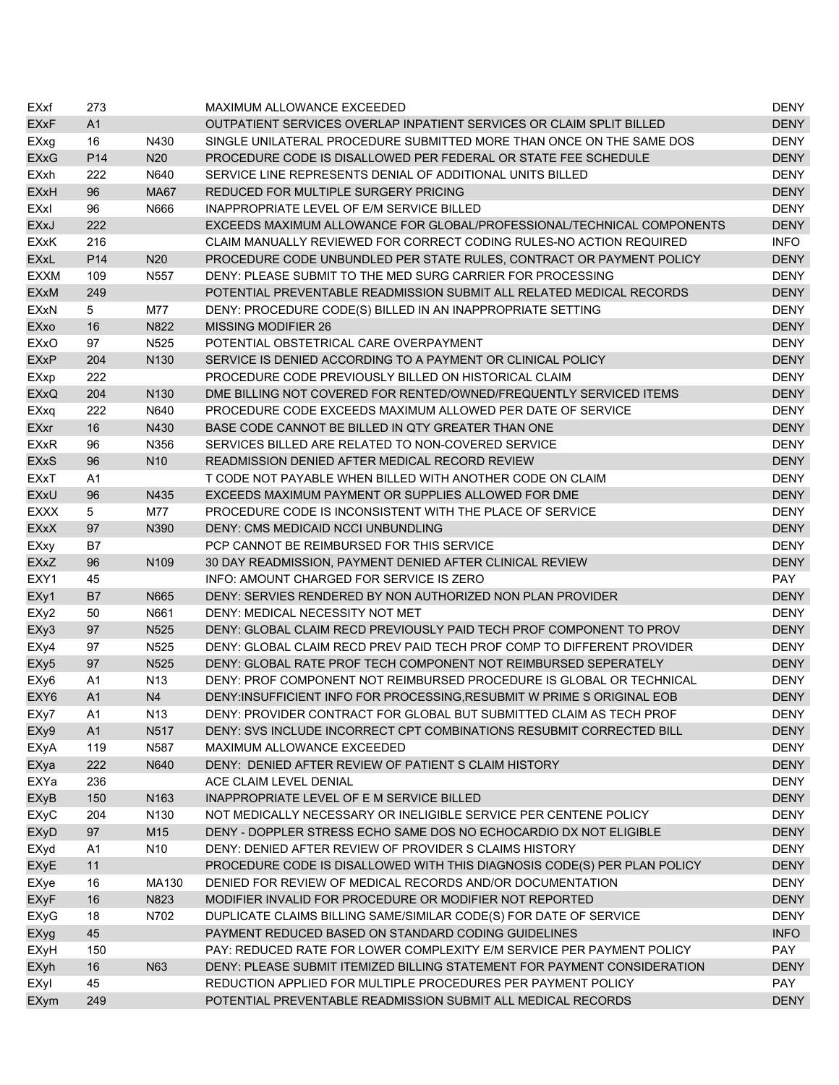| EXxf             | 273             |                   | MAXIMUM ALLOWANCE EXCEEDED                                               | <b>DENY</b> |
|------------------|-----------------|-------------------|--------------------------------------------------------------------------|-------------|
| <b>EXxF</b>      | A1              |                   | OUTPATIENT SERVICES OVERLAP INPATIENT SERVICES OR CLAIM SPLIT BILLED     | <b>DENY</b> |
| EXxg             | 16              | N430              | SINGLE UNILATERAL PROCEDURE SUBMITTED MORE THAN ONCE ON THE SAME DOS     | <b>DENY</b> |
| <b>EXxG</b>      | P <sub>14</sub> | N <sub>20</sub>   | PROCEDURE CODE IS DISALLOWED PER FEDERAL OR STATE FEE SCHEDULE           | <b>DENY</b> |
| <b>EXxh</b>      | 222             | N640              | SERVICE LINE REPRESENTS DENIAL OF ADDITIONAL UNITS BILLED                | <b>DENY</b> |
| <b>EXxH</b>      | 96              | <b>MA67</b>       | REDUCED FOR MULTIPLE SURGERY PRICING                                     | <b>DENY</b> |
| EXxl             | 96              | N666              | INAPPROPRIATE LEVEL OF E/M SERVICE BILLED                                | <b>DENY</b> |
| <b>EXxJ</b>      | 222             |                   | EXCEEDS MAXIMUM ALLOWANCE FOR GLOBAL/PROFESSIONAL/TECHNICAL COMPONENTS   | <b>DENY</b> |
| <b>EXxK</b>      | 216             |                   | CLAIM MANUALLY REVIEWED FOR CORRECT CODING RULES-NO ACTION REQUIRED      | <b>INFO</b> |
| <b>EXxL</b>      | P <sub>14</sub> | N <sub>20</sub>   | PROCEDURE CODE UNBUNDLED PER STATE RULES, CONTRACT OR PAYMENT POLICY     | <b>DENY</b> |
| <b>EXXM</b>      | 109             | N <sub>557</sub>  | DENY: PLEASE SUBMIT TO THE MED SURG CARRIER FOR PROCESSING               | <b>DENY</b> |
| <b>EXxM</b>      | 249             |                   | POTENTIAL PREVENTABLE READMISSION SUBMIT ALL RELATED MEDICAL RECORDS     | <b>DENY</b> |
| <b>EXxN</b>      | 5               | M77               | DENY: PROCEDURE CODE(S) BILLED IN AN INAPPROPRIATE SETTING               | <b>DENY</b> |
| EXxo             | 16              | N822              | <b>MISSING MODIFIER 26</b>                                               | <b>DENY</b> |
| EXxO             | 97              | N <sub>525</sub>  | POTENTIAL OBSTETRICAL CARE OVERPAYMENT                                   | <b>DENY</b> |
| <b>EXxP</b>      | 204             | N <sub>130</sub>  | SERVICE IS DENIED ACCORDING TO A PAYMENT OR CLINICAL POLICY              | <b>DENY</b> |
| EXxp             | 222             |                   | PROCEDURE CODE PREVIOUSLY BILLED ON HISTORICAL CLAIM                     | <b>DENY</b> |
| <b>EXxQ</b>      | 204             | N <sub>130</sub>  | DME BILLING NOT COVERED FOR RENTED/OWNED/FREQUENTLY SERVICED ITEMS       | <b>DENY</b> |
| EXxq             | 222             | N640              | PROCEDURE CODE EXCEEDS MAXIMUM ALLOWED PER DATE OF SERVICE               | <b>DENY</b> |
| <b>EXxr</b>      | 16              | N430              | BASE CODE CANNOT BE BILLED IN QTY GREATER THAN ONE                       | <b>DENY</b> |
| <b>EXxR</b>      | 96              | N356              | SERVICES BILLED ARE RELATED TO NON-COVERED SERVICE                       | <b>DENY</b> |
| <b>EXxS</b>      | 96              | N <sub>10</sub>   | READMISSION DENIED AFTER MEDICAL RECORD REVIEW                           | <b>DENY</b> |
| EXxT             | A1              |                   | T CODE NOT PAYABLE WHEN BILLED WITH ANOTHER CODE ON CLAIM                | <b>DENY</b> |
| <b>EXxU</b>      | 96              | N435              | EXCEEDS MAXIMUM PAYMENT OR SUPPLIES ALLOWED FOR DME                      | <b>DENY</b> |
| <b>EXXX</b>      | 5               | M77               | PROCEDURE CODE IS INCONSISTENT WITH THE PLACE OF SERVICE                 | <b>DENY</b> |
|                  | 97              |                   | DENY: CMS MEDICAID NCCI UNBUNDLING                                       | <b>DENY</b> |
| <b>EXxX</b>      |                 | N390              | PCP CANNOT BE REIMBURSED FOR THIS SERVICE                                | <b>DENY</b> |
| EXxy             | B7              | N109              |                                                                          |             |
| <b>EXxZ</b>      | 96              |                   | 30 DAY READMISSION, PAYMENT DENIED AFTER CLINICAL REVIEW                 | <b>DENY</b> |
| EXY1             | 45              |                   | INFO: AMOUNT CHARGED FOR SERVICE IS ZERO                                 | <b>PAY</b>  |
| EXy1             | B7              | N665              | DENY: SERVIES RENDERED BY NON AUTHORIZED NON PLAN PROVIDER               | <b>DENY</b> |
| EXy2             | 50              | N661              | DENY: MEDICAL NECESSITY NOT MET                                          | <b>DENY</b> |
| EXy3             | 97              | N <sub>525</sub>  | DENY: GLOBAL CLAIM RECD PREVIOUSLY PAID TECH PROF COMPONENT TO PROV      | <b>DENY</b> |
| EXy4             | 97              | N <sub>525</sub>  | DENY: GLOBAL CLAIM RECD PREV PAID TECH PROF COMP TO DIFFERENT PROVIDER   | <b>DENY</b> |
| EXy5             | 97              | N525              | DENY: GLOBAL RATE PROF TECH COMPONENT NOT REIMBURSED SEPERATELY          | <b>DENY</b> |
| EXy6             | A1              | N <sub>13</sub>   | DENY: PROF COMPONENT NOT REIMBURSED PROCEDURE IS GLOBAL OR TECHNICAL     | <b>DENY</b> |
| EXY <sub>6</sub> | A1              | N <sub>4</sub>    | DENY:INSUFFICIENT INFO FOR PROCESSING, RESUBMIT W PRIME S ORIGINAL EOB   | <b>DENY</b> |
| EXy7             | A1              | N <sub>13</sub>   | DENY: PROVIDER CONTRACT FOR GLOBAL BUT SUBMITTED CLAIM AS TECH PROF      | <b>DENY</b> |
| EXy9             | A1              | N <sub>5</sub> 17 | DENY: SVS INCLUDE INCORRECT CPT COMBINATIONS RESUBMIT CORRECTED BILL     | <b>DENY</b> |
| EXyA             | 119             | N587              | MAXIMUM ALLOWANCE EXCEEDED                                               | <b>DENY</b> |
| EXya             | 222             | N640              | DENY: DENIED AFTER REVIEW OF PATIENT S CLAIM HISTORY                     | <b>DENY</b> |
| EXYa             | 236             |                   | ACE CLAIM LEVEL DENIAL                                                   | <b>DENY</b> |
| <b>EXyB</b>      | 150             | N163              | INAPPROPRIATE LEVEL OF E M SERVICE BILLED                                | <b>DENY</b> |
| <b>EXyC</b>      | 204             | N <sub>130</sub>  | NOT MEDICALLY NECESSARY OR INELIGIBLE SERVICE PER CENTENE POLICY         | <b>DENY</b> |
| <b>EXyD</b>      | 97              | M15               | DENY - DOPPLER STRESS ECHO SAME DOS NO ECHOCARDIO DX NOT ELIGIBLE        | <b>DENY</b> |
| EXyd             | A1              | N <sub>10</sub>   | DENY: DENIED AFTER REVIEW OF PROVIDER S CLAIMS HISTORY                   | <b>DENY</b> |
| <b>EXyE</b>      | 11              |                   | PROCEDURE CODE IS DISALLOWED WITH THIS DIAGNOSIS CODE(S) PER PLAN POLICY | <b>DENY</b> |
| EXye             | 16              | MA130             | DENIED FOR REVIEW OF MEDICAL RECORDS AND/OR DOCUMENTATION                | <b>DENY</b> |
| <b>EXyF</b>      | 16              | N823              | MODIFIER INVALID FOR PROCEDURE OR MODIFIER NOT REPORTED                  | <b>DENY</b> |
| EXyG             | 18              | N702              | DUPLICATE CLAIMS BILLING SAME/SIMILAR CODE(S) FOR DATE OF SERVICE        | <b>DENY</b> |
| EXyg             | 45              |                   | PAYMENT REDUCED BASED ON STANDARD CODING GUIDELINES                      | <b>INFO</b> |
| EXyH             | 150             |                   | PAY: REDUCED RATE FOR LOWER COMPLEXITY E/M SERVICE PER PAYMENT POLICY    | PAY         |
| EXyh             | 16              | N63               | DENY: PLEASE SUBMIT ITEMIZED BILLING STATEMENT FOR PAYMENT CONSIDERATION | <b>DENY</b> |
| EXyl             | 45              |                   | REDUCTION APPLIED FOR MULTIPLE PROCEDURES PER PAYMENT POLICY             | PAY         |
| <b>EXym</b>      | 249             |                   | POTENTIAL PREVENTABLE READMISSION SUBMIT ALL MEDICAL RECORDS             | <b>DENY</b> |